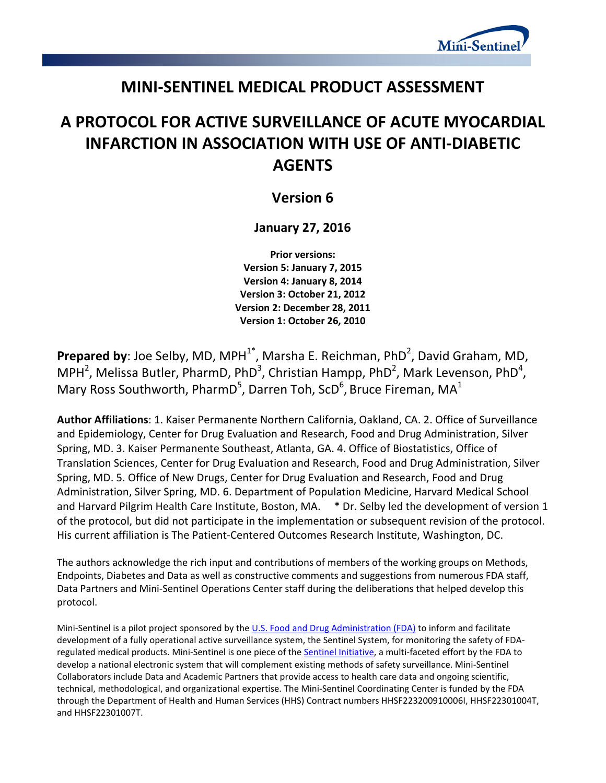

## **MINI-SENTINEL MEDICAL PRODUCT ASSESSMENT**

# **A PROTOCOL FOR ACTIVE SURVEILLANCE OF ACUTE MYOCARDIAL INFARCTION IN ASSOCIATION WITH USE OF ANTI-DIABETIC AGENTS**

## **Version 6**

## **January 27, 2016**

**Prior versions: Version 5: January 7, 2015 Version 4: January 8, 2014 Version 3: October 21, 2012 Version 2: December 28, 2011 Version 1: October 26, 2010**

**Prepared by**: Joe Selby, MD, MPH<sup>1\*</sup>, Marsha E. Reichman, PhD<sup>2</sup>, David Graham, MD, MPH<sup>2</sup>, Melissa Butler, PharmD, PhD<sup>3</sup>, Christian Hampp, PhD<sup>2</sup>, Mark Levenson, PhD<sup>4</sup>, Mary Ross Southworth, PharmD<sup>5</sup>, Darren Toh, ScD<sup>6</sup>, Bruce Fireman, MA<sup>1</sup>

**Author Affiliations**: 1. Kaiser Permanente Northern California, Oakland, CA. 2. Office of Surveillance and Epidemiology, Center for Drug Evaluation and Research, Food and Drug Administration, Silver Spring, MD. 3. Kaiser Permanente Southeast, Atlanta, GA. 4. Office of Biostatistics, Office of Translation Sciences, Center for Drug Evaluation and Research, Food and Drug Administration, Silver Spring, MD. 5. Office of New Drugs, Center for Drug Evaluation and Research, Food and Drug Administration, Silver Spring, MD. 6. Department of Population Medicine, Harvard Medical School and Harvard Pilgrim Health Care Institute, Boston, MA. \* Dr. Selby led the development of version 1 of the protocol, but did not participate in the implementation or subsequent revision of the protocol. His current affiliation is The Patient-Centered Outcomes Research Institute, Washington, DC.

The authors acknowledge the rich input and contributions of members of the working groups on Methods, Endpoints, Diabetes and Data as well as constructive comments and suggestions from numerous FDA staff, Data Partners and Mini-Sentinel Operations Center staff during the deliberations that helped develop this protocol.

Mini-Sentinel is a pilot project sponsored by th[e U.S. Food and Drug Administration \(FDA\)](http://www.fda.gov/) to inform and facilitate development of a fully operational active surveillance system, the Sentinel System, for monitoring the safety of FDA-regulated medical products. Mini-Sentinel is one piece of the [Sentinel Initiative,](http://www.fda.gov/Safety/FDAsSentinelInitiative/default.htm) a multi-faceted effort by the FDA to develop a national electronic system that will complement existing methods of safety surveillance. Mini-Sentinel Collaborators include Data and Academic Partners that provide access to health care data and ongoing scientific, technical, methodological, and organizational expertise. The Mini-Sentinel Coordinating Center is funded by the FDA through the Department of Health and Human Services (HHS) Contract numbers HHSF223200910006I, HHSF22301004T, and HHSF22301007T.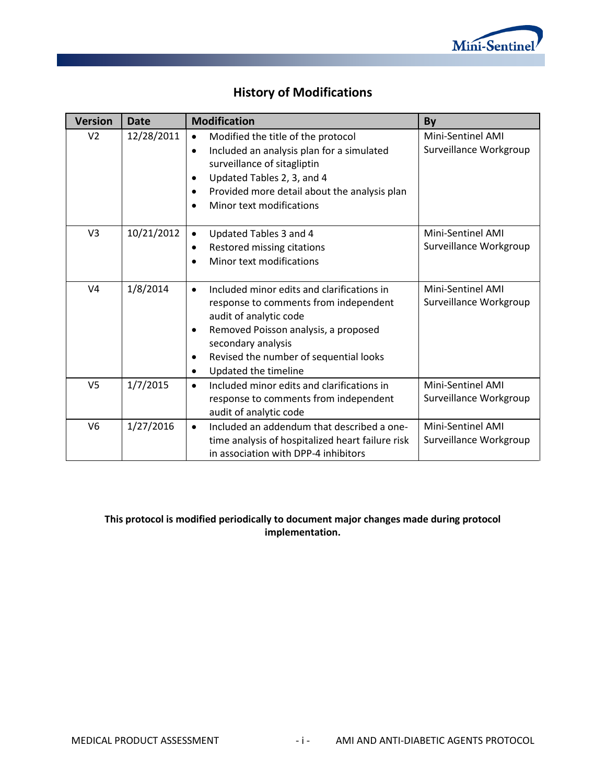

## **History of Modifications**

| <b>Version</b> | <b>Date</b> | <b>Modification</b>                                                                                                                                                                                                                                                                       | By                                                 |
|----------------|-------------|-------------------------------------------------------------------------------------------------------------------------------------------------------------------------------------------------------------------------------------------------------------------------------------------|----------------------------------------------------|
| V <sub>2</sub> | 12/28/2011  | Modified the title of the protocol<br>$\bullet$<br>Included an analysis plan for a simulated<br>$\bullet$<br>surveillance of sitagliptin<br>Updated Tables 2, 3, and 4<br>$\bullet$<br>Provided more detail about the analysis plan<br>$\bullet$<br>Minor text modifications<br>$\bullet$ | Mini-Sentinel AMI<br>Surveillance Workgroup        |
| V <sub>3</sub> | 10/21/2012  | Updated Tables 3 and 4<br>$\bullet$<br>Restored missing citations<br>٠<br>Minor text modifications<br>$\bullet$                                                                                                                                                                           | <b>Mini-Sentinel AMI</b><br>Surveillance Workgroup |
| V <sub>4</sub> | 1/8/2014    | Included minor edits and clarifications in<br>$\bullet$<br>response to comments from independent<br>audit of analytic code<br>Removed Poisson analysis, a proposed<br>٠<br>secondary analysis<br>Revised the number of sequential looks<br>٠<br>Updated the timeline<br>$\bullet$         | <b>Mini-Sentinel AMI</b><br>Surveillance Workgroup |
| V <sub>5</sub> | 1/7/2015    | Included minor edits and clarifications in<br>$\bullet$<br>response to comments from independent<br>audit of analytic code                                                                                                                                                                | Mini-Sentinel AMI<br>Surveillance Workgroup        |
| V <sub>6</sub> | 1/27/2016   | Included an addendum that described a one-<br>$\bullet$<br>time analysis of hospitalized heart failure risk<br>in association with DPP-4 inhibitors                                                                                                                                       | <b>Mini-Sentinel AMI</b><br>Surveillance Workgroup |

### **This protocol is modified periodically to document major changes made during protocol implementation.**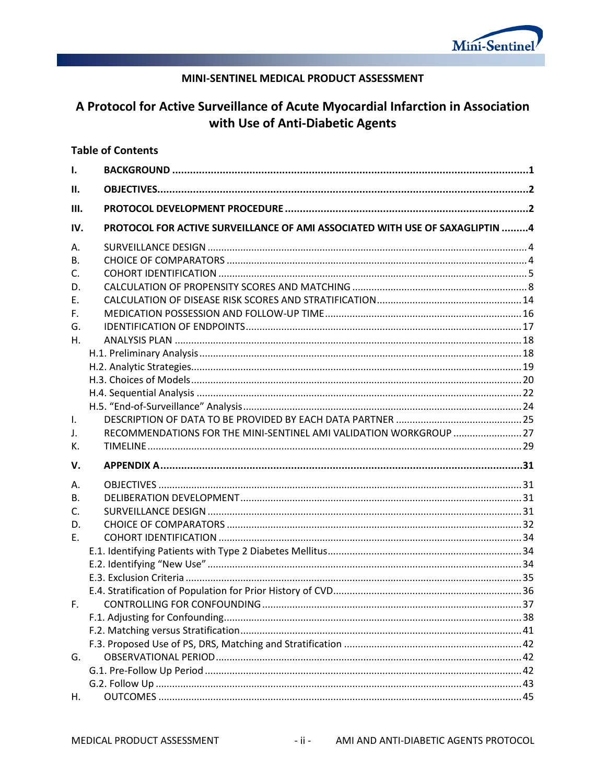

### MINI-SENTINEL MEDICAL PRODUCT ASSESSMENT

## A Protocol for Active Surveillance of Acute Myocardial Infarction in Association with Use of Anti-Diabetic Agents

#### **Table of Contents**

| $\mathbf{I}$ . |                                                                              |  |
|----------------|------------------------------------------------------------------------------|--|
| П.             |                                                                              |  |
| III.           |                                                                              |  |
| IV.            | PROTOCOL FOR ACTIVE SURVEILLANCE OF AMI ASSOCIATED WITH USE OF SAXAGLIPTIN 4 |  |
| А.             |                                                                              |  |
| <b>B.</b>      |                                                                              |  |
| C.             |                                                                              |  |
| D.             |                                                                              |  |
| E.             |                                                                              |  |
| F.             |                                                                              |  |
| G.             |                                                                              |  |
| Η.             |                                                                              |  |
|                |                                                                              |  |
|                |                                                                              |  |
|                |                                                                              |  |
|                |                                                                              |  |
|                |                                                                              |  |
| $\mathbf{L}$   |                                                                              |  |
| J.             | RECOMMENDATIONS FOR THE MINI-SENTINEL AMI VALIDATION WORKGROUP  27           |  |
|                |                                                                              |  |
| К.             |                                                                              |  |
| V.             |                                                                              |  |
| Α.             |                                                                              |  |
| <b>B.</b>      |                                                                              |  |
| $C_{\cdot}$    |                                                                              |  |
| D.             |                                                                              |  |
| E.             |                                                                              |  |
|                |                                                                              |  |
|                |                                                                              |  |
|                |                                                                              |  |
|                |                                                                              |  |
| E.             |                                                                              |  |
|                |                                                                              |  |
|                |                                                                              |  |
|                |                                                                              |  |
| G.             |                                                                              |  |
|                |                                                                              |  |
|                |                                                                              |  |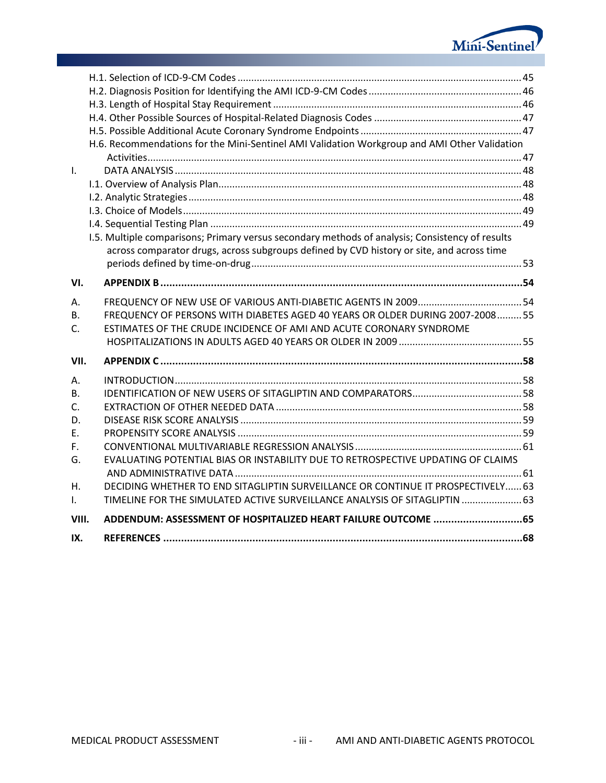

|                | H.6. Recommendations for the Mini-Sentinel AMI Validation Workgroup and AMI Other Validation    |  |
|----------------|-------------------------------------------------------------------------------------------------|--|
|                |                                                                                                 |  |
| $\mathbf{I}$ . |                                                                                                 |  |
|                |                                                                                                 |  |
|                |                                                                                                 |  |
|                |                                                                                                 |  |
|                |                                                                                                 |  |
|                | I.5. Multiple comparisons; Primary versus secondary methods of analysis; Consistency of results |  |
|                | across comparator drugs, across subgroups defined by CVD history or site, and across time       |  |
|                |                                                                                                 |  |
| VI.            |                                                                                                 |  |
| Α.             |                                                                                                 |  |
| В.             | FREQUENCY OF PERSONS WITH DIABETES AGED 40 YEARS OR OLDER DURING 2007-200855                    |  |
| $\mathsf{C}$ . | ESTIMATES OF THE CRUDE INCIDENCE OF AMI AND ACUTE CORONARY SYNDROME                             |  |
|                |                                                                                                 |  |
| VII.           |                                                                                                 |  |
| А.             |                                                                                                 |  |
| B.             |                                                                                                 |  |
| C.             |                                                                                                 |  |
| D.             |                                                                                                 |  |
| F.             |                                                                                                 |  |
| F.             |                                                                                                 |  |
| G.             | EVALUATING POTENTIAL BIAS OR INSTABILITY DUE TO RETROSPECTIVE UPDATING OF CLAIMS                |  |
|                |                                                                                                 |  |
| Η.             | DECIDING WHETHER TO END SITAGLIPTIN SURVEILLANCE OR CONTINUE IT PROSPECTIVELY 63                |  |
| $\mathsf{L}$   | TIMELINE FOR THE SIMULATED ACTIVE SURVEILLANCE ANALYSIS OF SITAGLIPTIN  63                      |  |
| VIII.          | ADDENDUM: ASSESSMENT OF HOSPITALIZED HEART FAILURE OUTCOME 65                                   |  |
| IX.            |                                                                                                 |  |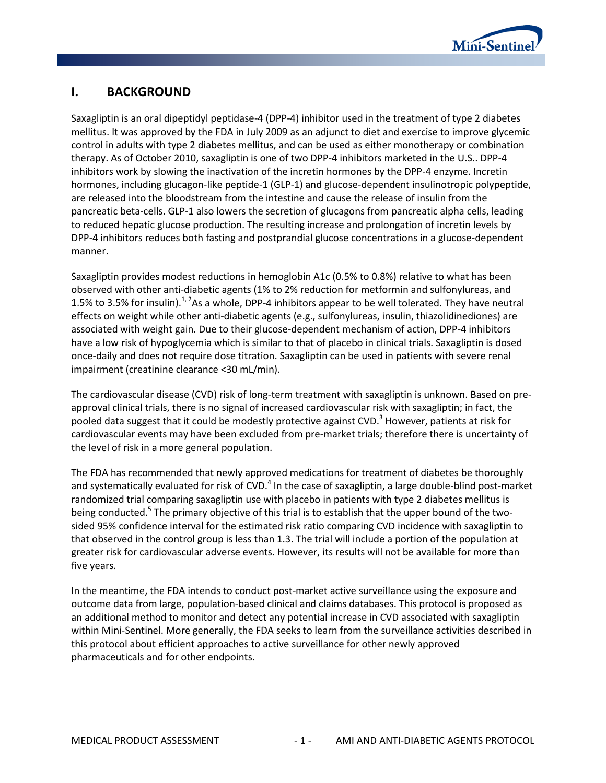

## <span id="page-4-0"></span>**I. BACKGROUND**

Saxagliptin is an oral dipeptidyl peptidase-4 (DPP-4) inhibitor used in the treatment of type 2 diabetes mellitus. It was approved by the FDA in July 2009 as an adjunct to diet and exercise to improve glycemic control in adults with type 2 diabetes mellitus, and can be used as either monotherapy or combination therapy. As of October 2010, saxagliptin is one of two DPP-4 inhibitors marketed in the U.S.. DPP-4 inhibitors work by slowing the inactivation of the incretin hormones by the DPP-4 enzyme. Incretin hormones, including glucagon-like peptide-1 (GLP-1) and glucose-dependent insulinotropic polypeptide, are released into the bloodstream from the intestine and cause the release of insulin from the pancreatic beta-cells. GLP-1 also lowers the secretion of glucagons from pancreatic alpha cells, leading to reduced hepatic glucose production. The resulting increase and prolongation of incretin levels by DPP-4 inhibitors reduces both fasting and postprandial glucose concentrations in a glucose-dependent manner.

Saxagliptin provides modest reductions in hemoglobin A1c (0.5% to 0.8%) relative to what has been observed with other anti-diabetic agents (1% to 2% reduction for metformin and sulfonylureas, and 1.5% to 3.5% for insulin). $^{1,2}$ As a whole, DPP-4 inhibitors appear to be well tolerated. They have neutral effects on weight while other anti-diabetic agents (e.g., sulfonylureas, insulin, thiazolidinediones) are associated with weight gain. Due to their glucose-dependent mechanism of action, DPP-4 inhibitors have a low risk of hypoglycemia which is similar to that of placebo in clinical trials. Saxagliptin is dosed once-daily and does not require dose titration. Saxagliptin can be used in patients with severe renal impairment (creatinine clearance <30 mL/min).

The cardiovascular disease (CVD) risk of long-term treatment with saxagliptin is unknown. Based on preapproval clinical trials, there is no signal of increased cardiovascular risk with saxagliptin; in fact, the pooled data suggest that it could be modestly protective against CVD.<sup>3</sup> However, patients at risk for cardiovascular events may have been excluded from pre-market trials; therefore there is uncertainty of the level of risk in a more general population.

The FDA has recommended that newly approved medications for treatment of diabetes be thoroughly and systematically evaluated for risk of CVD.<sup>4</sup> In the case of saxagliptin, a large double-blind post-market randomized trial comparing saxagliptin use with placebo in patients with type 2 diabetes mellitus is being conducted.<sup>5</sup> The primary objective of this trial is to establish that the upper bound of the twosided 95% confidence interval for the estimated risk ratio comparing CVD incidence with saxagliptin to that observed in the control group is less than 1.3. The trial will include a portion of the population at greater risk for cardiovascular adverse events. However, its results will not be available for more than five years.

In the meantime, the FDA intends to conduct post-market active surveillance using the exposure and outcome data from large, population-based clinical and claims databases. This protocol is proposed as an additional method to monitor and detect any potential increase in CVD associated with saxagliptin within Mini-Sentinel. More generally, the FDA seeks to learn from the surveillance activities described in this protocol about efficient approaches to active surveillance for other newly approved pharmaceuticals and for other endpoints.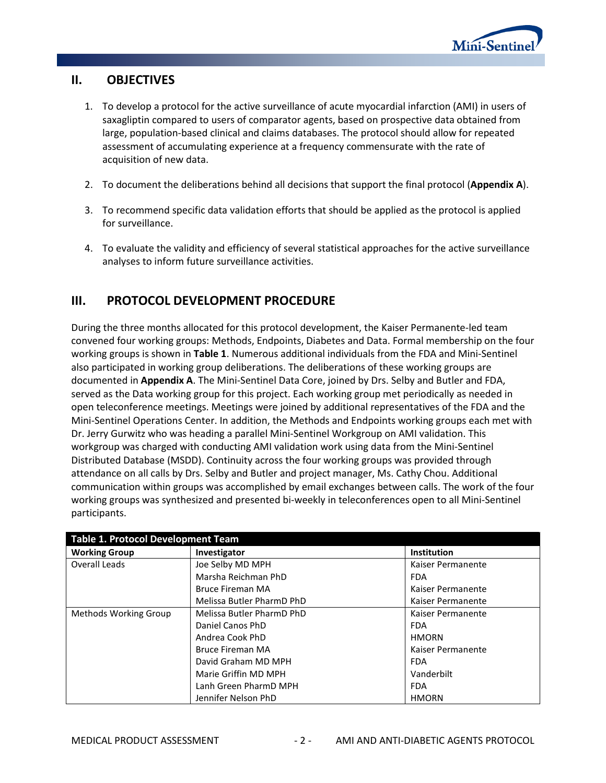

## <span id="page-5-0"></span>**II. OBJECTIVES**

- 1. To develop a protocol for the active surveillance of acute myocardial infarction (AMI) in users of saxagliptin compared to users of comparator agents, based on prospective data obtained from large, population-based clinical and claims databases. The protocol should allow for repeated assessment of accumulating experience at a frequency commensurate with the rate of acquisition of new data.
- 2. To document the deliberations behind all decisions that support the final protocol (**[Appendix A](#page-34-0)**).
- 3. To recommend specific data validation efforts that should be applied as the protocol is applied for surveillance.
- 4. To evaluate the validity and efficiency of several statistical approaches for the active surveillance analyses to inform future surveillance activities.

## <span id="page-5-1"></span>**III. PROTOCOL DEVELOPMENT PROCEDURE**

During the three months allocated for this protocol development, the Kaiser Permanente-led team convened four working groups: Methods, Endpoints, Diabetes and Data. Formal membership on the four working groups is shown in **[Table 1](#page-5-2)**. Numerous additional individuals from the FDA and Mini-Sentinel also participated in working group deliberations. The deliberations of these working groups are documented in **[Appendix A](#page-34-0)**. The Mini-Sentinel Data Core, joined by Drs. Selby and Butler and FDA, served as the Data working group for this project. Each working group met periodically as needed in open teleconference meetings. Meetings were joined by additional representatives of the FDA and the Mini-Sentinel Operations Center. In addition, the Methods and Endpoints working groups each met with Dr. Jerry Gurwitz who was heading a parallel Mini-Sentinel Workgroup on AMI validation. This workgroup was charged with conducting AMI validation work using data from the Mini-Sentinel Distributed Database (MSDD). Continuity across the four working groups was provided through attendance on all calls by Drs. Selby and Butler and project manager, Ms. Cathy Chou. Additional communication within groups was accomplished by email exchanges between calls. The work of the four working groups was synthesized and presented bi-weekly in teleconferences open to all Mini-Sentinel participants.

<span id="page-5-2"></span>

| <b>Table 1. Protocol Development Team</b> |                           |                    |  |  |  |
|-------------------------------------------|---------------------------|--------------------|--|--|--|
| <b>Working Group</b>                      | Investigator              | <b>Institution</b> |  |  |  |
| Overall Leads                             | Joe Selby MD MPH          | Kaiser Permanente  |  |  |  |
|                                           | Marsha Reichman PhD       | <b>FDA</b>         |  |  |  |
|                                           | <b>Bruce Fireman MA</b>   | Kaiser Permanente  |  |  |  |
|                                           | Melissa Butler PharmD PhD | Kaiser Permanente  |  |  |  |
| <b>Methods Working Group</b>              | Melissa Butler PharmD PhD | Kaiser Permanente  |  |  |  |
|                                           | Daniel Canos PhD          | <b>FDA</b>         |  |  |  |
|                                           | Andrea Cook PhD           | <b>HMORN</b>       |  |  |  |
|                                           | <b>Bruce Fireman MA</b>   | Kaiser Permanente  |  |  |  |
|                                           | David Graham MD MPH       | <b>FDA</b>         |  |  |  |
|                                           | Marie Griffin MD MPH      | Vanderbilt         |  |  |  |
|                                           | Lanh Green PharmD MPH     | <b>FDA</b>         |  |  |  |
|                                           | Jennifer Nelson PhD       | <b>HMORN</b>       |  |  |  |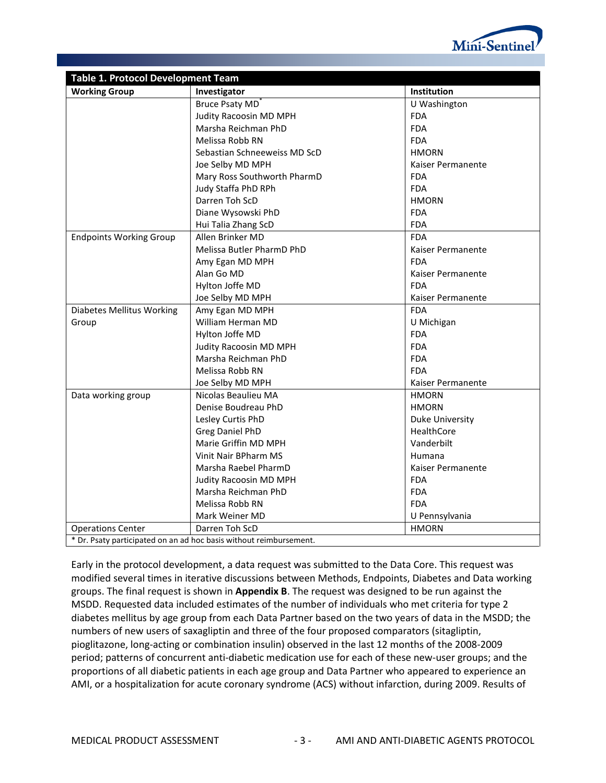

| <b>Table 1. Protocol Development Team</b> |                                                                   |                        |  |  |  |
|-------------------------------------------|-------------------------------------------------------------------|------------------------|--|--|--|
| <b>Working Group</b>                      | Investigator                                                      | Institution            |  |  |  |
|                                           | <b>Bruce Psaty MD</b>                                             | U Washington           |  |  |  |
|                                           | Judity Racoosin MD MPH                                            | <b>FDA</b>             |  |  |  |
|                                           | Marsha Reichman PhD                                               | <b>FDA</b>             |  |  |  |
|                                           | Melissa Robb RN                                                   | <b>FDA</b>             |  |  |  |
|                                           | Sebastian Schneeweiss MD ScD                                      | <b>HMORN</b>           |  |  |  |
|                                           | Joe Selby MD MPH                                                  | Kaiser Permanente      |  |  |  |
|                                           | Mary Ross Southworth PharmD                                       | <b>FDA</b>             |  |  |  |
|                                           | Judy Staffa PhD RPh                                               | <b>FDA</b>             |  |  |  |
|                                           | Darren Toh ScD                                                    | <b>HMORN</b>           |  |  |  |
|                                           | Diane Wysowski PhD                                                | <b>FDA</b>             |  |  |  |
|                                           | Hui Talia Zhang ScD                                               | <b>FDA</b>             |  |  |  |
| <b>Endpoints Working Group</b>            | Allen Brinker MD                                                  | <b>FDA</b>             |  |  |  |
|                                           | Melissa Butler PharmD PhD                                         | Kaiser Permanente      |  |  |  |
|                                           | Amy Egan MD MPH                                                   | <b>FDA</b>             |  |  |  |
|                                           | Alan Go MD                                                        | Kaiser Permanente      |  |  |  |
|                                           | Hylton Joffe MD                                                   | <b>FDA</b>             |  |  |  |
|                                           | Joe Selby MD MPH                                                  | Kaiser Permanente      |  |  |  |
| <b>Diabetes Mellitus Working</b>          | Amy Egan MD MPH                                                   | <b>FDA</b>             |  |  |  |
| Group                                     | William Herman MD                                                 | U Michigan             |  |  |  |
|                                           | Hylton Joffe MD                                                   | <b>FDA</b>             |  |  |  |
|                                           | Judity Racoosin MD MPH                                            | <b>FDA</b>             |  |  |  |
|                                           | Marsha Reichman PhD                                               | <b>FDA</b>             |  |  |  |
| Melissa Robb RN                           |                                                                   | <b>FDA</b>             |  |  |  |
|                                           | Joe Selby MD MPH                                                  | Kaiser Permanente      |  |  |  |
| Data working group                        | Nicolas Beaulieu MA                                               | <b>HMORN</b>           |  |  |  |
|                                           | Denise Boudreau PhD                                               | <b>HMORN</b>           |  |  |  |
|                                           | Lesley Curtis PhD                                                 | <b>Duke University</b> |  |  |  |
|                                           | <b>Greg Daniel PhD</b>                                            | HealthCore             |  |  |  |
|                                           | Marie Griffin MD MPH                                              | Vanderbilt             |  |  |  |
|                                           | Vinit Nair BPharm MS                                              | Humana                 |  |  |  |
|                                           | Marsha Raebel PharmD                                              | Kaiser Permanente      |  |  |  |
|                                           | Judity Racoosin MD MPH                                            | <b>FDA</b>             |  |  |  |
|                                           | Marsha Reichman PhD                                               | <b>FDA</b>             |  |  |  |
|                                           | Melissa Robb RN                                                   | <b>FDA</b>             |  |  |  |
|                                           | Mark Weiner MD                                                    | U Pennsylvania         |  |  |  |
| <b>Operations Center</b>                  | Darren Toh ScD                                                    | <b>HMORN</b>           |  |  |  |
|                                           | * Dr. Braty participated on an ad boo basis without roimbursement |                        |  |  |  |

\* Dr. Psaty participated on an ad hoc basis without reimbursement.

Early in the protocol development, a data request was submitted to the Data Core. This request was modified several times in iterative discussions between Methods, Endpoints, Diabetes and Data working groups. The final request is shown in **[Appendix B](#page-57-0)**. The request was designed to be run against the MSDD. Requested data included estimates of the number of individuals who met criteria for type 2 diabetes mellitus by age group from each Data Partner based on the two years of data in the MSDD; the numbers of new users of saxagliptin and three of the four proposed comparators (sitagliptin, pioglitazone, long-acting or combination insulin) observed in the last 12 months of the 2008-2009 period; patterns of concurrent anti-diabetic medication use for each of these new-user groups; and the proportions of all diabetic patients in each age group and Data Partner who appeared to experience an AMI, or a hospitalization for acute coronary syndrome (ACS) without infarction, during 2009. Results of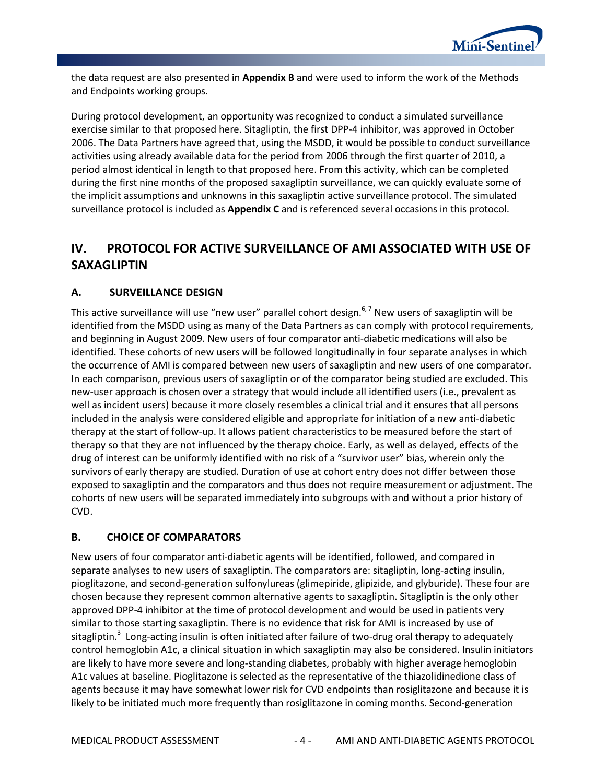

the data request are also presented in **[Appendix B](#page-57-0)** and were used to inform the work of the Methods and Endpoints working groups.

During protocol development, an opportunity was recognized to conduct a simulated surveillance exercise similar to that proposed here. Sitagliptin, the first DPP-4 inhibitor, was approved in October 2006. The Data Partners have agreed that, using the MSDD, it would be possible to conduct surveillance activities using already available data for the period from 2006 through the first quarter of 2010, a period almost identical in length to that proposed here. From this activity, which can be completed during the first nine months of the proposed saxagliptin surveillance, we can quickly evaluate some of the implicit assumptions and unknowns in this saxagliptin active surveillance protocol. The simulated surveillance protocol is included as **[Appendix C](#page-61-0)** and is referenced several occasions in this protocol.

## <span id="page-7-0"></span>**IV. PROTOCOL FOR ACTIVE SURVEILLANCE OF AMI ASSOCIATED WITH USE OF SAXAGLIPTIN**

### <span id="page-7-1"></span>**A. SURVEILLANCE DESIGN**

This active surveillance will use "new user" parallel cohort design.<sup>6,7</sup> New users of saxagliptin will be identified from the MSDD using as many of the Data Partners as can comply with protocol requirements, and beginning in August 2009. New users of four comparator anti-diabetic medications will also be identified. These cohorts of new users will be followed longitudinally in four separate analyses in which the occurrence of AMI is compared between new users of saxagliptin and new users of one comparator. In each comparison, previous users of saxagliptin or of the comparator being studied are excluded. This new-user approach is chosen over a strategy that would include all identified users (i.e., prevalent as well as incident users) because it more closely resembles a clinical trial and it ensures that all persons included in the analysis were considered eligible and appropriate for initiation of a new anti-diabetic therapy at the start of follow-up. It allows patient characteristics to be measured before the start of therapy so that they are not influenced by the therapy choice. Early, as well as delayed, effects of the drug of interest can be uniformly identified with no risk of a "survivor user" bias, wherein only the survivors of early therapy are studied. Duration of use at cohort entry does not differ between those exposed to saxagliptin and the comparators and thus does not require measurement or adjustment. The cohorts of new users will be separated immediately into subgroups with and without a prior history of CVD.

## <span id="page-7-2"></span>**B. CHOICE OF COMPARATORS**

New users of four comparator anti-diabetic agents will be identified, followed, and compared in separate analyses to new users of saxagliptin. The comparators are: sitagliptin, long-acting insulin, pioglitazone, and second-generation sulfonylureas (glimepiride, glipizide, and glyburide). These four are chosen because they represent common alternative agents to saxagliptin. Sitagliptin is the only other approved DPP-4 inhibitor at the time of protocol development and would be used in patients very similar to those starting saxagliptin. There is no evidence that risk for AMI is increased by use of sitagliptin.<sup>3</sup> Long-acting insulin is often initiated after failure of two-drug oral therapy to adequately control hemoglobin A1c, a clinical situation in which saxagliptin may also be considered. Insulin initiators are likely to have more severe and long-standing diabetes, probably with higher average hemoglobin A1c values at baseline. Pioglitazone is selected as the representative of the thiazolidinedione class of agents because it may have somewhat lower risk for CVD endpoints than rosiglitazone and because it is likely to be initiated much more frequently than rosiglitazone in coming months. Second-generation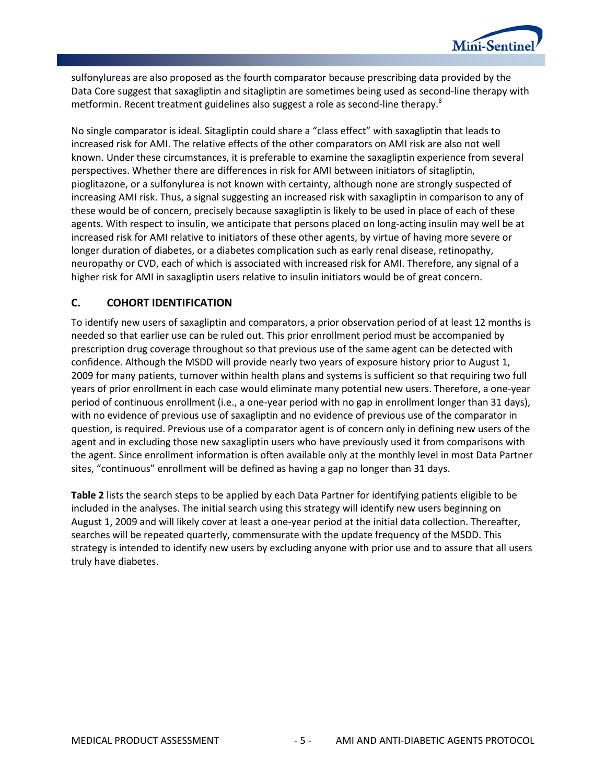

sulfonylureas are also proposed as the fourth comparator because prescribing data provided by the Data Core suggest that saxagliptin and sitagliptin are sometimes being used as second-line therapy with metformin. Recent treatment guidelines also suggest a role as second-line therapy.<sup>8</sup>

No single comparator is ideal. Sitagliptin could share a "class effect" with saxagliptin that leads to increased risk for AMI. The relative effects of the other comparators on AMI risk are also not well known. Under these circumstances, it is preferable to examine the saxagliptin experience from several perspectives. Whether there are differences in risk for AMI between initiators of sitagliptin, pioglitazone, or a sulfonylurea is not known with certainty, although none are strongly suspected of increasing AMI risk. Thus, a signal suggesting an increased risk with saxagliptin in comparison to any of these would be of concern, precisely because saxagliptin is likely to be used in place of each of these agents. With respect to insulin, we anticipate that persons placed on long-acting insulin may well be at increased risk for AMI relative to initiators of these other agents, by virtue of having more severe or longer duration of diabetes, or a diabetes complication such as early renal disease, retinopathy, neuropathy or CVD, each of which is associated with increased risk for AMI. Therefore, any signal of a higher risk for AMI in saxagliptin users relative to insulin initiators would be of great concern.

#### <span id="page-8-0"></span>**C. COHORT IDENTIFICATION**

To identify new users of saxagliptin and comparators, a prior observation period of at least 12 months is needed so that earlier use can be ruled out. This prior enrollment period must be accompanied by prescription drug coverage throughout so that previous use of the same agent can be detected with confidence. Although the MSDD will provide nearly two years of exposure history prior to August 1, 2009 for many patients, turnover within health plans and systems is sufficient so that requiring two full years of prior enrollment in each case would eliminate many potential new users. Therefore, a one-year period of continuous enrollment (i.e., a one-year period with no gap in enrollment longer than 31 days), with no evidence of previous use of saxagliptin and no evidence of previous use of the comparator in question, is required. Previous use of a comparator agent is of concern only in defining new users of the agent and in excluding those new saxagliptin users who have previously used it from comparisons with the agent. Since enrollment information is often available only at the monthly level in most Data Partner sites, "continuous" enrollment will be defined as having a gap no longer than 31 days.

**[Table 2](#page-9-0)** lists the search steps to be applied by each Data Partner for identifying patients eligible to be included in the analyses. The initial search using this strategy will identify new users beginning on August 1, 2009 and will likely cover at least a one-year period at the initial data collection. Thereafter, searches will be repeated quarterly, commensurate with the update frequency of the MSDD. This strategy is intended to identify new users by excluding anyone with prior use and to assure that all users truly have diabetes.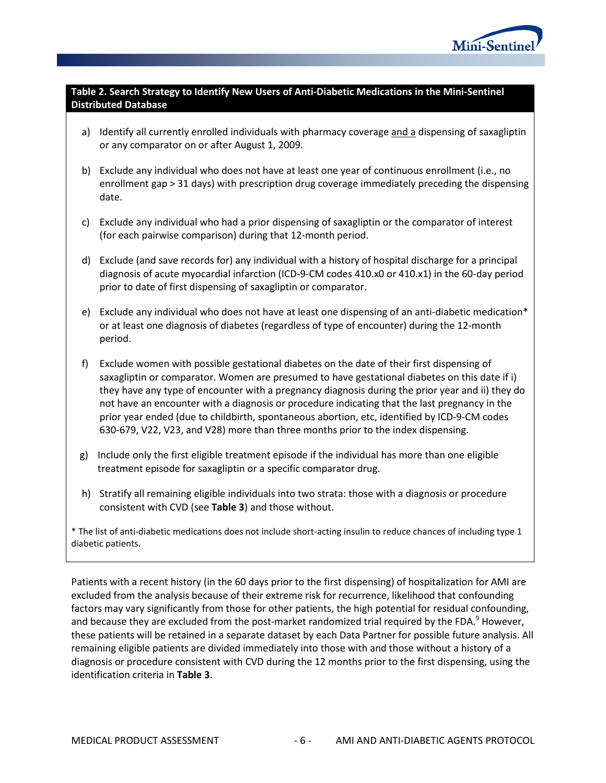

#### <span id="page-9-0"></span>**Table 2. Search Strategy to Identify New Users of Anti-Diabetic Medications in the Mini-Sentinel Distributed Database**

- a) Identify all currently enrolled individuals with pharmacy coverage and a dispensing of saxagliptin or any comparator on or after August 1, 2009.
- b) Exclude any individual who does not have at least one year of continuous enrollment (i.e., no enrollment gap > 31 days) with prescription drug coverage immediately preceding the dispensing date.
- c) Exclude any individual who had a prior dispensing of saxagliptin or the comparator of interest (for each pairwise comparison) during that 12-month period.
- d) Exclude (and save records for) any individual with a history of hospital discharge for a principal diagnosis of acute myocardial infarction (ICD-9-CM codes 410.x0 or 410.x1) in the 60-day period prior to date of first dispensing of saxagliptin or comparator.
- e) Exclude any individual who does not have at least one dispensing of an anti-diabetic medication\* or at least one diagnosis of diabetes (regardless of type of encounter) during the 12-month period.
- f) Exclude women with possible gestational diabetes on the date of their first dispensing of saxagliptin or comparator. Women are presumed to have gestational diabetes on this date if i) they have any type of encounter with a pregnancy diagnosis during the prior year and ii) they do not have an encounter with a diagnosis or procedure indicating that the last pregnancy in the prior year ended (due to childbirth, spontaneous abortion, etc, identified by ICD-9-CM codes 630-679, V22, V23, and V28) more than three months prior to the index dispensing.
- g) Include only the first eligible treatment episode if the individual has more than one eligible treatment episode for saxagliptin or a specific comparator drug.
- h) Stratify all remaining eligible individuals into two strata: those with a diagnosis or procedure consistent with CVD (see **[Table 3](#page-10-0)**) and those without.

\* The list of anti-diabetic medications does not include short-acting insulin to reduce chances of including type 1 diabetic patients.

Patients with a recent history (in the 60 days prior to the first dispensing) of hospitalization for AMI are excluded from the analysis because of their extreme risk for recurrence, likelihood that confounding factors may vary significantly from those for other patients, the high potential for residual confounding, and because they are excluded from the post-market randomized trial required by the FDA.<sup>9</sup> However, these patients will be retained in a separate dataset by each Data Partner for possible future analysis. All remaining eligible patients are divided immediately into those with and those without a history of a diagnosis or procedure consistent with CVD during the 12 months prior to the first dispensing, using the identification criteria in **[Table 3](#page-10-0)**.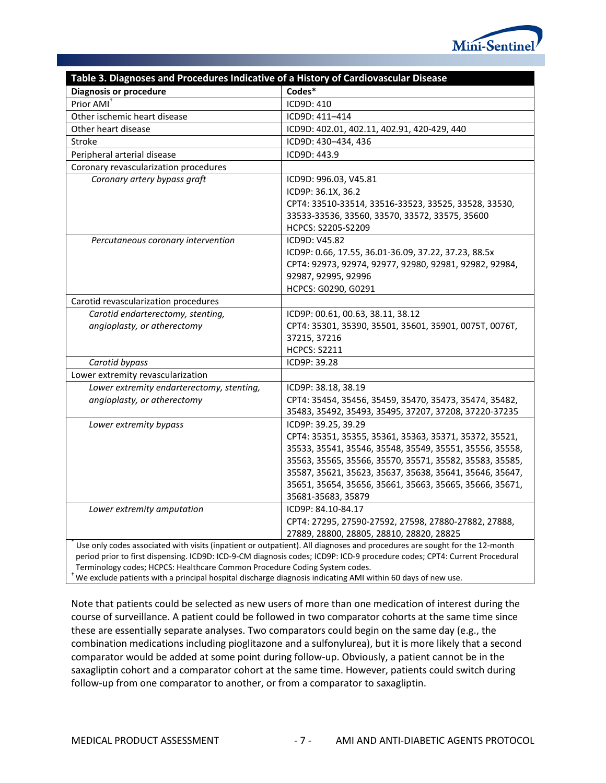

<span id="page-10-0"></span>

| Table 3. Diagnoses and Procedures Indicative of a History of Cardiovascular Disease                                                                                                       |                                                                                                                                                                                                                                                                                                                                                 |  |  |  |  |
|-------------------------------------------------------------------------------------------------------------------------------------------------------------------------------------------|-------------------------------------------------------------------------------------------------------------------------------------------------------------------------------------------------------------------------------------------------------------------------------------------------------------------------------------------------|--|--|--|--|
| <b>Diagnosis or procedure</b>                                                                                                                                                             | Codes*                                                                                                                                                                                                                                                                                                                                          |  |  |  |  |
| Prior AMI <sup>+</sup>                                                                                                                                                                    | ICD9D: 410                                                                                                                                                                                                                                                                                                                                      |  |  |  |  |
| Other ischemic heart disease                                                                                                                                                              | ICD9D: 411-414                                                                                                                                                                                                                                                                                                                                  |  |  |  |  |
| Other heart disease                                                                                                                                                                       | ICD9D: 402.01, 402.11, 402.91, 420-429, 440                                                                                                                                                                                                                                                                                                     |  |  |  |  |
| Stroke                                                                                                                                                                                    | ICD9D: 430-434, 436                                                                                                                                                                                                                                                                                                                             |  |  |  |  |
| Peripheral arterial disease                                                                                                                                                               | ICD9D: 443.9                                                                                                                                                                                                                                                                                                                                    |  |  |  |  |
| Coronary revascularization procedures                                                                                                                                                     |                                                                                                                                                                                                                                                                                                                                                 |  |  |  |  |
| Coronary artery bypass graft                                                                                                                                                              | ICD9D: 996.03, V45.81<br>ICD9P: 36.1X, 36.2<br>CPT4: 33510-33514, 33516-33523, 33525, 33528, 33530,<br>33533-33536, 33560, 33570, 33572, 33575, 35600<br>HCPCS: S2205-S2209                                                                                                                                                                     |  |  |  |  |
| Percutaneous coronary intervention                                                                                                                                                        | ICD9D: V45.82<br>ICD9P: 0.66, 17.55, 36.01-36.09, 37.22, 37.23, 88.5x<br>CPT4: 92973, 92974, 92977, 92980, 92981, 92982, 92984,<br>92987, 92995, 92996<br>HCPCS: G0290, G0291                                                                                                                                                                   |  |  |  |  |
| Carotid revascularization procedures                                                                                                                                                      |                                                                                                                                                                                                                                                                                                                                                 |  |  |  |  |
| Carotid endarterectomy, stenting,<br>angioplasty, or atherectomy                                                                                                                          | ICD9P: 00.61, 00.63, 38.11, 38.12<br>CPT4: 35301, 35390, 35501, 35601, 35901, 0075T, 0076T,<br>37215, 37216<br><b>HCPCS: S2211</b>                                                                                                                                                                                                              |  |  |  |  |
| Carotid bypass                                                                                                                                                                            | ICD9P: 39.28                                                                                                                                                                                                                                                                                                                                    |  |  |  |  |
| Lower extremity revascularization                                                                                                                                                         |                                                                                                                                                                                                                                                                                                                                                 |  |  |  |  |
| Lower extremity endarterectomy, stenting,<br>angioplasty, or atherectomy                                                                                                                  | ICD9P: 38.18, 38.19<br>CPT4: 35454, 35456, 35459, 35470, 35473, 35474, 35482,<br>35483, 35492, 35493, 35495, 37207, 37208, 37220-37235                                                                                                                                                                                                          |  |  |  |  |
| Lower extremity bypass                                                                                                                                                                    | ICD9P: 39.25, 39.29<br>CPT4: 35351, 35355, 35361, 35363, 35371, 35372, 35521,<br>35533, 35541, 35546, 35548, 35549, 35551, 35556, 35558,<br>35563, 35565, 35566, 35570, 35571, 35582, 35583, 35585,<br>35587, 35621, 35623, 35637, 35638, 35641, 35646, 35647,<br>35651, 35654, 35656, 35661, 35663, 35665, 35666, 35671,<br>35681-35683, 35879 |  |  |  |  |
| Lower extremity amputation                                                                                                                                                                | ICD9P: 84.10-84.17<br>CPT4: 27295, 27590-27592, 27598, 27880-27882, 27888,<br>27889, 28800, 28805, 28810, 28820, 28825                                                                                                                                                                                                                          |  |  |  |  |
| Terminology codes; HCPCS: Healthcare Common Procedure Coding System codes.<br>We exclude patients with a principal hospital discharge diagnosis indicating AMI within 60 days of new use. | Use only codes associated with visits (inpatient or outpatient). All diagnoses and procedures are sought for the 12-month<br>period prior to first dispensing. ICD9D: ICD-9-CM diagnosis codes; ICD9P: ICD-9 procedure codes; CPT4: Current Procedural                                                                                          |  |  |  |  |

Note that patients could be selected as new users of more than one medication of interest during the course of surveillance. A patient could be followed in two comparator cohorts at the same time since these are essentially separate analyses. Two comparators could begin on the same day (e.g., the combination medications including pioglitazone and a sulfonylurea), but it is more likely that a second comparator would be added at some point during follow-up. Obviously, a patient cannot be in the saxagliptin cohort and a comparator cohort at the same time. However, patients could switch during follow-up from one comparator to another, or from a comparator to saxagliptin.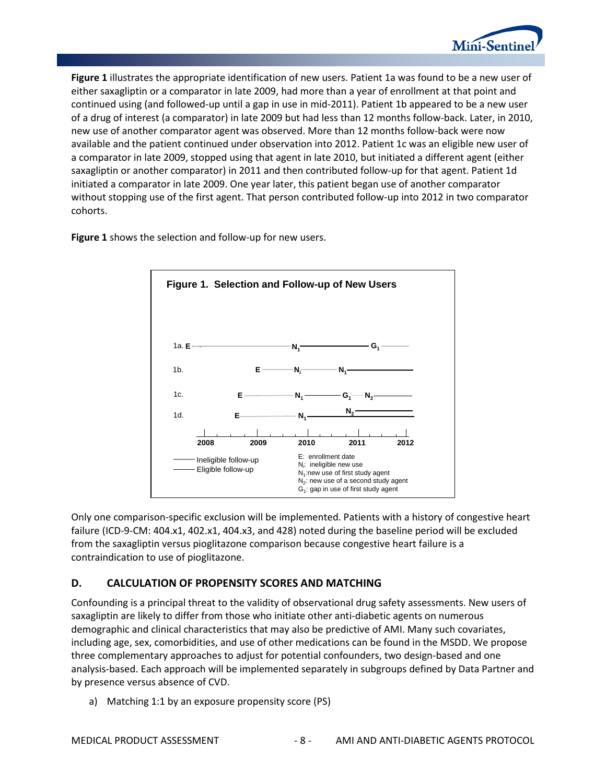

**[Figure 1](#page-11-1)** illustrates the appropriate identification of new users. Patient 1a was found to be a new user of either saxagliptin or a comparator in late 2009, had more than a year of enrollment at that point and continued using (and followed-up until a gap in use in mid-2011). Patient 1b appeared to be a new user of a drug of interest (a comparator) in late 2009 but had less than 12 months follow-back. Later, in 2010, new use of another comparator agent was observed. More than 12 months follow-back were now available and the patient continued under observation into 2012. Patient 1c was an eligible new user of a comparator in late 2009, stopped using that agent in late 2010, but initiated a different agent (either saxagliptin or another comparator) in 2011 and then contributed follow-up for that agent. Patient 1d initiated a comparator in late 2009. One year later, this patient began use of another comparator without stopping use of the first agent. That person contributed follow-up into 2012 in two comparator cohorts.

<span id="page-11-1"></span>**Figure 1** shows the selection and follow-up for new users.



Only one comparison-specific exclusion will be implemented. Patients with a history of congestive heart failure (ICD-9-CM: 404.x1, 402.x1, 404.x3, and 428) noted during the baseline period will be excluded from the saxagliptin versus pioglitazone comparison because congestive heart failure is a contraindication to use of pioglitazone.

## <span id="page-11-0"></span>**D. CALCULATION OF PROPENSITY SCORES AND MATCHING**

Confounding is a principal threat to the validity of observational drug safety assessments. New users of saxagliptin are likely to differ from those who initiate other anti-diabetic agents on numerous demographic and clinical characteristics that may also be predictive of AMI. Many such covariates, including age, sex, comorbidities, and use of other medications can be found in the MSDD. We propose three complementary approaches to adjust for potential confounders, two design-based and one analysis-based. Each approach will be implemented separately in subgroups defined by Data Partner and by presence versus absence of CVD.

a) Matching 1:1 by an exposure propensity score (PS)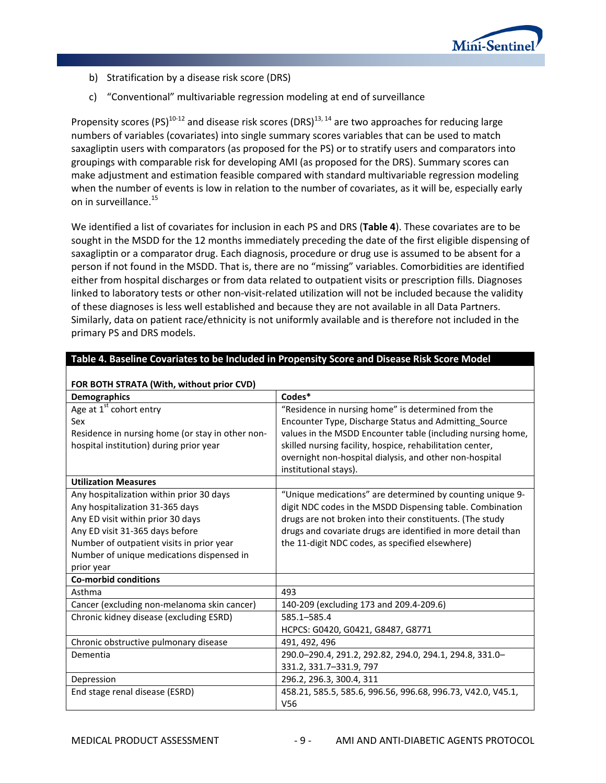

- b) Stratification by a disease risk score (DRS)
- c) "Conventional" multivariable regression modeling at end of surveillance

Propensity scores (PS)<sup>10-12</sup> and disease risk scores (DRS)<sup>13, 14</sup> are two approaches for reducing large numbers of variables (covariates) into single summary scores variables that can be used to match saxagliptin users with comparators (as proposed for the PS) or to stratify users and comparators into groupings with comparable risk for developing AMI (as proposed for the DRS). Summary scores can make adjustment and estimation feasible compared with standard multivariable regression modeling when the number of events is low in relation to the number of covariates, as it will be, especially early on in surveillance.<sup>15</sup>

We identified a list of covariates for inclusion in each PS and DRS (**[Table 4](#page-12-0)**). These covariates are to be sought in the MSDD for the 12 months immediately preceding the date of the first eligible dispensing of saxagliptin or a comparator drug. Each diagnosis, procedure or drug use is assumed to be absent for a person if not found in the MSDD. That is, there are no "missing" variables. Comorbidities are identified either from hospital discharges or from data related to outpatient visits or prescription fills. Diagnoses linked to laboratory tests or other non-visit-related utilization will not be included because the validity of these diagnoses is less well established and because they are not available in all Data Partners. Similarly, data on patient race/ethnicity is not uniformly available and is therefore not included in the primary PS and DRS models.

| Table 4. Baseline Covariates to be included in Propensity Score and Disease Risk Score Model |                                                              |  |  |  |  |
|----------------------------------------------------------------------------------------------|--------------------------------------------------------------|--|--|--|--|
| FOR BOTH STRATA (With, without prior CVD)                                                    |                                                              |  |  |  |  |
| <b>Demographics</b>                                                                          | Codes*                                                       |  |  |  |  |
| Age at 1 <sup>st</sup> cohort entry                                                          | "Residence in nursing home" is determined from the           |  |  |  |  |
| Sex                                                                                          | Encounter Type, Discharge Status and Admitting Source        |  |  |  |  |
| Residence in nursing home (or stay in other non-                                             | values in the MSDD Encounter table (including nursing home,  |  |  |  |  |
| hospital institution) during prior year                                                      | skilled nursing facility, hospice, rehabilitation center,    |  |  |  |  |
|                                                                                              | overnight non-hospital dialysis, and other non-hospital      |  |  |  |  |
|                                                                                              | institutional stays).                                        |  |  |  |  |
| <b>Utilization Measures</b>                                                                  |                                                              |  |  |  |  |
| Any hospitalization within prior 30 days                                                     | "Unique medications" are determined by counting unique 9-    |  |  |  |  |
| Any hospitalization 31-365 days                                                              | digit NDC codes in the MSDD Dispensing table. Combination    |  |  |  |  |
| Any ED visit within prior 30 days                                                            | drugs are not broken into their constituents. (The study     |  |  |  |  |
| Any ED visit 31-365 days before                                                              | drugs and covariate drugs are identified in more detail than |  |  |  |  |
| Number of outpatient visits in prior year                                                    | the 11-digit NDC codes, as specified elsewhere)              |  |  |  |  |
| Number of unique medications dispensed in                                                    |                                                              |  |  |  |  |
| prior year                                                                                   |                                                              |  |  |  |  |
| <b>Co-morbid conditions</b>                                                                  |                                                              |  |  |  |  |
| Asthma                                                                                       | 493                                                          |  |  |  |  |
| Cancer (excluding non-melanoma skin cancer)                                                  | 140-209 (excluding 173 and 209.4-209.6)                      |  |  |  |  |
| Chronic kidney disease (excluding ESRD)                                                      | 585.1-585.4                                                  |  |  |  |  |
|                                                                                              | HCPCS: G0420, G0421, G8487, G8771                            |  |  |  |  |
| Chronic obstructive pulmonary disease                                                        | 491, 492, 496                                                |  |  |  |  |
| Dementia                                                                                     | 290.0-290.4, 291.2, 292.82, 294.0, 294.1, 294.8, 331.0-      |  |  |  |  |
|                                                                                              | 331.2, 331.7-331.9, 797                                      |  |  |  |  |
| Depression                                                                                   | 296.2, 296.3, 300.4, 311                                     |  |  |  |  |
| End stage renal disease (ESRD)                                                               | 458.21, 585.5, 585.6, 996.56, 996.68, 996.73, V42.0, V45.1,  |  |  |  |  |
|                                                                                              | V <sub>56</sub>                                              |  |  |  |  |

#### <span id="page-12-0"></span>**Table 4. Baseline Covariates to be Included in Propensity Score and Disease Risk Score Model**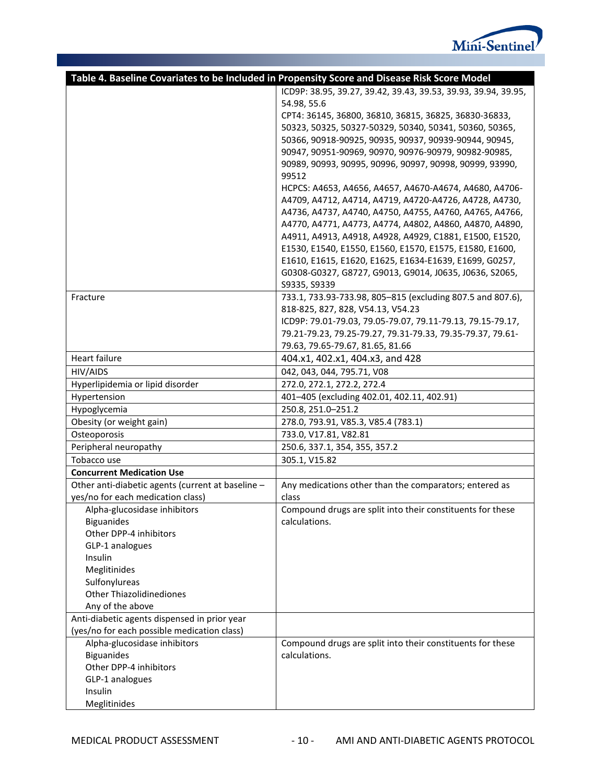

|                                                   | Table 4. Baseline Covariates to be Included in Propensity Score and Disease Risk Score Model |  |  |  |  |
|---------------------------------------------------|----------------------------------------------------------------------------------------------|--|--|--|--|
|                                                   | ICD9P: 38.95, 39.27, 39.42, 39.43, 39.53, 39.93, 39.94, 39.95,                               |  |  |  |  |
|                                                   | 54.98, 55.6                                                                                  |  |  |  |  |
|                                                   | CPT4: 36145, 36800, 36810, 36815, 36825, 36830-36833,                                        |  |  |  |  |
|                                                   | 50323, 50325, 50327-50329, 50340, 50341, 50360, 50365,                                       |  |  |  |  |
|                                                   | 50366, 90918-90925, 90935, 90937, 90939-90944, 90945,                                        |  |  |  |  |
|                                                   | 90947, 90951-90969, 90970, 90976-90979, 90982-90985,                                         |  |  |  |  |
|                                                   | 90989, 90993, 90995, 90996, 90997, 90998, 90999, 93990,                                      |  |  |  |  |
|                                                   | 99512                                                                                        |  |  |  |  |
|                                                   | HCPCS: A4653, A4656, A4657, A4670-A4674, A4680, A4706-                                       |  |  |  |  |
|                                                   | A4709, A4712, A4714, A4719, A4720-A4726, A4728, A4730,                                       |  |  |  |  |
|                                                   | A4736, A4737, A4740, A4750, A4755, A4760, A4765, A4766,                                      |  |  |  |  |
|                                                   | A4770, A4771, A4773, A4774, A4802, A4860, A4870, A4890,                                      |  |  |  |  |
|                                                   | A4911, A4913, A4918, A4928, A4929, C1881, E1500, E1520,                                      |  |  |  |  |
|                                                   | E1530, E1540, E1550, E1560, E1570, E1575, E1580, E1600,                                      |  |  |  |  |
|                                                   | E1610, E1615, E1620, E1625, E1634-E1639, E1699, G0257,                                       |  |  |  |  |
|                                                   | G0308-G0327, G8727, G9013, G9014, J0635, J0636, S2065,                                       |  |  |  |  |
|                                                   | S9335, S9339                                                                                 |  |  |  |  |
| Fracture                                          | 733.1, 733.93-733.98, 805-815 (excluding 807.5 and 807.6),                                   |  |  |  |  |
|                                                   | 818-825, 827, 828, V54.13, V54.23                                                            |  |  |  |  |
|                                                   | ICD9P: 79.01-79.03, 79.05-79.07, 79.11-79.13, 79.15-79.17,                                   |  |  |  |  |
|                                                   | 79.21-79.23, 79.25-79.27, 79.31-79.33, 79.35-79.37, 79.61-                                   |  |  |  |  |
|                                                   | 79.63, 79.65-79.67, 81.65, 81.66                                                             |  |  |  |  |
| Heart failure                                     | 404.x1, 402.x1, 404.x3, and 428                                                              |  |  |  |  |
| HIV/AIDS                                          | 042, 043, 044, 795.71, V08                                                                   |  |  |  |  |
| Hyperlipidemia or lipid disorder                  | 272.0, 272.1, 272.2, 272.4                                                                   |  |  |  |  |
| Hypertension                                      | 401-405 (excluding 402.01, 402.11, 402.91)                                                   |  |  |  |  |
| Hypoglycemia                                      | 250.8, 251.0-251.2                                                                           |  |  |  |  |
| Obesity (or weight gain)                          | 278.0, 793.91, V85.3, V85.4 (783.1)                                                          |  |  |  |  |
| Osteoporosis                                      | 733.0, V17.81, V82.81                                                                        |  |  |  |  |
| Peripheral neuropathy                             | 250.6, 337.1, 354, 355, 357.2                                                                |  |  |  |  |
| Tobacco use                                       | 305.1, V15.82                                                                                |  |  |  |  |
| <b>Concurrent Medication Use</b>                  |                                                                                              |  |  |  |  |
| Other anti-diabetic agents (current at baseline - | Any medications other than the comparators; entered as                                       |  |  |  |  |
| yes/no for each medication class)                 | class                                                                                        |  |  |  |  |
| Alpha-glucosidase inhibitors                      | Compound drugs are split into their constituents for these                                   |  |  |  |  |
| <b>Biguanides</b>                                 | calculations.                                                                                |  |  |  |  |
| Other DPP-4 inhibitors                            |                                                                                              |  |  |  |  |
| GLP-1 analogues                                   |                                                                                              |  |  |  |  |
| Insulin                                           |                                                                                              |  |  |  |  |
| Meglitinides                                      |                                                                                              |  |  |  |  |
| Sulfonylureas                                     |                                                                                              |  |  |  |  |
| <b>Other Thiazolidinediones</b>                   |                                                                                              |  |  |  |  |
| Any of the above                                  |                                                                                              |  |  |  |  |
| Anti-diabetic agents dispensed in prior year      |                                                                                              |  |  |  |  |
| (yes/no for each possible medication class)       |                                                                                              |  |  |  |  |
| Alpha-glucosidase inhibitors                      | Compound drugs are split into their constituents for these                                   |  |  |  |  |
| <b>Biguanides</b>                                 | calculations.                                                                                |  |  |  |  |
| Other DPP-4 inhibitors                            |                                                                                              |  |  |  |  |
| GLP-1 analogues                                   |                                                                                              |  |  |  |  |
| Insulin                                           |                                                                                              |  |  |  |  |
| Meglitinides                                      |                                                                                              |  |  |  |  |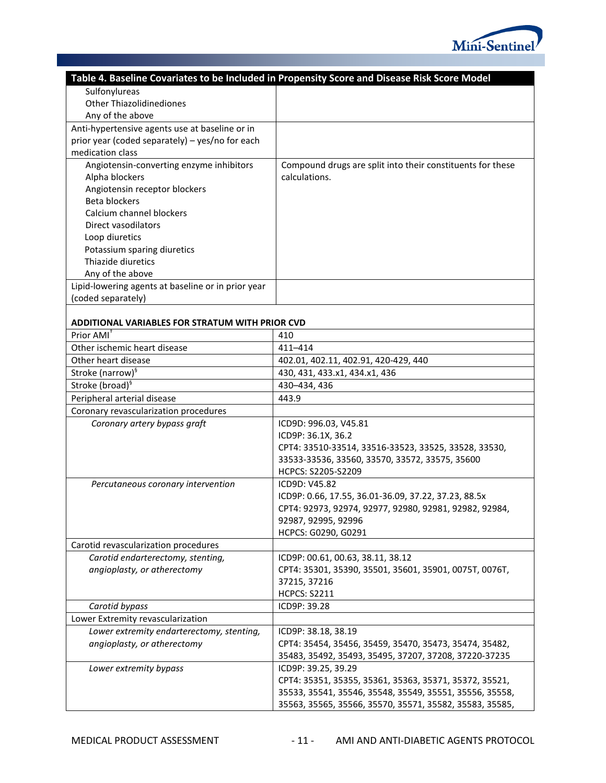

|                                                    | Table 4. Baseline Covariates to be Included in Propensity Score and Disease Risk Score Model |
|----------------------------------------------------|----------------------------------------------------------------------------------------------|
| Sulfonylureas                                      |                                                                                              |
| <b>Other Thiazolidinediones</b>                    |                                                                                              |
| Any of the above                                   |                                                                                              |
| Anti-hypertensive agents use at baseline or in     |                                                                                              |
| prior year (coded separately) - yes/no for each    |                                                                                              |
| medication class                                   |                                                                                              |
| Angiotensin-converting enzyme inhibitors           | Compound drugs are split into their constituents for these                                   |
| Alpha blockers                                     | calculations.                                                                                |
| Angiotensin receptor blockers                      |                                                                                              |
| <b>Beta blockers</b>                               |                                                                                              |
| Calcium channel blockers                           |                                                                                              |
| Direct vasodilators                                |                                                                                              |
| Loop diuretics                                     |                                                                                              |
| Potassium sparing diuretics                        |                                                                                              |
| Thiazide diuretics                                 |                                                                                              |
| Any of the above                                   |                                                                                              |
| Lipid-lowering agents at baseline or in prior year |                                                                                              |
| (coded separately)                                 |                                                                                              |
|                                                    |                                                                                              |
| ADDITIONAL VARIABLES FOR STRATUM WITH PRIOR CVD    |                                                                                              |
| Prior AMI <sup>+</sup>                             | 410                                                                                          |
| Other ischemic heart disease                       | 411-414                                                                                      |
| Other heart disease                                | 402.01, 402.11, 402.91, 420-429, 440                                                         |
| Stroke (narrow) <sup>§</sup>                       | 430, 431, 433.x1, 434.x1, 436                                                                |
| Stroke (broad) <sup>§</sup>                        | 430-434, 436                                                                                 |
| Peripheral arterial disease                        | 443.9                                                                                        |
| Coronary revascularization procedures              |                                                                                              |
| Coronary artery bypass graft                       | ICD9D: 996.03, V45.81                                                                        |
|                                                    | ICD9P: 36.1X, 36.2                                                                           |
|                                                    | CPT4: 33510-33514, 33516-33523, 33525, 33528, 33530,                                         |
|                                                    | 33533-33536, 33560, 33570, 33572, 33575, 35600                                               |
|                                                    | HCPCS: S2205-S2209                                                                           |
| Percutaneous coronary intervention                 | ICD9D: V45.82<br>ICD9P: 0.66, 17.55, 36.01-36.09, 37.22, 37.23, 88.5x                        |
|                                                    | CPT4: 92973, 92974, 92977, 92980, 92981, 92982, 92984,                                       |
|                                                    | 92987, 92995, 92996                                                                          |
|                                                    | HCPCS: G0290, G0291                                                                          |
| Carotid revascularization procedures               |                                                                                              |
| Carotid endarterectomy, stenting,                  | ICD9P: 00.61, 00.63, 38.11, 38.12                                                            |
| angioplasty, or atherectomy                        | CPT4: 35301, 35390, 35501, 35601, 35901, 0075T, 0076T,                                       |
|                                                    | 37215, 37216                                                                                 |
|                                                    | <b>HCPCS: S2211</b>                                                                          |
| Carotid bypass                                     | ICD9P: 39.28                                                                                 |
| Lower Extremity revascularization                  |                                                                                              |
| Lower extremity endarterectomy, stenting,          | ICD9P: 38.18, 38.19                                                                          |
| angioplasty, or atherectomy                        | CPT4: 35454, 35456, 35459, 35470, 35473, 35474, 35482,                                       |
|                                                    | 35483, 35492, 35493, 35495, 37207, 37208, 37220-37235                                        |
| Lower extremity bypass                             | ICD9P: 39.25, 39.29                                                                          |
|                                                    | CPT4: 35351, 35355, 35361, 35363, 35371, 35372, 35521,                                       |
|                                                    | 35533, 35541, 35546, 35548, 35549, 35551, 35556, 35558,                                      |
|                                                    | 35563, 35565, 35566, 35570, 35571, 35582, 35583, 35585,                                      |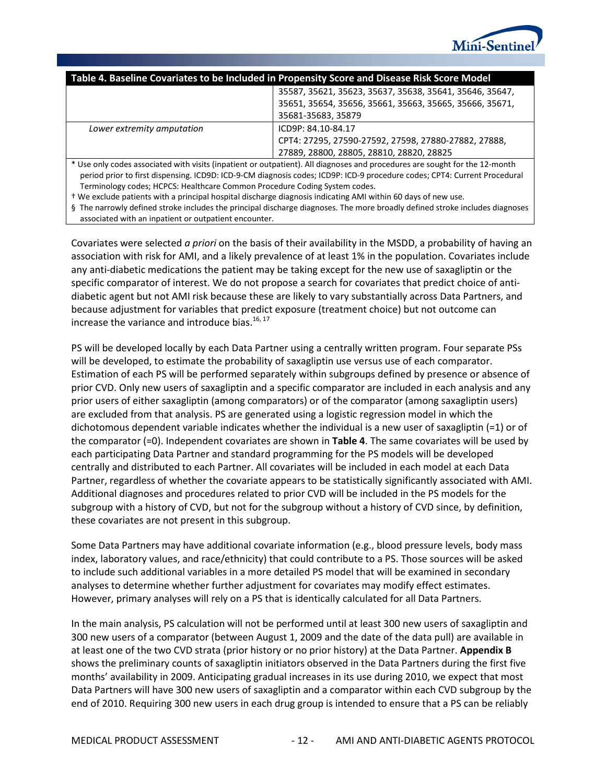

| Table 4. Baseline Covariates to be Included in Propensity Score and Disease Risk Score Model |                                                                                                                             |  |  |  |
|----------------------------------------------------------------------------------------------|-----------------------------------------------------------------------------------------------------------------------------|--|--|--|
| 35587, 35621, 35623, 35637, 35638, 35641, 35646, 35647,                                      |                                                                                                                             |  |  |  |
|                                                                                              | 35651, 35654, 35656, 35661, 35663, 35665, 35666, 35671,                                                                     |  |  |  |
| 35681-35683, 35879                                                                           |                                                                                                                             |  |  |  |
| Lower extremity amputation                                                                   | ICD9P: 84.10-84.17                                                                                                          |  |  |  |
|                                                                                              | CPT4: 27295, 27590-27592, 27598, 27880-27882, 27888,                                                                        |  |  |  |
| 27889, 28800, 28805, 28810, 28820, 28825                                                     |                                                                                                                             |  |  |  |
|                                                                                              | * Use only codes associated with visits (inpatient or outpatient). All diagnoses and procedures are sought for the 12-month |  |  |  |

period prior to first dispensing. ICD9D: ICD-9-CM diagnosis codes; ICD9P: ICD-9 procedure codes; CPT4: Current Procedural Terminology codes; HCPCS: Healthcare Common Procedure Coding System codes.

† We exclude patients with a principal hospital discharge diagnosis indicating AMI within 60 days of new use.

§ The narrowly defined stroke includes the principal discharge diagnoses. The more broadly defined stroke includes diagnoses associated with an inpatient or outpatient encounter.

Covariates were selected *a priori* on the basis of their availability in the MSDD, a probability of having an association with risk for AMI, and a likely prevalence of at least 1% in the population. Covariates include any anti-diabetic medications the patient may be taking except for the new use of saxagliptin or the specific comparator of interest. We do not propose a search for covariates that predict choice of antidiabetic agent but not AMI risk because these are likely to vary substantially across Data Partners, and because adjustment for variables that predict exposure (treatment choice) but not outcome can increase the variance and introduce bias.<sup>16, 17</sup>

PS will be developed locally by each Data Partner using a centrally written program. Four separate PSs will be developed, to estimate the probability of saxagliptin use versus use of each comparator. Estimation of each PS will be performed separately within subgroups defined by presence or absence of prior CVD. Only new users of saxagliptin and a specific comparator are included in each analysis and any prior users of either saxagliptin (among comparators) or of the comparator (among saxagliptin users) are excluded from that analysis. PS are generated using a logistic regression model in which the dichotomous dependent variable indicates whether the individual is a new user of saxagliptin (=1) or of the comparator (=0). Independent covariates are shown in **[Table 4](#page-12-0)**. The same covariates will be used by each participating Data Partner and standard programming for the PS models will be developed centrally and distributed to each Partner. All covariates will be included in each model at each Data Partner, regardless of whether the covariate appears to be statistically significantly associated with AMI. Additional diagnoses and procedures related to prior CVD will be included in the PS models for the subgroup with a history of CVD, but not for the subgroup without a history of CVD since, by definition, these covariates are not present in this subgroup.

Some Data Partners may have additional covariate information (e.g., blood pressure levels, body mass index, laboratory values, and race/ethnicity) that could contribute to a PS. Those sources will be asked to include such additional variables in a more detailed PS model that will be examined in secondary analyses to determine whether further adjustment for covariates may modify effect estimates. However, primary analyses will rely on a PS that is identically calculated for all Data Partners.

In the main analysis, PS calculation will not be performed until at least 300 new users of saxagliptin and 300 new users of a comparator (between August 1, 2009 and the date of the data pull) are available in at least one of the two CVD strata (prior history or no prior history) at the Data Partner. **[Appendix B](#page-57-0)** shows the preliminary counts of saxagliptin initiators observed in the Data Partners during the first five months' availability in 2009. Anticipating gradual increases in its use during 2010, we expect that most Data Partners will have 300 new users of saxagliptin and a comparator within each CVD subgroup by the end of 2010. Requiring 300 new users in each drug group is intended to ensure that a PS can be reliably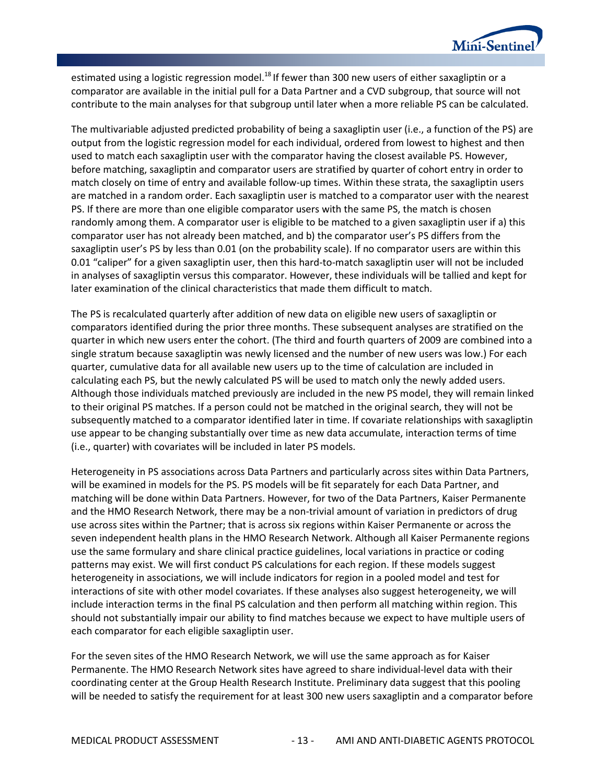

estimated using a logistic regression model.<sup>18</sup> If fewer than 300 new users of either saxagliptin or a comparator are available in the initial pull for a Data Partner and a CVD subgroup, that source will not contribute to the main analyses for that subgroup until later when a more reliable PS can be calculated.

The multivariable adjusted predicted probability of being a saxagliptin user (i.e., a function of the PS) are output from the logistic regression model for each individual, ordered from lowest to highest and then used to match each saxagliptin user with the comparator having the closest available PS. However, before matching, saxagliptin and comparator users are stratified by quarter of cohort entry in order to match closely on time of entry and available follow-up times. Within these strata, the saxagliptin users are matched in a random order. Each saxagliptin user is matched to a comparator user with the nearest PS. If there are more than one eligible comparator users with the same PS, the match is chosen randomly among them. A comparator user is eligible to be matched to a given saxagliptin user if a) this comparator user has not already been matched, and b) the comparator user's PS differs from the saxagliptin user's PS by less than 0.01 (on the probability scale). If no comparator users are within this 0.01 "caliper" for a given saxagliptin user, then this hard-to-match saxagliptin user will not be included in analyses of saxagliptin versus this comparator. However, these individuals will be tallied and kept for later examination of the clinical characteristics that made them difficult to match.

The PS is recalculated quarterly after addition of new data on eligible new users of saxagliptin or comparators identified during the prior three months. These subsequent analyses are stratified on the quarter in which new users enter the cohort. (The third and fourth quarters of 2009 are combined into a single stratum because saxagliptin was newly licensed and the number of new users was low.) For each quarter, cumulative data for all available new users up to the time of calculation are included in calculating each PS, but the newly calculated PS will be used to match only the newly added users. Although those individuals matched previously are included in the new PS model, they will remain linked to their original PS matches. If a person could not be matched in the original search, they will not be subsequently matched to a comparator identified later in time. If covariate relationships with saxagliptin use appear to be changing substantially over time as new data accumulate, interaction terms of time (i.e., quarter) with covariates will be included in later PS models.

Heterogeneity in PS associations across Data Partners and particularly across sites within Data Partners, will be examined in models for the PS. PS models will be fit separately for each Data Partner, and matching will be done within Data Partners. However, for two of the Data Partners, Kaiser Permanente and the HMO Research Network, there may be a non-trivial amount of variation in predictors of drug use across sites within the Partner; that is across six regions within Kaiser Permanente or across the seven independent health plans in the HMO Research Network. Although all Kaiser Permanente regions use the same formulary and share clinical practice guidelines, local variations in practice or coding patterns may exist. We will first conduct PS calculations for each region. If these models suggest heterogeneity in associations, we will include indicators for region in a pooled model and test for interactions of site with other model covariates. If these analyses also suggest heterogeneity, we will include interaction terms in the final PS calculation and then perform all matching within region. This should not substantially impair our ability to find matches because we expect to have multiple users of each comparator for each eligible saxagliptin user.

For the seven sites of the HMO Research Network, we will use the same approach as for Kaiser Permanente. The HMO Research Network sites have agreed to share individual-level data with their coordinating center at the Group Health Research Institute. Preliminary data suggest that this pooling will be needed to satisfy the requirement for at least 300 new users saxagliptin and a comparator before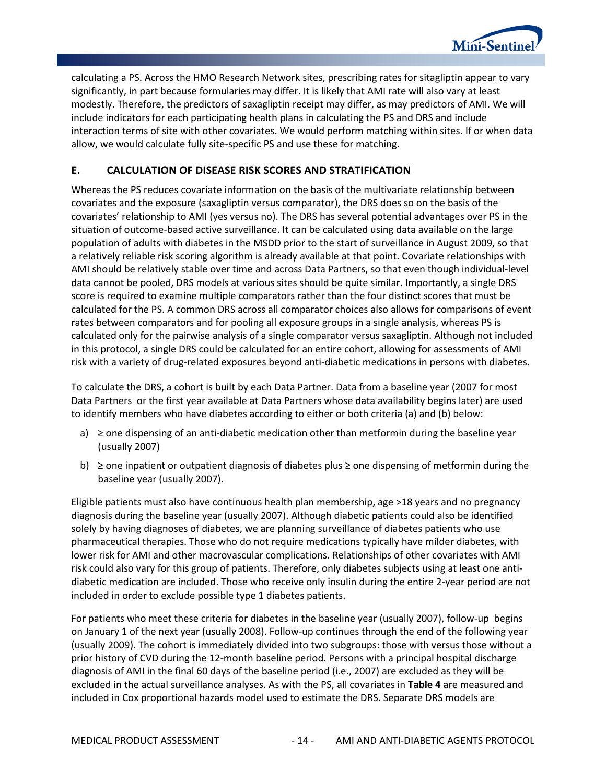

calculating a PS. Across the HMO Research Network sites, prescribing rates for sitagliptin appear to vary significantly, in part because formularies may differ. It is likely that AMI rate will also vary at least modestly. Therefore, the predictors of saxagliptin receipt may differ, as may predictors of AMI. We will include indicators for each participating health plans in calculating the PS and DRS and include interaction terms of site with other covariates. We would perform matching within sites. If or when data allow, we would calculate fully site-specific PS and use these for matching.

### <span id="page-17-0"></span>**E. CALCULATION OF DISEASE RISK SCORES AND STRATIFICATION**

Whereas the PS reduces covariate information on the basis of the multivariate relationship between covariates and the exposure (saxagliptin versus comparator), the DRS does so on the basis of the covariates' relationship to AMI (yes versus no). The DRS has several potential advantages over PS in the situation of outcome-based active surveillance. It can be calculated using data available on the large population of adults with diabetes in the MSDD prior to the start of surveillance in August 2009, so that a relatively reliable risk scoring algorithm is already available at that point. Covariate relationships with AMI should be relatively stable over time and across Data Partners, so that even though individual-level data cannot be pooled, DRS models at various sites should be quite similar. Importantly, a single DRS score is required to examine multiple comparators rather than the four distinct scores that must be calculated for the PS. A common DRS across all comparator choices also allows for comparisons of event rates between comparators and for pooling all exposure groups in a single analysis, whereas PS is calculated only for the pairwise analysis of a single comparator versus saxagliptin. Although not included in this protocol, a single DRS could be calculated for an entire cohort, allowing for assessments of AMI risk with a variety of drug-related exposures beyond anti-diabetic medications in persons with diabetes.

To calculate the DRS, a cohort is built by each Data Partner. Data from a baseline year (2007 for most Data Partners or the first year available at Data Partners whose data availability begins later) are used to identify members who have diabetes according to either or both criteria (a) and (b) below:

- a)  $\geq$  one dispensing of an anti-diabetic medication other than metformin during the baseline year (usually 2007)
- b) ≥ one inpatient or outpatient diagnosis of diabetes plus ≥ one dispensing of metformin during the baseline year (usually 2007).

Eligible patients must also have continuous health plan membership, age >18 years and no pregnancy diagnosis during the baseline year (usually 2007). Although diabetic patients could also be identified solely by having diagnoses of diabetes, we are planning surveillance of diabetes patients who use pharmaceutical therapies. Those who do not require medications typically have milder diabetes, with lower risk for AMI and other macrovascular complications. Relationships of other covariates with AMI risk could also vary for this group of patients. Therefore, only diabetes subjects using at least one antidiabetic medication are included. Those who receive only insulin during the entire 2-year period are not included in order to exclude possible type 1 diabetes patients.

For patients who meet these criteria for diabetes in the baseline year (usually 2007), follow-up begins on January 1 of the next year (usually 2008). Follow-up continues through the end of the following year (usually 2009). The cohort is immediately divided into two subgroups: those with versus those without a prior history of CVD during the 12-month baseline period. Persons with a principal hospital discharge diagnosis of AMI in the final 60 days of the baseline period (i.e., 2007) are excluded as they will be excluded in the actual surveillance analyses. As with the PS, all covariates in **[Table 4](#page-12-0)** are measured and included in Cox proportional hazards model used to estimate the DRS. Separate DRS models are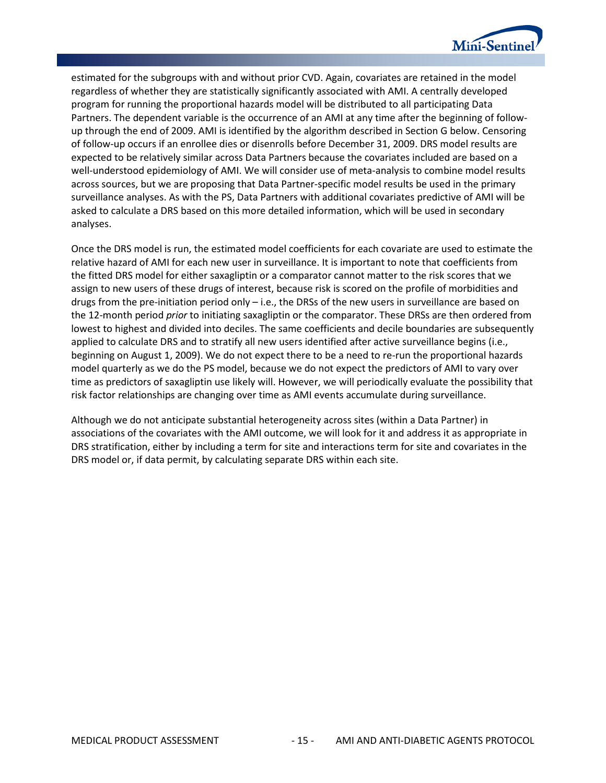

estimated for the subgroups with and without prior CVD. Again, covariates are retained in the model regardless of whether they are statistically significantly associated with AMI. A centrally developed program for running the proportional hazards model will be distributed to all participating Data Partners. The dependent variable is the occurrence of an AMI at any time after the beginning of followup through the end of 2009. AMI is identified by the algorithm described in Section G below. Censoring of follow-up occurs if an enrollee dies or disenrolls before December 31, 2009. DRS model results are expected to be relatively similar across Data Partners because the covariates included are based on a well-understood epidemiology of AMI. We will consider use of meta-analysis to combine model results across sources, but we are proposing that Data Partner-specific model results be used in the primary surveillance analyses. As with the PS, Data Partners with additional covariates predictive of AMI will be asked to calculate a DRS based on this more detailed information, which will be used in secondary analyses.

Once the DRS model is run, the estimated model coefficients for each covariate are used to estimate the relative hazard of AMI for each new user in surveillance. It is important to note that coefficients from the fitted DRS model for either saxagliptin or a comparator cannot matter to the risk scores that we assign to new users of these drugs of interest, because risk is scored on the profile of morbidities and drugs from the pre-initiation period only – i.e., the DRSs of the new users in surveillance are based on the 12-month period *prior* to initiating saxagliptin or the comparator. These DRSs are then ordered from lowest to highest and divided into deciles. The same coefficients and decile boundaries are subsequently applied to calculate DRS and to stratify all new users identified after active surveillance begins (i.e., beginning on August 1, 2009). We do not expect there to be a need to re-run the proportional hazards model quarterly as we do the PS model, because we do not expect the predictors of AMI to vary over time as predictors of saxagliptin use likely will. However, we will periodically evaluate the possibility that risk factor relationships are changing over time as AMI events accumulate during surveillance.

Although we do not anticipate substantial heterogeneity across sites (within a Data Partner) in associations of the covariates with the AMI outcome, we will look for it and address it as appropriate in DRS stratification, either by including a term for site and interactions term for site and covariates in the DRS model or, if data permit, by calculating separate DRS within each site.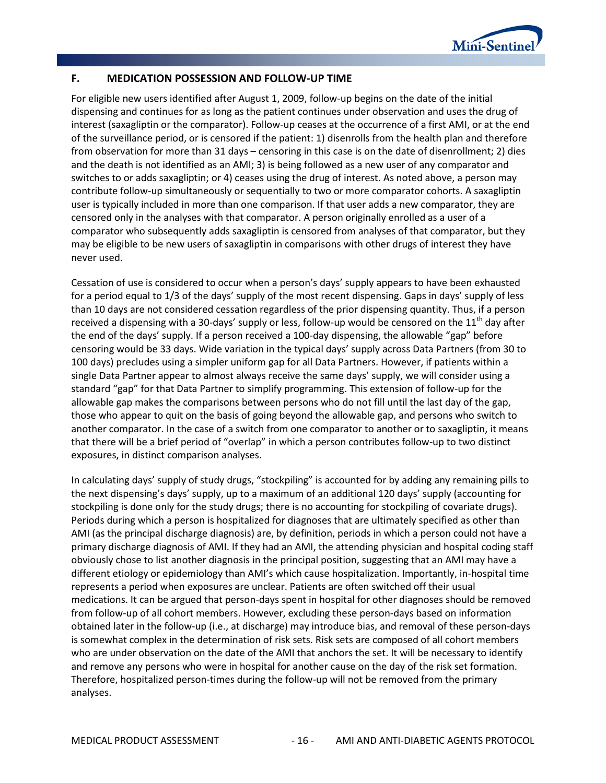

#### <span id="page-19-0"></span>**F. MEDICATION POSSESSION AND FOLLOW-UP TIME**

For eligible new users identified after August 1, 2009, follow-up begins on the date of the initial dispensing and continues for as long as the patient continues under observation and uses the drug of interest (saxagliptin or the comparator). Follow-up ceases at the occurrence of a first AMI, or at the end of the surveillance period, or is censored if the patient: 1) disenrolls from the health plan and therefore from observation for more than 31 days – censoring in this case is on the date of disenrollment; 2) dies and the death is not identified as an AMI; 3) is being followed as a new user of any comparator and switches to or adds saxagliptin; or 4) ceases using the drug of interest. As noted above, a person may contribute follow-up simultaneously or sequentially to two or more comparator cohorts. A saxagliptin user is typically included in more than one comparison. If that user adds a new comparator, they are censored only in the analyses with that comparator. A person originally enrolled as a user of a comparator who subsequently adds saxagliptin is censored from analyses of that comparator, but they may be eligible to be new users of saxagliptin in comparisons with other drugs of interest they have never used.

Cessation of use is considered to occur when a person's days' supply appears to have been exhausted for a period equal to 1/3 of the days' supply of the most recent dispensing. Gaps in days' supply of less than 10 days are not considered cessation regardless of the prior dispensing quantity. Thus, if a person received a dispensing with a 30-days' supply or less, follow-up would be censored on the  $11<sup>th</sup>$  day after the end of the days' supply. If a person received a 100-day dispensing, the allowable "gap" before censoring would be 33 days. Wide variation in the typical days' supply across Data Partners (from 30 to 100 days) precludes using a simpler uniform gap for all Data Partners. However, if patients within a single Data Partner appear to almost always receive the same days' supply, we will consider using a standard "gap" for that Data Partner to simplify programming. This extension of follow-up for the allowable gap makes the comparisons between persons who do not fill until the last day of the gap, those who appear to quit on the basis of going beyond the allowable gap, and persons who switch to another comparator. In the case of a switch from one comparator to another or to saxagliptin, it means that there will be a brief period of "overlap" in which a person contributes follow-up to two distinct exposures, in distinct comparison analyses.

In calculating days' supply of study drugs, "stockpiling" is accounted for by adding any remaining pills to the next dispensing's days' supply, up to a maximum of an additional 120 days' supply (accounting for stockpiling is done only for the study drugs; there is no accounting for stockpiling of covariate drugs). Periods during which a person is hospitalized for diagnoses that are ultimately specified as other than AMI (as the principal discharge diagnosis) are, by definition, periods in which a person could not have a primary discharge diagnosis of AMI. If they had an AMI, the attending physician and hospital coding staff obviously chose to list another diagnosis in the principal position, suggesting that an AMI may have a different etiology or epidemiology than AMI's which cause hospitalization. Importantly, in-hospital time represents a period when exposures are unclear. Patients are often switched off their usual medications. It can be argued that person-days spent in hospital for other diagnoses should be removed from follow-up of all cohort members. However, excluding these person-days based on information obtained later in the follow-up (i.e., at discharge) may introduce bias, and removal of these person-days is somewhat complex in the determination of risk sets. Risk sets are composed of all cohort members who are under observation on the date of the AMI that anchors the set. It will be necessary to identify and remove any persons who were in hospital for another cause on the day of the risk set formation. Therefore, hospitalized person-times during the follow-up will not be removed from the primary analyses.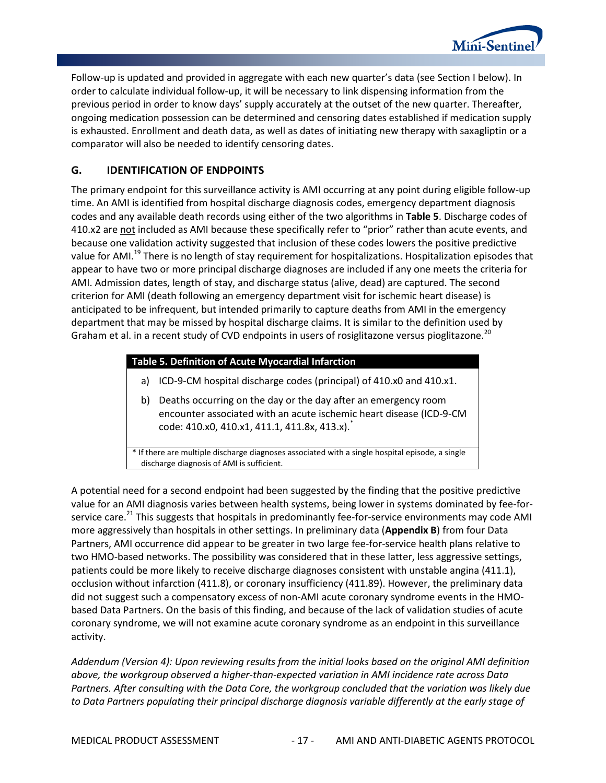

Follow-up is updated and provided in aggregate with each new quarter's data (see Section I below). In order to calculate individual follow-up, it will be necessary to link dispensing information from the previous period in order to know days' supply accurately at the outset of the new quarter. Thereafter, ongoing medication possession can be determined and censoring dates established if medication supply is exhausted. Enrollment and death data, as well as dates of initiating new therapy with saxagliptin or a comparator will also be needed to identify censoring dates.

### <span id="page-20-0"></span>**G. IDENTIFICATION OF ENDPOINTS**

The primary endpoint for this surveillance activity is AMI occurring at any point during eligible follow-up time. An AMI is identified from hospital discharge diagnosis codes, emergency department diagnosis codes and any available death records using either of the two algorithms in **[Table 5](#page-20-1)**. Discharge codes of 410.x2 are not included as AMI because these specifically refer to "prior" rather than acute events, and because one validation activity suggested that inclusion of these codes lowers the positive predictive value for AMI.<sup>19</sup> There is no length of stay requirement for hospitalizations. Hospitalization episodes that appear to have two or more principal discharge diagnoses are included if any one meets the criteria for AMI. Admission dates, length of stay, and discharge status (alive, dead) are captured. The second criterion for AMI (death following an emergency department visit for ischemic heart disease) is anticipated to be infrequent, but intended primarily to capture deaths from AMI in the emergency department that may be missed by hospital discharge claims. It is similar to the definition used by Graham et al. in a recent study of CVD endpoints in users of rosiglitazone versus pioglitazone.<sup>20</sup>

#### <span id="page-20-1"></span>**Table 5. Definition of Acute Myocardial Infarction**

- a) ICD-9-CM hospital discharge codes (principal) of 410.x0 and 410.x1.
- b) Deaths occurring on the day or the day after an emergency room encounter associated with an acute ischemic heart disease (ICD-9-CM code: 410.x0, 410.x1, 411.1, 411.8x, 413.x).\*

\* If there are multiple discharge diagnoses associated with a single hospital episode, a single discharge diagnosis of AMI is sufficient.

A potential need for a second endpoint had been suggested by the finding that the positive predictive value for an AMI diagnosis varies between health systems, being lower in systems dominated by fee-forservice care.<sup>21</sup> This suggests that hospitals in predominantly fee-for-service environments may code AMI more aggressively than hospitals in other settings. In preliminary data (**[Appendix B](#page-57-0)**) from four Data Partners, AMI occurrence did appear to be greater in two large fee-for-service health plans relative to two HMO-based networks. The possibility was considered that in these latter, less aggressive settings, patients could be more likely to receive discharge diagnoses consistent with unstable angina (411.1), occlusion without infarction (411.8), or coronary insufficiency (411.89). However, the preliminary data did not suggest such a compensatory excess of non-AMI acute coronary syndrome events in the HMObased Data Partners. On the basis of this finding, and because of the lack of validation studies of acute coronary syndrome, we will not examine acute coronary syndrome as an endpoint in this surveillance activity.

*Addendum (Version 4): Upon reviewing results from the initial looks based on the original AMI definition above, the workgroup observed a higher-than-expected variation in AMI incidence rate across Data Partners. After consulting with the Data Core, the workgroup concluded that the variation was likely due to Data Partners populating their principal discharge diagnosis variable differently at the early stage of*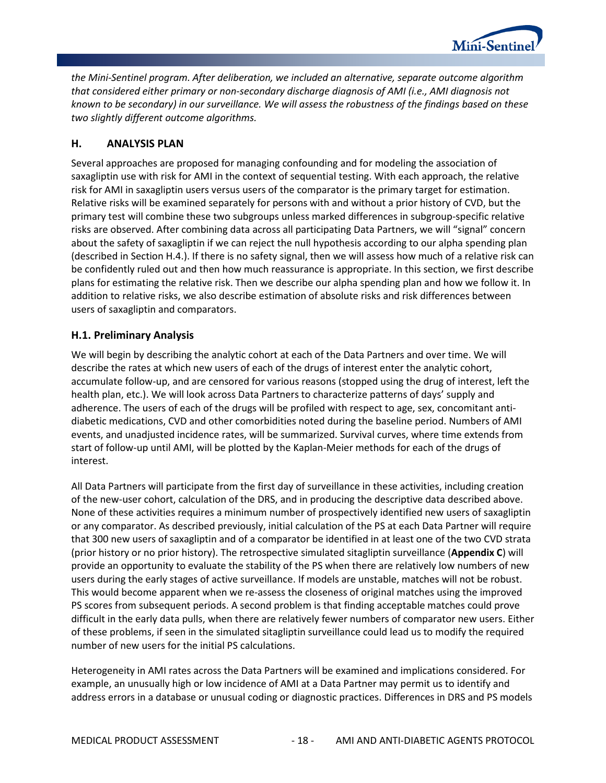

*the Mini-Sentinel program. After deliberation, we included an alternative, separate outcome algorithm that considered either primary or non-secondary discharge diagnosis of AMI (i.e., AMI diagnosis not known to be secondary) in our surveillance. We will assess the robustness of the findings based on these two slightly different outcome algorithms.*

#### <span id="page-21-0"></span>**H. ANALYSIS PLAN**

Several approaches are proposed for managing confounding and for modeling the association of saxagliptin use with risk for AMI in the context of sequential testing. With each approach, the relative risk for AMI in saxagliptin users versus users of the comparator is the primary target for estimation. Relative risks will be examined separately for persons with and without a prior history of CVD, but the primary test will combine these two subgroups unless marked differences in subgroup-specific relative risks are observed. After combining data across all participating Data Partners, we will "signal" concern about the safety of saxagliptin if we can reject the null hypothesis according to our alpha spending plan (described in Section H.4.). If there is no safety signal, then we will assess how much of a relative risk can be confidently ruled out and then how much reassurance is appropriate. In this section, we first describe plans for estimating the relative risk. Then we describe our alpha spending plan and how we follow it. In addition to relative risks, we also describe estimation of absolute risks and risk differences between users of saxagliptin and comparators.

#### <span id="page-21-1"></span>**H.1. Preliminary Analysis**

We will begin by describing the analytic cohort at each of the Data Partners and over time. We will describe the rates at which new users of each of the drugs of interest enter the analytic cohort, accumulate follow-up, and are censored for various reasons (stopped using the drug of interest, left the health plan, etc.). We will look across Data Partners to characterize patterns of days' supply and adherence. The users of each of the drugs will be profiled with respect to age, sex, concomitant antidiabetic medications, CVD and other comorbidities noted during the baseline period. Numbers of AMI events, and unadjusted incidence rates, will be summarized. Survival curves, where time extends from start of follow-up until AMI, will be plotted by the Kaplan-Meier methods for each of the drugs of interest.

All Data Partners will participate from the first day of surveillance in these activities, including creation of the new-user cohort, calculation of the DRS, and in producing the descriptive data described above. None of these activities requires a minimum number of prospectively identified new users of saxagliptin or any comparator. As described previously, initial calculation of the PS at each Data Partner will require that 300 new users of saxagliptin and of a comparator be identified in at least one of the two CVD strata (prior history or no prior history). The retrospective simulated sitagliptin surveillance (**[Appendix C](#page-61-0)**) will provide an opportunity to evaluate the stability of the PS when there are relatively low numbers of new users during the early stages of active surveillance. If models are unstable, matches will not be robust. This would become apparent when we re-assess the closeness of original matches using the improved PS scores from subsequent periods. A second problem is that finding acceptable matches could prove difficult in the early data pulls, when there are relatively fewer numbers of comparator new users. Either of these problems, if seen in the simulated sitagliptin surveillance could lead us to modify the required number of new users for the initial PS calculations.

Heterogeneity in AMI rates across the Data Partners will be examined and implications considered. For example, an unusually high or low incidence of AMI at a Data Partner may permit us to identify and address errors in a database or unusual coding or diagnostic practices. Differences in DRS and PS models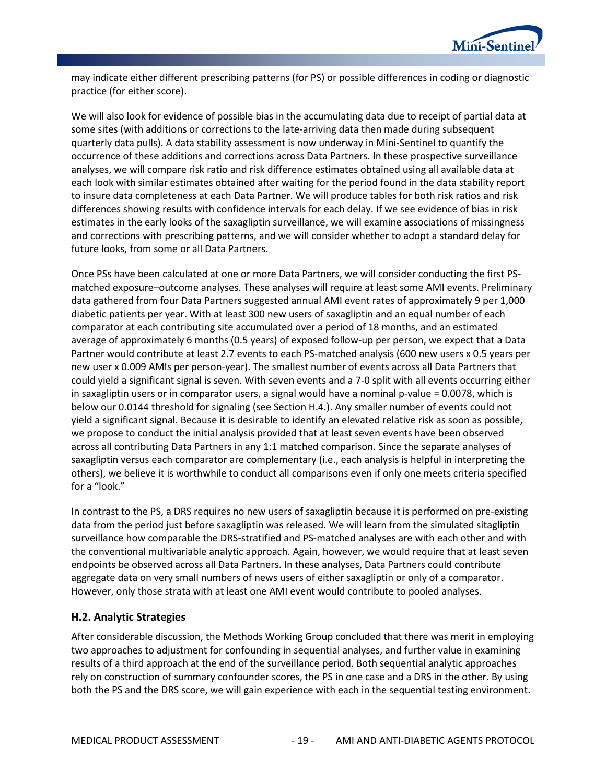

may indicate either different prescribing patterns (for PS) or possible differences in coding or diagnostic practice (for either score).

We will also look for evidence of possible bias in the accumulating data due to receipt of partial data at some sites (with additions or corrections to the late-arriving data then made during subsequent quarterly data pulls). A data stability assessment is now underway in Mini-Sentinel to quantify the occurrence of these additions and corrections across Data Partners. In these prospective surveillance analyses, we will compare risk ratio and risk difference estimates obtained using all available data at each look with similar estimates obtained after waiting for the period found in the data stability report to insure data completeness at each Data Partner. We will produce tables for both risk ratios and risk differences showing results with confidence intervals for each delay. If we see evidence of bias in risk estimates in the early looks of the saxagliptin surveillance, we will examine associations of missingness and corrections with prescribing patterns, and we will consider whether to adopt a standard delay for future looks, from some or all Data Partners.

Once PSs have been calculated at one or more Data Partners, we will consider conducting the first PSmatched exposure–outcome analyses. These analyses will require at least some AMI events. Preliminary data gathered from four Data Partners suggested annual AMI event rates of approximately 9 per 1,000 diabetic patients per year. With at least 300 new users of saxagliptin and an equal number of each comparator at each contributing site accumulated over a period of 18 months, and an estimated average of approximately 6 months (0.5 years) of exposed follow-up per person, we expect that a Data Partner would contribute at least 2.7 events to each PS-matched analysis (600 new users x 0.5 years per new user x 0.009 AMIs per person-year). The smallest number of events across all Data Partners that could yield a significant signal is seven. With seven events and a 7-0 split with all events occurring either in saxagliptin users or in comparator users, a signal would have a nominal p-value = 0.0078, which is below our 0.0144 threshold for signaling (see Section H.4.). Any smaller number of events could not yield a significant signal. Because it is desirable to identify an elevated relative risk as soon as possible, we propose to conduct the initial analysis provided that at least seven events have been observed across all contributing Data Partners in any 1:1 matched comparison. Since the separate analyses of saxagliptin versus each comparator are complementary (i.e., each analysis is helpful in interpreting the others), we believe it is worthwhile to conduct all comparisons even if only one meets criteria specified for a "look."

In contrast to the PS, a DRS requires no new users of saxagliptin because it is performed on pre-existing data from the period just before saxagliptin was released. We will learn from the simulated sitagliptin surveillance how comparable the DRS-stratified and PS-matched analyses are with each other and with the conventional multivariable analytic approach. Again, however, we would require that at least seven endpoints be observed across all Data Partners. In these analyses, Data Partners could contribute aggregate data on very small numbers of news users of either saxagliptin or only of a comparator. However, only those strata with at least one AMI event would contribute to pooled analyses.

#### <span id="page-22-0"></span>**H.2. Analytic Strategies**

After considerable discussion, the Methods Working Group concluded that there was merit in employing two approaches to adjustment for confounding in sequential analyses, and further value in examining results of a third approach at the end of the surveillance period. Both sequential analytic approaches rely on construction of summary confounder scores, the PS in one case and a DRS in the other. By using both the PS and the DRS score, we will gain experience with each in the sequential testing environment.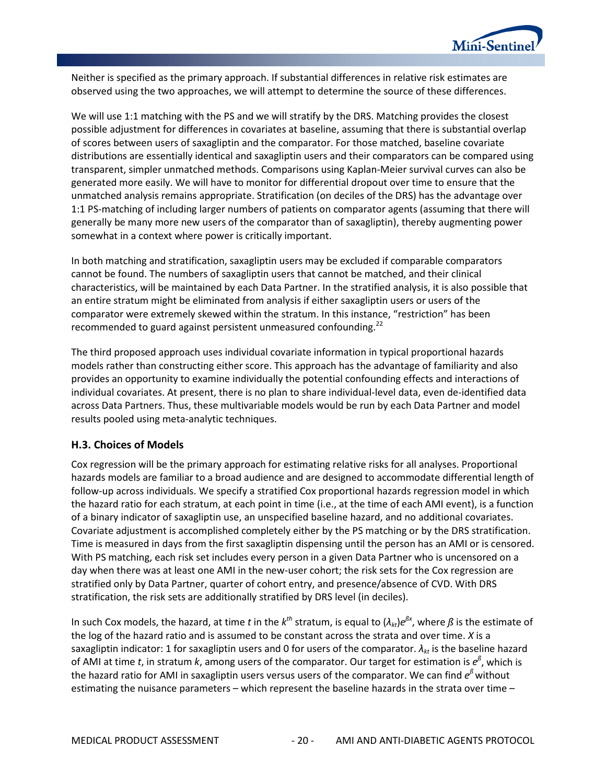

Neither is specified as the primary approach. If substantial differences in relative risk estimates are observed using the two approaches, we will attempt to determine the source of these differences.

We will use 1:1 matching with the PS and we will stratify by the DRS. Matching provides the closest possible adjustment for differences in covariates at baseline, assuming that there is substantial overlap of scores between users of saxagliptin and the comparator. For those matched, baseline covariate distributions are essentially identical and saxagliptin users and their comparators can be compared using transparent, simpler unmatched methods. Comparisons using Kaplan-Meier survival curves can also be generated more easily. We will have to monitor for differential dropout over time to ensure that the unmatched analysis remains appropriate. Stratification (on deciles of the DRS) has the advantage over 1:1 PS-matching of including larger numbers of patients on comparator agents (assuming that there will generally be many more new users of the comparator than of saxagliptin), thereby augmenting power somewhat in a context where power is critically important.

In both matching and stratification, saxagliptin users may be excluded if comparable comparators cannot be found. The numbers of saxagliptin users that cannot be matched, and their clinical characteristics, will be maintained by each Data Partner. In the stratified analysis, it is also possible that an entire stratum might be eliminated from analysis if either saxagliptin users or users of the comparator were extremely skewed within the stratum. In this instance, "restriction" has been recommended to guard against persistent unmeasured confounding. $^{22}$ 

The third proposed approach uses individual covariate information in typical proportional hazards models rather than constructing either score. This approach has the advantage of familiarity and also provides an opportunity to examine individually the potential confounding effects and interactions of individual covariates. At present, there is no plan to share individual-level data, even de-identified data across Data Partners. Thus, these multivariable models would be run by each Data Partner and model results pooled using meta-analytic techniques.

#### <span id="page-23-0"></span>**H.3. Choices of Models**

Cox regression will be the primary approach for estimating relative risks for all analyses. Proportional hazards models are familiar to a broad audience and are designed to accommodate differential length of follow-up across individuals. We specify a stratified Cox proportional hazards regression model in which the hazard ratio for each stratum, at each point in time (i.e., at the time of each AMI event), is a function of a binary indicator of saxagliptin use, an unspecified baseline hazard, and no additional covariates. Covariate adjustment is accomplished completely either by the PS matching or by the DRS stratification. Time is measured in days from the first saxagliptin dispensing until the person has an AMI or is censored. With PS matching, each risk set includes every person in a given Data Partner who is uncensored on a day when there was at least one AMI in the new-user cohort; the risk sets for the Cox regression are stratified only by Data Partner, quarter of cohort entry, and presence/absence of CVD. With DRS stratification, the risk sets are additionally stratified by DRS level (in deciles).

In such Cox models, the hazard, at time *t* in the  $k^{th}$  stratum, is equal to  $(\lambda_{kt})e^{\beta x}$ , where  $\beta$  is the estimate of the log of the hazard ratio and is assumed to be constant across the strata and over time. *X* is a saxagliptin indicator: 1 for saxagliptin users and 0 for users of the comparator.  $\lambda_{kt}$  is the baseline hazard of AMI at time *t*, in stratum *k*, among users of the comparator. Our target for estimation is *eß* , which is the hazard ratio for AMI in saxagliptin users versus users of the comparator. We can find *e<sup>ß</sup>* without estimating the nuisance parameters – which represent the baseline hazards in the strata over time –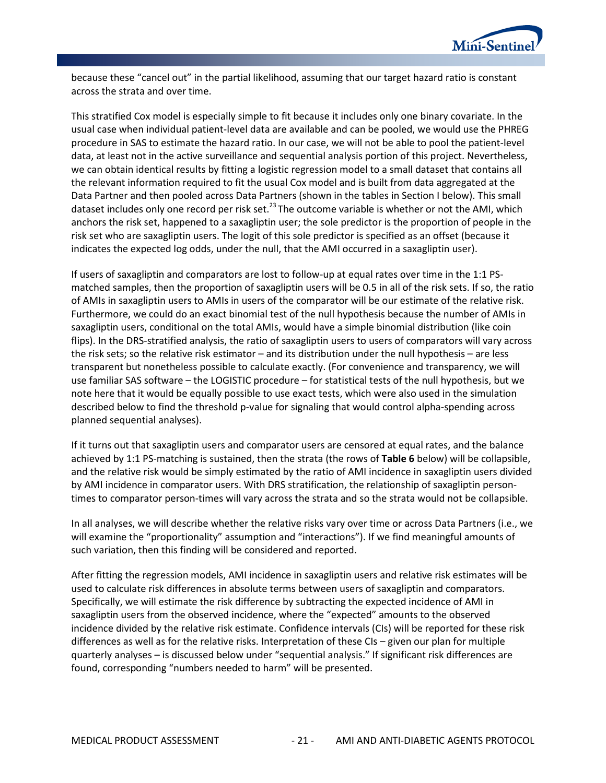

because these "cancel out" in the partial likelihood, assuming that our target hazard ratio is constant across the strata and over time.

This stratified Cox model is especially simple to fit because it includes only one binary covariate. In the usual case when individual patient-level data are available and can be pooled, we would use the PHREG procedure in SAS to estimate the hazard ratio. In our case, we will not be able to pool the patient-level data, at least not in the active surveillance and sequential analysis portion of this project. Nevertheless, we can obtain identical results by fitting a logistic regression model to a small dataset that contains all the relevant information required to fit the usual Cox model and is built from data aggregated at the Data Partner and then pooled across Data Partners (shown in the tables in Section I below). This small dataset includes only one record per risk set.<sup>23</sup> The outcome variable is whether or not the AMI, which anchors the risk set, happened to a saxagliptin user; the sole predictor is the proportion of people in the risk set who are saxagliptin users. The logit of this sole predictor is specified as an offset (because it indicates the expected log odds, under the null, that the AMI occurred in a saxagliptin user).

If users of saxagliptin and comparators are lost to follow-up at equal rates over time in the 1:1 PSmatched samples, then the proportion of saxagliptin users will be 0.5 in all of the risk sets. If so, the ratio of AMIs in saxagliptin users to AMIs in users of the comparator will be our estimate of the relative risk. Furthermore, we could do an exact binomial test of the null hypothesis because the number of AMIs in saxagliptin users, conditional on the total AMIs, would have a simple binomial distribution (like coin flips). In the DRS-stratified analysis, the ratio of saxagliptin users to users of comparators will vary across the risk sets; so the relative risk estimator – and its distribution under the null hypothesis – are less transparent but nonetheless possible to calculate exactly. (For convenience and transparency, we will use familiar SAS software – the LOGISTIC procedure – for statistical tests of the null hypothesis, but we note here that it would be equally possible to use exact tests, which were also used in the simulation described below to find the threshold p-value for signaling that would control alpha-spending across planned sequential analyses).

If it turns out that saxagliptin users and comparator users are censored at equal rates, and the balance achieved by 1:1 PS-matching is sustained, then the strata (the rows of **[Table 6](#page-29-0)** below) will be collapsible, and the relative risk would be simply estimated by the ratio of AMI incidence in saxagliptin users divided by AMI incidence in comparator users. With DRS stratification, the relationship of saxagliptin persontimes to comparator person-times will vary across the strata and so the strata would not be collapsible.

In all analyses, we will describe whether the relative risks vary over time or across Data Partners (i.e., we will examine the "proportionality" assumption and "interactions"). If we find meaningful amounts of such variation, then this finding will be considered and reported.

After fitting the regression models, AMI incidence in saxagliptin users and relative risk estimates will be used to calculate risk differences in absolute terms between users of saxagliptin and comparators. Specifically, we will estimate the risk difference by subtracting the expected incidence of AMI in saxagliptin users from the observed incidence, where the "expected" amounts to the observed incidence divided by the relative risk estimate. Confidence intervals (CIs) will be reported for these risk differences as well as for the relative risks. Interpretation of these CIs – given our plan for multiple quarterly analyses – is discussed below under "sequential analysis." If significant risk differences are found, corresponding "numbers needed to harm" will be presented.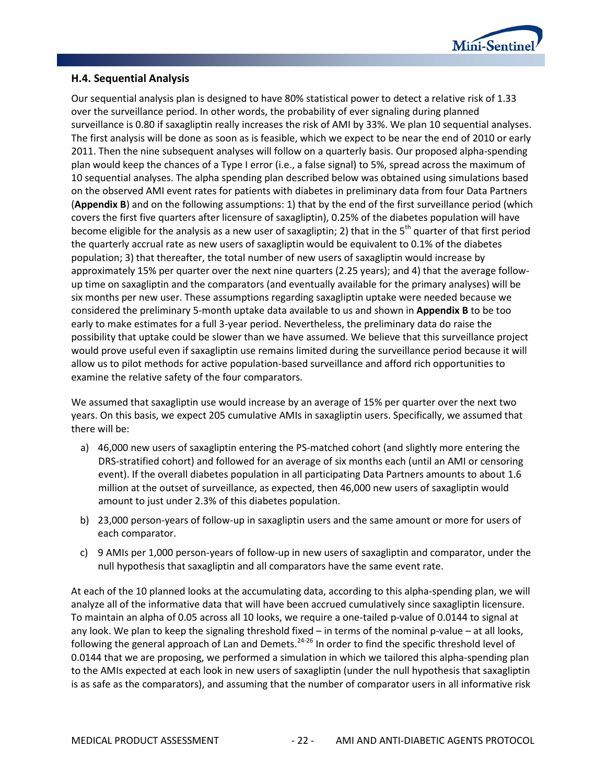

#### <span id="page-25-0"></span>**H.4. Sequential Analysis**

Our sequential analysis plan is designed to have 80% statistical power to detect a relative risk of 1.33 over the surveillance period. In other words, the probability of ever signaling during planned surveillance is 0.80 if saxagliptin really increases the risk of AMI by 33%. We plan 10 sequential analyses. The first analysis will be done as soon as is feasible, which we expect to be near the end of 2010 or early 2011. Then the nine subsequent analyses will follow on a quarterly basis. Our proposed alpha-spending plan would keep the chances of a Type I error (i.e., a false signal) to 5%, spread across the maximum of 10 sequential analyses. The alpha spending plan described below was obtained using simulations based on the observed AMI event rates for patients with diabetes in preliminary data from four Data Partners (**[Appendix B](#page-57-0)**) and on the following assumptions: 1) that by the end of the first surveillance period (which covers the first five quarters after licensure of saxagliptin), 0.25% of the diabetes population will have become eligible for the analysis as a new user of saxagliptin; 2) that in the  $5<sup>th</sup>$  quarter of that first period the quarterly accrual rate as new users of saxagliptin would be equivalent to 0.1% of the diabetes population; 3) that thereafter, the total number of new users of saxagliptin would increase by approximately 15% per quarter over the next nine quarters (2.25 years); and 4) that the average followup time on saxagliptin and the comparators (and eventually available for the primary analyses) will be six months per new user. These assumptions regarding saxagliptin uptake were needed because we considered the preliminary 5-month uptake data available to us and shown in **[Appendix B](#page-57-0)** to be too early to make estimates for a full 3-year period. Nevertheless, the preliminary data do raise the possibility that uptake could be slower than we have assumed. We believe that this surveillance project would prove useful even if saxagliptin use remains limited during the surveillance period because it will allow us to pilot methods for active population-based surveillance and afford rich opportunities to examine the relative safety of the four comparators.

We assumed that saxagliptin use would increase by an average of 15% per quarter over the next two years. On this basis, we expect 205 cumulative AMIs in saxagliptin users. Specifically, we assumed that there will be:

- a) 46,000 new users of saxagliptin entering the PS-matched cohort (and slightly more entering the DRS-stratified cohort) and followed for an average of six months each (until an AMI or censoring event). If the overall diabetes population in all participating Data Partners amounts to about 1.6 million at the outset of surveillance, as expected, then 46,000 new users of saxagliptin would amount to just under 2.3% of this diabetes population.
- b) 23,000 person-years of follow-up in saxagliptin users and the same amount or more for users of each comparator.
- c) 9 AMIs per 1,000 person-years of follow-up in new users of saxagliptin and comparator, under the null hypothesis that saxagliptin and all comparators have the same event rate.

At each of the 10 planned looks at the accumulating data, according to this alpha-spending plan, we will analyze all of the informative data that will have been accrued cumulatively since saxagliptin licensure. To maintain an alpha of 0.05 across all 10 looks, we require a one-tailed p-value of 0.0144 to signal at any look. We plan to keep the signaling threshold fixed – in terms of the nominal p-value – at all looks, following the general approach of Lan and Demets.<sup>24-26</sup> In order to find the specific threshold level of 0.0144 that we are proposing, we performed a simulation in which we tailored this alpha-spending plan to the AMIs expected at each look in new users of saxagliptin (under the null hypothesis that saxagliptin is as safe as the comparators), and assuming that the number of comparator users in all informative risk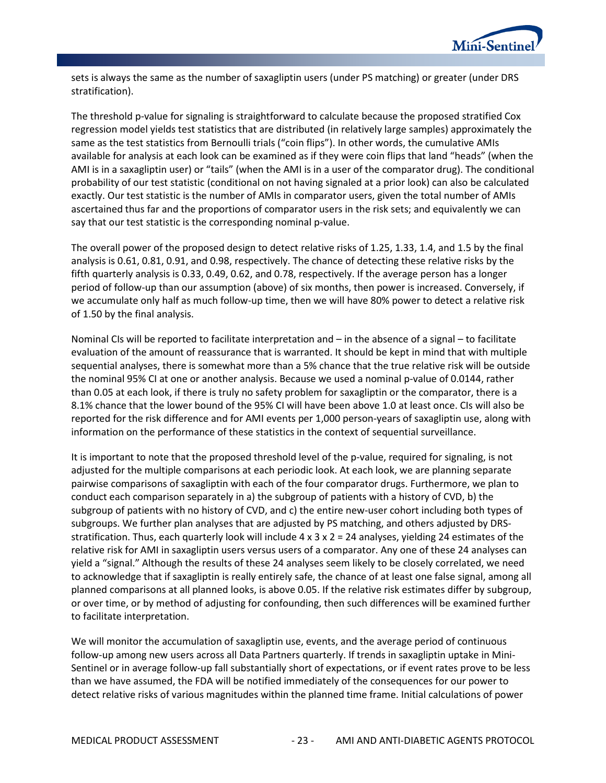

sets is always the same as the number of saxagliptin users (under PS matching) or greater (under DRS stratification).

The threshold p-value for signaling is straightforward to calculate because the proposed stratified Cox regression model yields test statistics that are distributed (in relatively large samples) approximately the same as the test statistics from Bernoulli trials ("coin flips"). In other words, the cumulative AMIs available for analysis at each look can be examined as if they were coin flips that land "heads" (when the AMI is in a saxagliptin user) or "tails" (when the AMI is in a user of the comparator drug). The conditional probability of our test statistic (conditional on not having signaled at a prior look) can also be calculated exactly. Our test statistic is the number of AMIs in comparator users, given the total number of AMIs ascertained thus far and the proportions of comparator users in the risk sets; and equivalently we can say that our test statistic is the corresponding nominal p-value.

The overall power of the proposed design to detect relative risks of 1.25, 1.33, 1.4, and 1.5 by the final analysis is 0.61, 0.81, 0.91, and 0.98, respectively. The chance of detecting these relative risks by the fifth quarterly analysis is 0.33, 0.49, 0.62, and 0.78, respectively. If the average person has a longer period of follow-up than our assumption (above) of six months, then power is increased. Conversely, if we accumulate only half as much follow-up time, then we will have 80% power to detect a relative risk of 1.50 by the final analysis.

Nominal CIs will be reported to facilitate interpretation and – in the absence of a signal – to facilitate evaluation of the amount of reassurance that is warranted. It should be kept in mind that with multiple sequential analyses, there is somewhat more than a 5% chance that the true relative risk will be outside the nominal 95% CI at one or another analysis. Because we used a nominal p-value of 0.0144, rather than 0.05 at each look, if there is truly no safety problem for saxagliptin or the comparator, there is a 8.1% chance that the lower bound of the 95% CI will have been above 1.0 at least once. CIs will also be reported for the risk difference and for AMI events per 1,000 person-years of saxagliptin use, along with information on the performance of these statistics in the context of sequential surveillance.

It is important to note that the proposed threshold level of the p-value, required for signaling, is not adjusted for the multiple comparisons at each periodic look. At each look, we are planning separate pairwise comparisons of saxagliptin with each of the four comparator drugs. Furthermore, we plan to conduct each comparison separately in a) the subgroup of patients with a history of CVD, b) the subgroup of patients with no history of CVD, and c) the entire new-user cohort including both types of subgroups. We further plan analyses that are adjusted by PS matching, and others adjusted by DRSstratification. Thus, each quarterly look will include 4 x 3 x 2 = 24 analyses, yielding 24 estimates of the relative risk for AMI in saxagliptin users versus users of a comparator. Any one of these 24 analyses can yield a "signal." Although the results of these 24 analyses seem likely to be closely correlated, we need to acknowledge that if saxagliptin is really entirely safe, the chance of at least one false signal, among all planned comparisons at all planned looks, is above 0.05. If the relative risk estimates differ by subgroup, or over time, or by method of adjusting for confounding, then such differences will be examined further to facilitate interpretation.

We will monitor the accumulation of saxagliptin use, events, and the average period of continuous follow-up among new users across all Data Partners quarterly. If trends in saxagliptin uptake in Mini-Sentinel or in average follow-up fall substantially short of expectations, or if event rates prove to be less than we have assumed, the FDA will be notified immediately of the consequences for our power to detect relative risks of various magnitudes within the planned time frame. Initial calculations of power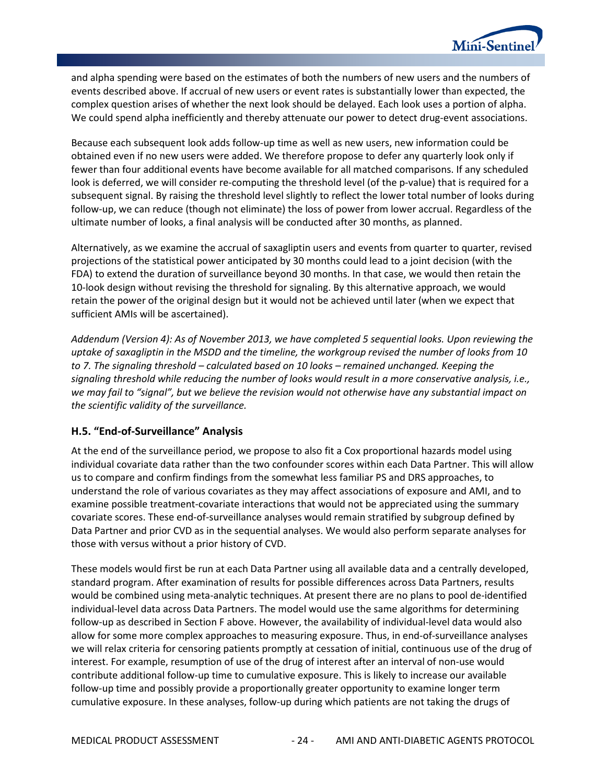

and alpha spending were based on the estimates of both the numbers of new users and the numbers of events described above. If accrual of new users or event rates is substantially lower than expected, the complex question arises of whether the next look should be delayed. Each look uses a portion of alpha. We could spend alpha inefficiently and thereby attenuate our power to detect drug-event associations.

Because each subsequent look adds follow-up time as well as new users, new information could be obtained even if no new users were added. We therefore propose to defer any quarterly look only if fewer than four additional events have become available for all matched comparisons. If any scheduled look is deferred, we will consider re-computing the threshold level (of the p-value) that is required for a subsequent signal. By raising the threshold level slightly to reflect the lower total number of looks during follow-up, we can reduce (though not eliminate) the loss of power from lower accrual. Regardless of the ultimate number of looks, a final analysis will be conducted after 30 months, as planned.

Alternatively, as we examine the accrual of saxagliptin users and events from quarter to quarter, revised projections of the statistical power anticipated by 30 months could lead to a joint decision (with the FDA) to extend the duration of surveillance beyond 30 months. In that case, we would then retain the 10-look design without revising the threshold for signaling. By this alternative approach, we would retain the power of the original design but it would not be achieved until later (when we expect that sufficient AMIs will be ascertained).

*Addendum (Version 4): As of November 2013, we have completed 5 sequential looks. Upon reviewing the uptake of saxagliptin in the MSDD and the timeline, the workgroup revised the number of looks from 10 to 7. The signaling threshold – calculated based on 10 looks – remained unchanged. Keeping the signaling threshold while reducing the number of looks would result in a more conservative analysis, i.e., we may fail to "signal", but we believe the revision would not otherwise have any substantial impact on the scientific validity of the surveillance.*

#### <span id="page-27-0"></span>**H.5. "End-of-Surveillance" Analysis**

At the end of the surveillance period, we propose to also fit a Cox proportional hazards model using individual covariate data rather than the two confounder scores within each Data Partner. This will allow us to compare and confirm findings from the somewhat less familiar PS and DRS approaches, to understand the role of various covariates as they may affect associations of exposure and AMI, and to examine possible treatment-covariate interactions that would not be appreciated using the summary covariate scores. These end-of-surveillance analyses would remain stratified by subgroup defined by Data Partner and prior CVD as in the sequential analyses. We would also perform separate analyses for those with versus without a prior history of CVD.

These models would first be run at each Data Partner using all available data and a centrally developed, standard program. After examination of results for possible differences across Data Partners, results would be combined using meta-analytic techniques. At present there are no plans to pool de-identified individual-level data across Data Partners. The model would use the same algorithms for determining follow-up as described in Section F above. However, the availability of individual-level data would also allow for some more complex approaches to measuring exposure. Thus, in end-of-surveillance analyses we will relax criteria for censoring patients promptly at cessation of initial, continuous use of the drug of interest. For example, resumption of use of the drug of interest after an interval of non-use would contribute additional follow-up time to cumulative exposure. This is likely to increase our available follow-up time and possibly provide a proportionally greater opportunity to examine longer term cumulative exposure. In these analyses, follow-up during which patients are not taking the drugs of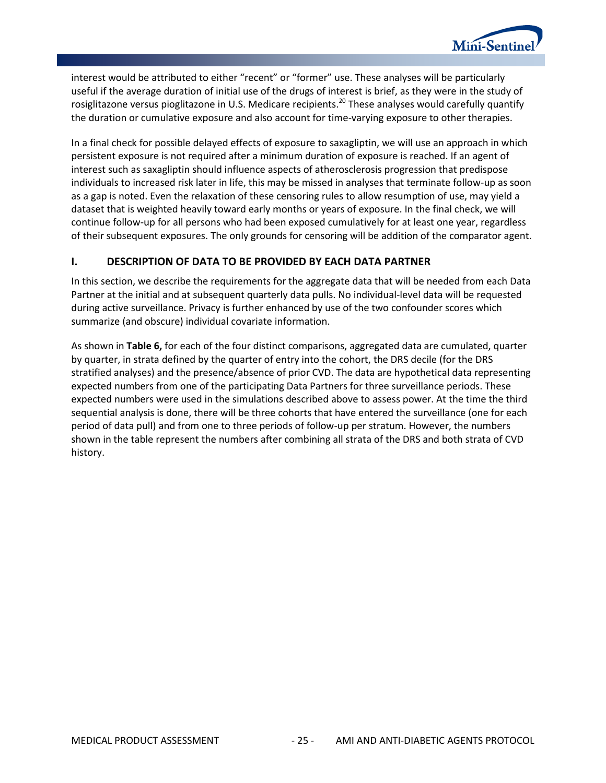

interest would be attributed to either "recent" or "former" use. These analyses will be particularly useful if the average duration of initial use of the drugs of interest is brief, as they were in the study of rosiglitazone versus pioglitazone in U.S. Medicare recipients.<sup>20</sup> These analyses would carefully quantify the duration or cumulative exposure and also account for time-varying exposure to other therapies.

In a final check for possible delayed effects of exposure to saxagliptin, we will use an approach in which persistent exposure is not required after a minimum duration of exposure is reached. If an agent of interest such as saxagliptin should influence aspects of atherosclerosis progression that predispose individuals to increased risk later in life, this may be missed in analyses that terminate follow-up as soon as a gap is noted. Even the relaxation of these censoring rules to allow resumption of use, may yield a dataset that is weighted heavily toward early months or years of exposure. In the final check, we will continue follow-up for all persons who had been exposed cumulatively for at least one year, regardless of their subsequent exposures. The only grounds for censoring will be addition of the comparator agent.

#### <span id="page-28-0"></span>**I. DESCRIPTION OF DATA TO BE PROVIDED BY EACH DATA PARTNER**

In this section, we describe the requirements for the aggregate data that will be needed from each Data Partner at the initial and at subsequent quarterly data pulls. No individual-level data will be requested during active surveillance. Privacy is further enhanced by use of the two confounder scores which summarize (and obscure) individual covariate information.

As shown in **[Table 6,](#page-29-0)** for each of the four distinct comparisons, aggregated data are cumulated, quarter by quarter, in strata defined by the quarter of entry into the cohort, the DRS decile (for the DRS stratified analyses) and the presence/absence of prior CVD. The data are hypothetical data representing expected numbers from one of the participating Data Partners for three surveillance periods. These expected numbers were used in the simulations described above to assess power. At the time the third sequential analysis is done, there will be three cohorts that have entered the surveillance (one for each period of data pull) and from one to three periods of follow-up per stratum. However, the numbers shown in the table represent the numbers after combining all strata of the DRS and both strata of CVD history.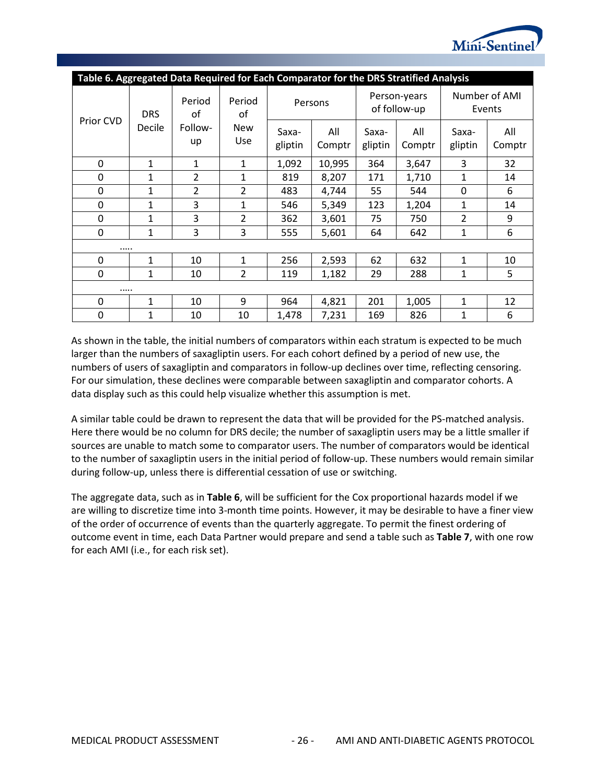

<span id="page-29-0"></span>

| Table 6. Aggregated Data Required for Each Comparator for the DRS Stratified Analysis |              |                               |                   |                  |               |                              |               |                         |               |
|---------------------------------------------------------------------------------------|--------------|-------------------------------|-------------------|------------------|---------------|------------------------------|---------------|-------------------------|---------------|
| Prior CVD                                                                             | <b>DRS</b>   | Period<br>οf<br>Follow-<br>up | Period<br>οf      | Persons          |               | Person-years<br>of follow-up |               | Number of AMI<br>Events |               |
|                                                                                       | Decile       |                               | <b>New</b><br>Use | Saxa-<br>gliptin | All<br>Comptr | Saxa-<br>gliptin             | All<br>Comptr | Saxa-<br>gliptin        | All<br>Comptr |
| $\Omega$                                                                              | $\mathbf{1}$ | 1                             | $\mathbf{1}$      | 1,092            | 10,995        | 364                          | 3,647         | 3                       | 32            |
| $\mathbf 0$                                                                           | 1            | $\overline{2}$                | $\mathbf{1}$      | 819              | 8,207         | 171                          | 1,710         | 1                       | 14            |
| $\Omega$                                                                              | $\mathbf{1}$ | $\overline{2}$                | $\overline{2}$    | 483              | 4,744         | 55                           | 544           | $\Omega$                | 6             |
| $\Omega$                                                                              | $\mathbf{1}$ | 3                             | $\mathbf{1}$      | 546              | 5,349         | 123                          | 1,204         | $\mathbf{1}$            | 14            |
| $\Omega$                                                                              | $\mathbf{1}$ | 3                             | $\overline{2}$    | 362              | 3,601         | 75                           | 750           | $\overline{2}$          | 9             |
| $\Omega$                                                                              | $\mathbf{1}$ | 3                             | 3                 | 555              | 5,601         | 64                           | 642           | $\mathbf{1}$            | 6             |
|                                                                                       |              |                               |                   |                  |               |                              |               |                         |               |
| $\Omega$                                                                              | $\mathbf{1}$ | 10                            | $\mathbf{1}$      | 256              | 2,593         | 62                           | 632           | $\mathbf{1}$            | 10            |
| $\Omega$                                                                              | 1            | 10                            | $\overline{2}$    | 119              | 1,182         | 29                           | 288           | 1                       | 5             |
|                                                                                       |              |                               |                   |                  |               |                              |               |                         |               |
| 0                                                                                     | 1            | 10                            | 9                 | 964              | 4,821         | 201                          | 1,005         | $\mathbf{1}$            | 12            |
| 0                                                                                     | 1            | 10                            | 10                | 1,478            | 7,231         | 169                          | 826           | 1                       | 6             |

As shown in the table, the initial numbers of comparators within each stratum is expected to be much larger than the numbers of saxagliptin users. For each cohort defined by a period of new use, the numbers of users of saxagliptin and comparators in follow-up declines over time, reflecting censoring. For our simulation, these declines were comparable between saxagliptin and comparator cohorts. A data display such as this could help visualize whether this assumption is met.

A similar table could be drawn to represent the data that will be provided for the PS-matched analysis. Here there would be no column for DRS decile; the number of saxagliptin users may be a little smaller if sources are unable to match some to comparator users. The number of comparators would be identical to the number of saxagliptin users in the initial period of follow-up. These numbers would remain similar during follow-up, unless there is differential cessation of use or switching.

The aggregate data, such as in **[Table 6](#page-29-0)**, will be sufficient for the Cox proportional hazards model if we are willing to discretize time into 3-month time points. However, it may be desirable to have a finer view of the order of occurrence of events than the quarterly aggregate. To permit the finest ordering of outcome event in time, each Data Partner would prepare and send a table such as **[Table 7](#page-30-1)**, with one row for each AMI (i.e., for each risk set).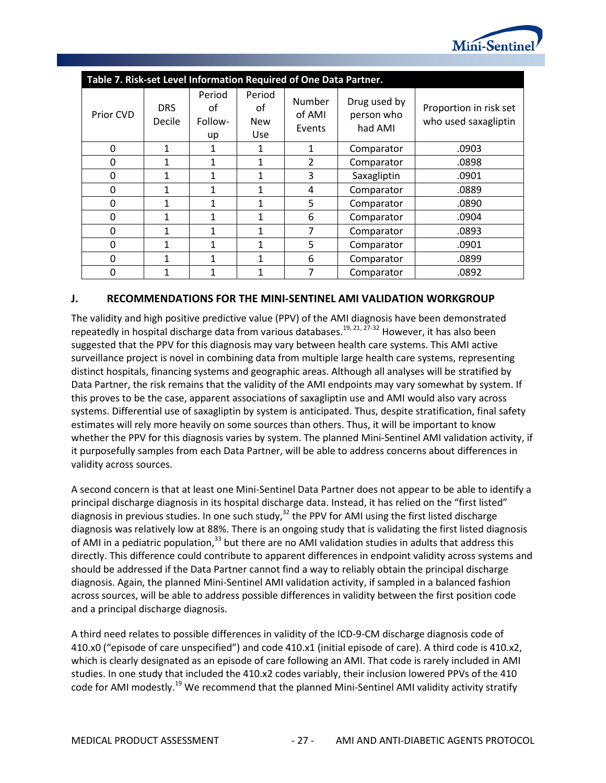

<span id="page-30-1"></span>

|              | Table 7. Risk-set Level Information Required of One Data Partner. |                               |                                          |                            |                                       |                                                |  |  |  |
|--------------|-------------------------------------------------------------------|-------------------------------|------------------------------------------|----------------------------|---------------------------------------|------------------------------------------------|--|--|--|
| Prior CVD    | <b>DRS</b><br>Decile                                              | Period<br>of<br>Follow-<br>up | Period<br>οf<br><b>New</b><br><b>Use</b> | Number<br>of AMI<br>Events | Drug used by<br>person who<br>had AMI | Proportion in risk set<br>who used saxagliptin |  |  |  |
| 0            | 1                                                                 | 1                             | 1                                        | 1                          | Comparator                            | .0903                                          |  |  |  |
| 0            | 1                                                                 | 1                             | 1                                        | 2                          | Comparator                            | .0898                                          |  |  |  |
| $\Omega$     | 1                                                                 | 1                             | 1                                        | 3                          | Saxagliptin                           | .0901                                          |  |  |  |
| 0            | 1                                                                 | 1                             | 1                                        | 4                          | Comparator                            | .0889                                          |  |  |  |
| <sup>0</sup> | 1                                                                 | 1                             | 1                                        | 5                          | Comparator                            | .0890                                          |  |  |  |
| 0            | 1                                                                 | 1                             | 1                                        | 6                          | Comparator                            | .0904                                          |  |  |  |
| 0            | 1                                                                 | 1                             | $\mathbf{1}$                             |                            | Comparator                            | .0893                                          |  |  |  |
| 0            | 1                                                                 | 1                             | 1                                        | 5                          | Comparator                            | .0901                                          |  |  |  |
| 0            | 1                                                                 | 1                             | $\mathbf{1}$                             | 6                          | Comparator                            | .0899                                          |  |  |  |
| 0            | 1                                                                 | 1                             | 1                                        | 7                          | Comparator                            | .0892                                          |  |  |  |

#### <span id="page-30-0"></span>**J. RECOMMENDATIONS FOR THE MINI-SENTINEL AMI VALIDATION WORKGROUP**

The validity and high positive predictive value (PPV) of the AMI diagnosis have been demonstrated repeatedly in hospital discharge data from various databases.<sup>19, 21, 27-32</sup> However, it has also been suggested that the PPV for this diagnosis may vary between health care systems. This AMI active surveillance project is novel in combining data from multiple large health care systems, representing distinct hospitals, financing systems and geographic areas. Although all analyses will be stratified by Data Partner, the risk remains that the validity of the AMI endpoints may vary somewhat by system. If this proves to be the case, apparent associations of saxagliptin use and AMI would also vary across systems. Differential use of saxagliptin by system is anticipated. Thus, despite stratification, final safety estimates will rely more heavily on some sources than others. Thus, it will be important to know whether the PPV for this diagnosis varies by system. The planned Mini-Sentinel AMI validation activity, if it purposefully samples from each Data Partner, will be able to address concerns about differences in validity across sources.

A second concern is that at least one Mini-Sentinel Data Partner does not appear to be able to identify a principal discharge diagnosis in its hospital discharge data. Instead, it has relied on the "first listed" diagnosis in previous studies. In one such study,<sup>32</sup> the PPV for AMI using the first listed discharge diagnosis was relatively low at 88%. There is an ongoing study that is validating the first listed diagnosis of AMI in a pediatric population,<sup>33</sup> but there are no AMI validation studies in adults that address this directly. This difference could contribute to apparent differences in endpoint validity across systems and should be addressed if the Data Partner cannot find a way to reliably obtain the principal discharge diagnosis. Again, the planned Mini-Sentinel AMI validation activity, if sampled in a balanced fashion across sources, will be able to address possible differences in validity between the first position code and a principal discharge diagnosis.

A third need relates to possible differences in validity of the ICD-9-CM discharge diagnosis code of 410.x0 ("episode of care unspecified") and code 410.x1 (initial episode of care). A third code is 410.x2, which is clearly designated as an episode of care following an AMI. That code is rarely included in AMI studies. In one study that included the 410.x2 codes variably, their inclusion lowered PPVs of the 410 code for AMI modestly.<sup>19</sup> We recommend that the planned Mini-Sentinel AMI validity activity stratify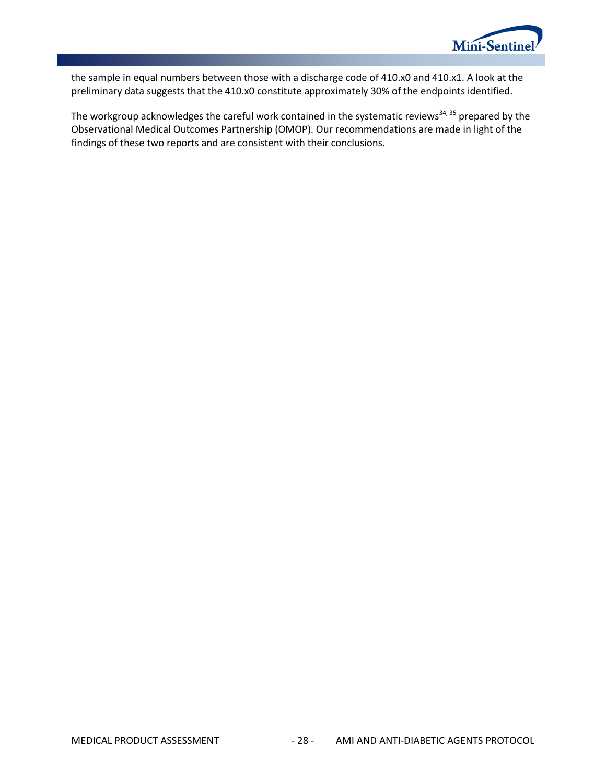

the sample in equal numbers between those with a discharge code of 410.x0 and 410.x1. A look at the preliminary data suggests that the 410.x0 constitute approximately 30% of the endpoints identified.

The workgroup acknowledges the careful work contained in the systematic reviews<sup>34, 35</sup> prepared by the Observational Medical Outcomes Partnership (OMOP). Our recommendations are made in light of the findings of these two reports and are consistent with their conclusions.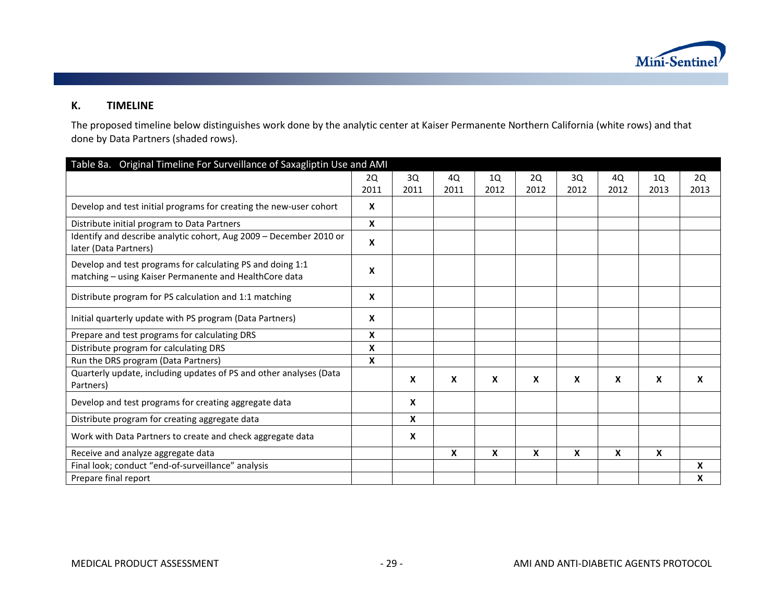

#### **K. TIMELINE**

The proposed timeline below distinguishes work done by the analytic center at Kaiser Permanente Northern California (white rows) and that done by Data Partners (shaded rows).

<span id="page-32-0"></span>

| Table 8a. Original Timeline For Surveillance of Saxagliptin Use and AMI                                              |                           |      |      |      |      |      |      |      |      |
|----------------------------------------------------------------------------------------------------------------------|---------------------------|------|------|------|------|------|------|------|------|
|                                                                                                                      | 2Q                        | 3Q   | 4Q   | 1Q   | 2Q   | 3Q   | 4Q   | 10   | 2Q   |
|                                                                                                                      | 2011                      | 2011 | 2011 | 2012 | 2012 | 2012 | 2012 | 2013 | 2013 |
| Develop and test initial programs for creating the new-user cohort                                                   | $\mathbf{x}$              |      |      |      |      |      |      |      |      |
| Distribute initial program to Data Partners                                                                          | $\mathbf{x}$              |      |      |      |      |      |      |      |      |
| Identify and describe analytic cohort, Aug 2009 - December 2010 or<br>later (Data Partners)                          | $\boldsymbol{\mathsf{x}}$ |      |      |      |      |      |      |      |      |
| Develop and test programs for calculating PS and doing 1:1<br>matching - using Kaiser Permanente and HealthCore data | X                         |      |      |      |      |      |      |      |      |
| Distribute program for PS calculation and 1:1 matching                                                               | $\boldsymbol{\mathsf{x}}$ |      |      |      |      |      |      |      |      |
| Initial quarterly update with PS program (Data Partners)                                                             | $\boldsymbol{\mathsf{x}}$ |      |      |      |      |      |      |      |      |
| Prepare and test programs for calculating DRS                                                                        | $\mathbf{x}$              |      |      |      |      |      |      |      |      |
| Distribute program for calculating DRS                                                                               | X                         |      |      |      |      |      |      |      |      |
| Run the DRS program (Data Partners)                                                                                  | X                         |      |      |      |      |      |      |      |      |
| Quarterly update, including updates of PS and other analyses (Data<br>Partners)                                      |                           | X    | X    | X    | X    | X    | X    | X    | X    |
| Develop and test programs for creating aggregate data                                                                |                           | X    |      |      |      |      |      |      |      |
| Distribute program for creating aggregate data                                                                       |                           | X    |      |      |      |      |      |      |      |
| Work with Data Partners to create and check aggregate data                                                           |                           | X    |      |      |      |      |      |      |      |
| Receive and analyze aggregate data                                                                                   |                           |      | X    | X    | X    | X    | X    | X    |      |
| Final look; conduct "end-of-surveillance" analysis                                                                   |                           |      |      |      |      |      |      |      | X    |
| Prepare final report                                                                                                 |                           |      |      |      |      |      |      |      | X    |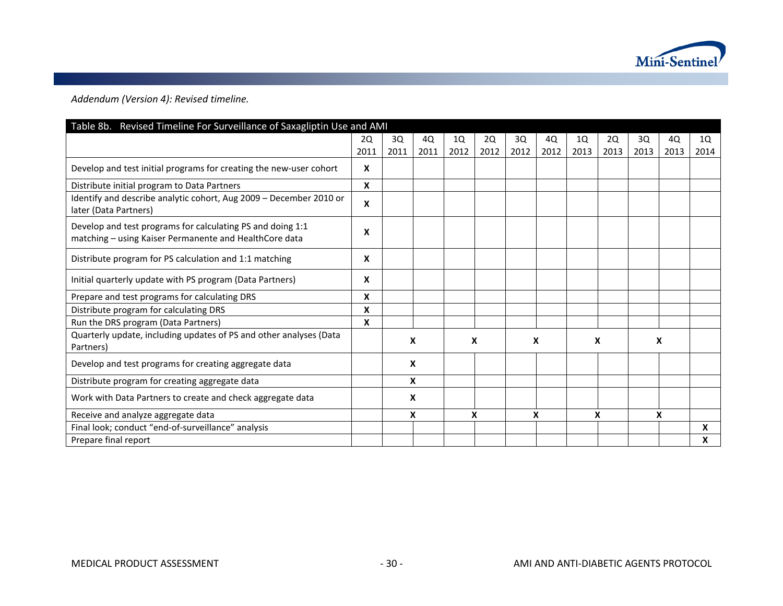

*Addendum (Version 4): Revised timeline.* 

| Table 8b. Revised Timeline For Surveillance of Saxagliptin Use and AMI                                               |      |      |      |      |      |      |      |      |      |      |      |      |
|----------------------------------------------------------------------------------------------------------------------|------|------|------|------|------|------|------|------|------|------|------|------|
|                                                                                                                      | 2Q   | 3Q   | 4Q   | 1Q   | 2Q   | 3Q   | 4Q   | 1Q   | 2Q   | 3Q   | 4Q   | 1Q   |
|                                                                                                                      | 2011 | 2011 | 2011 | 2012 | 2012 | 2012 | 2012 | 2013 | 2013 | 2013 | 2013 | 2014 |
| Develop and test initial programs for creating the new-user cohort                                                   | X    |      |      |      |      |      |      |      |      |      |      |      |
| Distribute initial program to Data Partners                                                                          | X    |      |      |      |      |      |      |      |      |      |      |      |
| Identify and describe analytic cohort, Aug 2009 - December 2010 or<br>later (Data Partners)                          | X    |      |      |      |      |      |      |      |      |      |      |      |
| Develop and test programs for calculating PS and doing 1:1<br>matching - using Kaiser Permanente and HealthCore data | X    |      |      |      |      |      |      |      |      |      |      |      |
| Distribute program for PS calculation and 1:1 matching                                                               | X    |      |      |      |      |      |      |      |      |      |      |      |
| Initial quarterly update with PS program (Data Partners)                                                             | X    |      |      |      |      |      |      |      |      |      |      |      |
| Prepare and test programs for calculating DRS                                                                        | X    |      |      |      |      |      |      |      |      |      |      |      |
| Distribute program for calculating DRS                                                                               | X    |      |      |      |      |      |      |      |      |      |      |      |
| Run the DRS program (Data Partners)                                                                                  | X    |      |      |      |      |      |      |      |      |      |      |      |
| Quarterly update, including updates of PS and other analyses (Data<br>Partners)                                      |      | X    |      | X    |      | X    |      | X    |      | X    |      |      |
| Develop and test programs for creating aggregate data                                                                |      |      | X    |      |      |      |      |      |      |      |      |      |
| Distribute program for creating aggregate data                                                                       |      |      | X    |      |      |      |      |      |      |      |      |      |
| Work with Data Partners to create and check aggregate data                                                           |      |      | X    |      |      |      |      |      |      |      |      |      |
| Receive and analyze aggregate data                                                                                   |      |      | X    | X    |      | X    |      |      | X    |      | X    |      |
| Final look; conduct "end-of-surveillance" analysis                                                                   |      |      |      |      |      |      |      |      |      |      |      | X    |
| Prepare final report                                                                                                 |      |      |      |      |      |      |      |      |      |      |      | X    |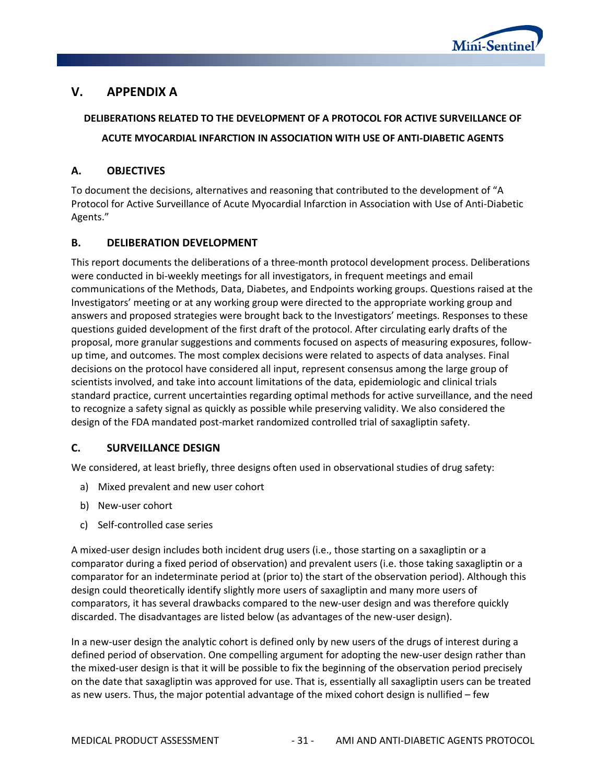

## <span id="page-34-0"></span>**V. APPENDIX A**

## **DELIBERATIONS RELATED TO THE DEVELOPMENT OF A PROTOCOL FOR ACTIVE SURVEILLANCE OF ACUTE MYOCARDIAL INFARCTION IN ASSOCIATION WITH USE OF ANTI-DIABETIC AGENTS**

#### <span id="page-34-1"></span>**A. OBJECTIVES**

To document the decisions, alternatives and reasoning that contributed to the development of "A Protocol for Active Surveillance of Acute Myocardial Infarction in Association with Use of Anti-Diabetic Agents."

#### <span id="page-34-2"></span>**B. DELIBERATION DEVELOPMENT**

This report documents the deliberations of a three-month protocol development process. Deliberations were conducted in bi-weekly meetings for all investigators, in frequent meetings and email communications of the Methods, Data, Diabetes, and Endpoints working groups. Questions raised at the Investigators' meeting or at any working group were directed to the appropriate working group and answers and proposed strategies were brought back to the Investigators' meetings. Responses to these questions guided development of the first draft of the protocol. After circulating early drafts of the proposal, more granular suggestions and comments focused on aspects of measuring exposures, followup time, and outcomes. The most complex decisions were related to aspects of data analyses. Final decisions on the protocol have considered all input, represent consensus among the large group of scientists involved, and take into account limitations of the data, epidemiologic and clinical trials standard practice, current uncertainties regarding optimal methods for active surveillance, and the need to recognize a safety signal as quickly as possible while preserving validity. We also considered the design of the FDA mandated post-market randomized controlled trial of saxagliptin safety.

#### <span id="page-34-3"></span>**C. SURVEILLANCE DESIGN**

We considered, at least briefly, three designs often used in observational studies of drug safety:

- a) Mixed prevalent and new user cohort
- b) New-user cohort
- c) Self-controlled case series

A mixed-user design includes both incident drug users (i.e., those starting on a saxagliptin or a comparator during a fixed period of observation) and prevalent users (i.e. those taking saxagliptin or a comparator for an indeterminate period at (prior to) the start of the observation period). Although this design could theoretically identify slightly more users of saxagliptin and many more users of comparators, it has several drawbacks compared to the new-user design and was therefore quickly discarded. The disadvantages are listed below (as advantages of the new-user design).

In a new-user design the analytic cohort is defined only by new users of the drugs of interest during a defined period of observation. One compelling argument for adopting the new-user design rather than the mixed-user design is that it will be possible to fix the beginning of the observation period precisely on the date that saxagliptin was approved for use. That is, essentially all saxagliptin users can be treated as new users. Thus, the major potential advantage of the mixed cohort design is nullified – few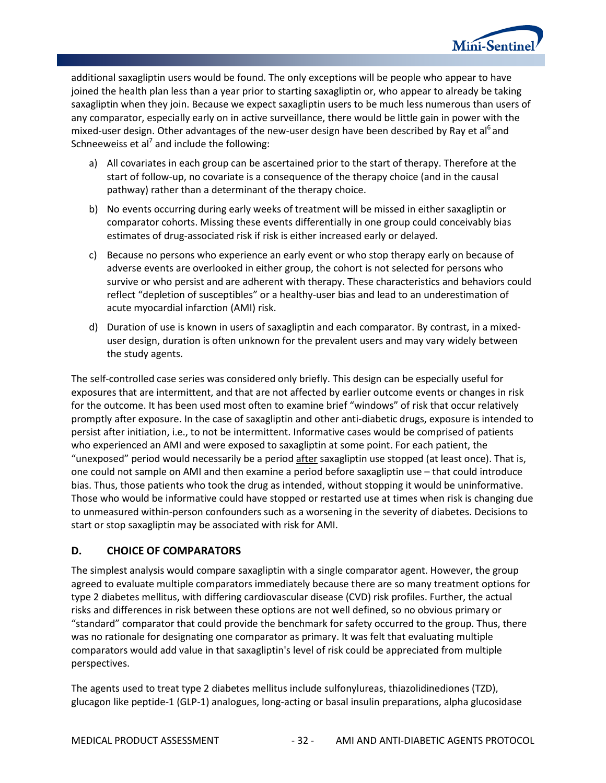

additional saxagliptin users would be found. The only exceptions will be people who appear to have joined the health plan less than a year prior to starting saxagliptin or, who appear to already be taking saxagliptin when they join. Because we expect saxagliptin users to be much less numerous than users of any comparator, especially early on in active surveillance, there would be little gain in power with the mixed-user design. Other advantages of the new-user design have been described by Ray et al<sup>6</sup> and Schneeweiss et al<sup>7</sup> and include the following:

- a) All covariates in each group can be ascertained prior to the start of therapy. Therefore at the start of follow-up, no covariate is a consequence of the therapy choice (and in the causal pathway) rather than a determinant of the therapy choice.
- b) No events occurring during early weeks of treatment will be missed in either saxagliptin or comparator cohorts. Missing these events differentially in one group could conceivably bias estimates of drug-associated risk if risk is either increased early or delayed.
- c) Because no persons who experience an early event or who stop therapy early on because of adverse events are overlooked in either group, the cohort is not selected for persons who survive or who persist and are adherent with therapy. These characteristics and behaviors could reflect "depletion of susceptibles" or a healthy-user bias and lead to an underestimation of acute myocardial infarction (AMI) risk.
- d) Duration of use is known in users of saxagliptin and each comparator. By contrast, in a mixeduser design, duration is often unknown for the prevalent users and may vary widely between the study agents.

The self-controlled case series was considered only briefly. This design can be especially useful for exposures that are intermittent, and that are not affected by earlier outcome events or changes in risk for the outcome. It has been used most often to examine brief "windows" of risk that occur relatively promptly after exposure. In the case of saxagliptin and other anti-diabetic drugs, exposure is intended to persist after initiation, i.e., to not be intermittent. Informative cases would be comprised of patients who experienced an AMI and were exposed to saxagliptin at some point. For each patient, the "unexposed" period would necessarily be a period after saxagliptin use stopped (at least once). That is, one could not sample on AMI and then examine a period before saxagliptin use – that could introduce bias. Thus, those patients who took the drug as intended, without stopping it would be uninformative. Those who would be informative could have stopped or restarted use at times when risk is changing due to unmeasured within-person confounders such as a worsening in the severity of diabetes. Decisions to start or stop saxagliptin may be associated with risk for AMI.

#### <span id="page-35-0"></span>**D. CHOICE OF COMPARATORS**

The simplest analysis would compare saxagliptin with a single comparator agent. However, the group agreed to evaluate multiple comparators immediately because there are so many treatment options for type 2 diabetes mellitus, with differing cardiovascular disease (CVD) risk profiles. Further, the actual risks and differences in risk between these options are not well defined, so no obvious primary or "standard" comparator that could provide the benchmark for safety occurred to the group. Thus, there was no rationale for designating one comparator as primary. It was felt that evaluating multiple comparators would add value in that saxagliptin's level of risk could be appreciated from multiple perspectives.

The agents used to treat type 2 diabetes mellitus include sulfonylureas, thiazolidinediones (TZD), glucagon like peptide-1 (GLP-1) analogues, long-acting or basal insulin preparations, alpha glucosidase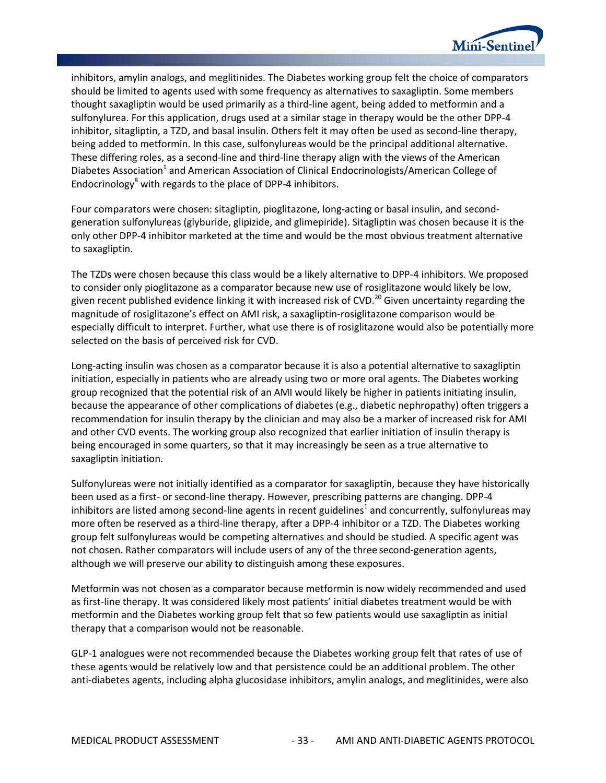

inhibitors, amylin analogs, and meglitinides. The Diabetes working group felt the choice of comparators should be limited to agents used with some frequency as alternatives to saxagliptin. Some members thought saxagliptin would be used primarily as a third-line agent, being added to metformin and a sulfonylurea. For this application, drugs used at a similar stage in therapy would be the other DPP-4 inhibitor, sitagliptin, a TZD, and basal insulin. Others felt it may often be used as second-line therapy, being added to metformin. In this case, sulfonylureas would be the principal additional alternative. These differing roles, as a second-line and third-line therapy align with the views of the American Diabetes Association<sup>1</sup> and American Association of Clinical Endocrinologists/American College of Endocrinology $8$  with regards to the place of DPP-4 inhibitors.

Four comparators were chosen: sitagliptin, pioglitazone, long-acting or basal insulin, and secondgeneration sulfonylureas (glyburide, glipizide, and glimepiride). Sitagliptin was chosen because it is the only other DPP-4 inhibitor marketed at the time and would be the most obvious treatment alternative to saxagliptin.

The TZDs were chosen because this class would be a likely alternative to DPP-4 inhibitors. We proposed to consider only pioglitazone as a comparator because new use of rosiglitazone would likely be low, given recent published evidence linking it with increased risk of CVD.<sup>20</sup> Given uncertainty regarding the magnitude of rosiglitazone's effect on AMI risk, a saxagliptin-rosiglitazone comparison would be especially difficult to interpret. Further, what use there is of rosiglitazone would also be potentially more selected on the basis of perceived risk for CVD.

Long-acting insulin was chosen as a comparator because it is also a potential alternative to saxagliptin initiation, especially in patients who are already using two or more oral agents. The Diabetes working group recognized that the potential risk of an AMI would likely be higher in patients initiating insulin, because the appearance of other complications of diabetes (e.g., diabetic nephropathy) often triggers a recommendation for insulin therapy by the clinician and may also be a marker of increased risk for AMI and other CVD events. The working group also recognized that earlier initiation of insulin therapy is being encouraged in some quarters, so that it may increasingly be seen as a true alternative to saxagliptin initiation.

Sulfonylureas were not initially identified as a comparator for saxagliptin, because they have historically been used as a first- or second-line therapy. However, prescribing patterns are changing. DPP-4 inhibitors are listed among second-line agents in recent guidelines<sup>1</sup> and concurrently, sulfonylureas may more often be reserved as a third-line therapy, after a DPP-4 inhibitor or a TZD. The Diabetes working group felt sulfonylureas would be competing alternatives and should be studied. A specific agent was not chosen. Rather comparators will include users of any of the three second-generation agents, although we will preserve our ability to distinguish among these exposures.

Metformin was not chosen as a comparator because metformin is now widely recommended and used as first-line therapy. It was considered likely most patients' initial diabetes treatment would be with metformin and the Diabetes working group felt that so few patients would use saxagliptin as initial therapy that a comparison would not be reasonable.

GLP-1 analogues were not recommended because the Diabetes working group felt that rates of use of these agents would be relatively low and that persistence could be an additional problem. The other anti-diabetes agents, including alpha glucosidase inhibitors, amylin analogs, and meglitinides, were also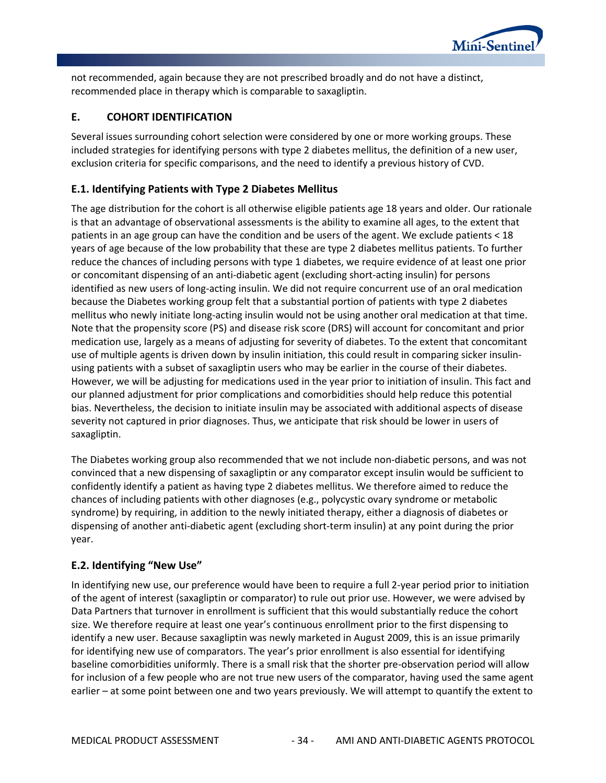

not recommended, again because they are not prescribed broadly and do not have a distinct, recommended place in therapy which is comparable to saxagliptin.

## **E. COHORT IDENTIFICATION**

Several issues surrounding cohort selection were considered by one or more working groups. These included strategies for identifying persons with type 2 diabetes mellitus, the definition of a new user, exclusion criteria for specific comparisons, and the need to identify a previous history of CVD.

# **E.1. Identifying Patients with Type 2 Diabetes Mellitus**

The age distribution for the cohort is all otherwise eligible patients age 18 years and older. Our rationale is that an advantage of observational assessments is the ability to examine all ages, to the extent that patients in an age group can have the condition and be users of the agent. We exclude patients < 18 years of age because of the low probability that these are type 2 diabetes mellitus patients. To further reduce the chances of including persons with type 1 diabetes, we require evidence of at least one prior or concomitant dispensing of an anti-diabetic agent (excluding short-acting insulin) for persons identified as new users of long-acting insulin. We did not require concurrent use of an oral medication because the Diabetes working group felt that a substantial portion of patients with type 2 diabetes mellitus who newly initiate long-acting insulin would not be using another oral medication at that time. Note that the propensity score (PS) and disease risk score (DRS) will account for concomitant and prior medication use, largely as a means of adjusting for severity of diabetes. To the extent that concomitant use of multiple agents is driven down by insulin initiation, this could result in comparing sicker insulinusing patients with a subset of saxagliptin users who may be earlier in the course of their diabetes. However, we will be adjusting for medications used in the year prior to initiation of insulin. This fact and our planned adjustment for prior complications and comorbidities should help reduce this potential bias. Nevertheless, the decision to initiate insulin may be associated with additional aspects of disease severity not captured in prior diagnoses. Thus, we anticipate that risk should be lower in users of saxagliptin.

The Diabetes working group also recommended that we not include non-diabetic persons, and was not convinced that a new dispensing of saxagliptin or any comparator except insulin would be sufficient to confidently identify a patient as having type 2 diabetes mellitus. We therefore aimed to reduce the chances of including patients with other diagnoses (e.g., polycystic ovary syndrome or metabolic syndrome) by requiring, in addition to the newly initiated therapy, either a diagnosis of diabetes or dispensing of another anti-diabetic agent (excluding short-term insulin) at any point during the prior year.

## **E.2. Identifying "New Use"**

In identifying new use, our preference would have been to require a full 2-year period prior to initiation of the agent of interest (saxagliptin or comparator) to rule out prior use. However, we were advised by Data Partners that turnover in enrollment is sufficient that this would substantially reduce the cohort size. We therefore require at least one year's continuous enrollment prior to the first dispensing to identify a new user. Because saxagliptin was newly marketed in August 2009, this is an issue primarily for identifying new use of comparators. The year's prior enrollment is also essential for identifying baseline comorbidities uniformly. There is a small risk that the shorter pre-observation period will allow for inclusion of a few people who are not true new users of the comparator, having used the same agent earlier – at some point between one and two years previously. We will attempt to quantify the extent to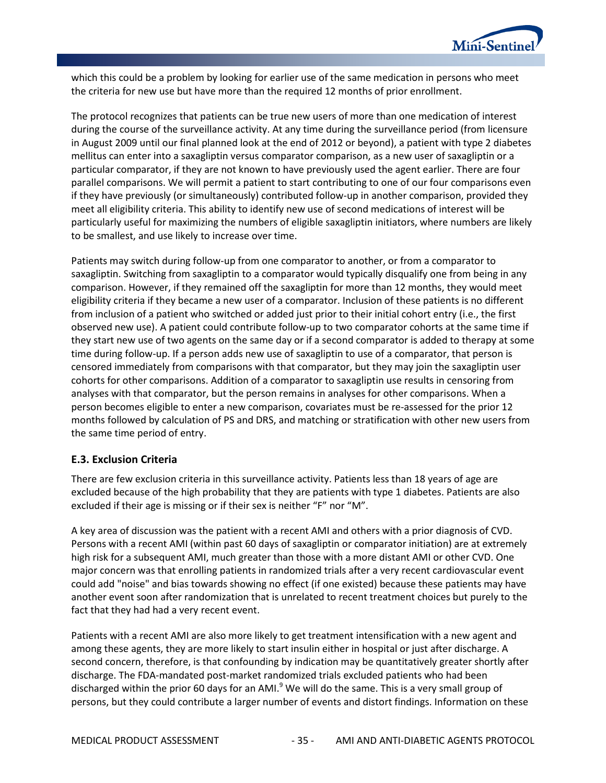

which this could be a problem by looking for earlier use of the same medication in persons who meet the criteria for new use but have more than the required 12 months of prior enrollment.

The protocol recognizes that patients can be true new users of more than one medication of interest during the course of the surveillance activity. At any time during the surveillance period (from licensure in August 2009 until our final planned look at the end of 2012 or beyond), a patient with type 2 diabetes mellitus can enter into a saxagliptin versus comparator comparison, as a new user of saxagliptin or a particular comparator, if they are not known to have previously used the agent earlier. There are four parallel comparisons. We will permit a patient to start contributing to one of our four comparisons even if they have previously (or simultaneously) contributed follow-up in another comparison, provided they meet all eligibility criteria. This ability to identify new use of second medications of interest will be particularly useful for maximizing the numbers of eligible saxagliptin initiators, where numbers are likely to be smallest, and use likely to increase over time.

Patients may switch during follow-up from one comparator to another, or from a comparator to saxagliptin. Switching from saxagliptin to a comparator would typically disqualify one from being in any comparison. However, if they remained off the saxagliptin for more than 12 months, they would meet eligibility criteria if they became a new user of a comparator. Inclusion of these patients is no different from inclusion of a patient who switched or added just prior to their initial cohort entry (i.e., the first observed new use). A patient could contribute follow-up to two comparator cohorts at the same time if they start new use of two agents on the same day or if a second comparator is added to therapy at some time during follow-up. If a person adds new use of saxagliptin to use of a comparator, that person is censored immediately from comparisons with that comparator, but they may join the saxagliptin user cohorts for other comparisons. Addition of a comparator to saxagliptin use results in censoring from analyses with that comparator, but the person remains in analyses for other comparisons. When a person becomes eligible to enter a new comparison, covariates must be re-assessed for the prior 12 months followed by calculation of PS and DRS, and matching or stratification with other new users from the same time period of entry.

## **E.3. Exclusion Criteria**

There are few exclusion criteria in this surveillance activity. Patients less than 18 years of age are excluded because of the high probability that they are patients with type 1 diabetes. Patients are also excluded if their age is missing or if their sex is neither "F" nor "M".

A key area of discussion was the patient with a recent AMI and others with a prior diagnosis of CVD. Persons with a recent AMI (within past 60 days of saxagliptin or comparator initiation) are at extremely high risk for a subsequent AMI, much greater than those with a more distant AMI or other CVD. One major concern was that enrolling patients in randomized trials after a very recent cardiovascular event could add "noise" and bias towards showing no effect (if one existed) because these patients may have another event soon after randomization that is unrelated to recent treatment choices but purely to the fact that they had had a very recent event.

Patients with a recent AMI are also more likely to get treatment intensification with a new agent and among these agents, they are more likely to start insulin either in hospital or just after discharge. A second concern, therefore, is that confounding by indication may be quantitatively greater shortly after discharge. The FDA-mandated post-market randomized trials excluded patients who had been discharged within the prior 60 days for an AMI.<sup>9</sup> We will do the same. This is a very small group of persons, but they could contribute a larger number of events and distort findings. Information on these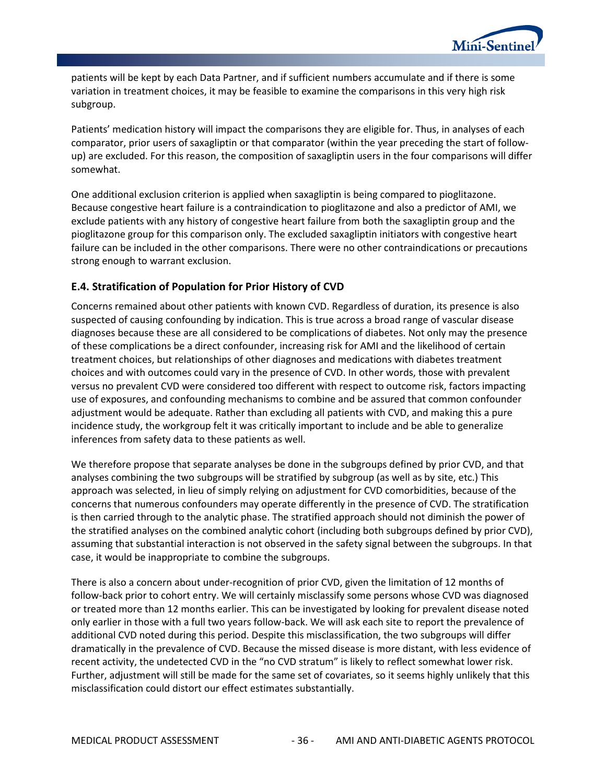

patients will be kept by each Data Partner, and if sufficient numbers accumulate and if there is some variation in treatment choices, it may be feasible to examine the comparisons in this very high risk subgroup.

Patients' medication history will impact the comparisons they are eligible for. Thus, in analyses of each comparator, prior users of saxagliptin or that comparator (within the year preceding the start of followup) are excluded. For this reason, the composition of saxagliptin users in the four comparisons will differ somewhat.

One additional exclusion criterion is applied when saxagliptin is being compared to pioglitazone. Because congestive heart failure is a contraindication to pioglitazone and also a predictor of AMI, we exclude patients with any history of congestive heart failure from both the saxagliptin group and the pioglitazone group for this comparison only. The excluded saxagliptin initiators with congestive heart failure can be included in the other comparisons. There were no other contraindications or precautions strong enough to warrant exclusion.

## **E.4. Stratification of Population for Prior History of CVD**

Concerns remained about other patients with known CVD. Regardless of duration, its presence is also suspected of causing confounding by indication. This is true across a broad range of vascular disease diagnoses because these are all considered to be complications of diabetes. Not only may the presence of these complications be a direct confounder, increasing risk for AMI and the likelihood of certain treatment choices, but relationships of other diagnoses and medications with diabetes treatment choices and with outcomes could vary in the presence of CVD. In other words, those with prevalent versus no prevalent CVD were considered too different with respect to outcome risk, factors impacting use of exposures, and confounding mechanisms to combine and be assured that common confounder adjustment would be adequate. Rather than excluding all patients with CVD, and making this a pure incidence study, the workgroup felt it was critically important to include and be able to generalize inferences from safety data to these patients as well.

We therefore propose that separate analyses be done in the subgroups defined by prior CVD, and that analyses combining the two subgroups will be stratified by subgroup (as well as by site, etc.) This approach was selected, in lieu of simply relying on adjustment for CVD comorbidities, because of the concerns that numerous confounders may operate differently in the presence of CVD. The stratification is then carried through to the analytic phase. The stratified approach should not diminish the power of the stratified analyses on the combined analytic cohort (including both subgroups defined by prior CVD), assuming that substantial interaction is not observed in the safety signal between the subgroups. In that case, it would be inappropriate to combine the subgroups.

There is also a concern about under-recognition of prior CVD, given the limitation of 12 months of follow-back prior to cohort entry. We will certainly misclassify some persons whose CVD was diagnosed or treated more than 12 months earlier. This can be investigated by looking for prevalent disease noted only earlier in those with a full two years follow-back. We will ask each site to report the prevalence of additional CVD noted during this period. Despite this misclassification, the two subgroups will differ dramatically in the prevalence of CVD. Because the missed disease is more distant, with less evidence of recent activity, the undetected CVD in the "no CVD stratum" is likely to reflect somewhat lower risk. Further, adjustment will still be made for the same set of covariates, so it seems highly unlikely that this misclassification could distort our effect estimates substantially.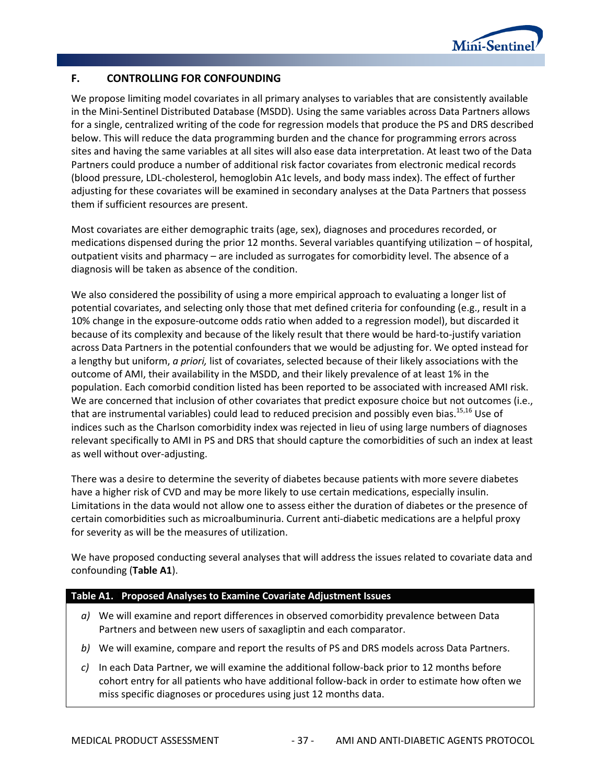

## **F. CONTROLLING FOR CONFOUNDING**

We propose limiting model covariates in all primary analyses to variables that are consistently available in the Mini-Sentinel Distributed Database (MSDD). Using the same variables across Data Partners allows for a single, centralized writing of the code for regression models that produce the PS and DRS described below. This will reduce the data programming burden and the chance for programming errors across sites and having the same variables at all sites will also ease data interpretation. At least two of the Data Partners could produce a number of additional risk factor covariates from electronic medical records (blood pressure, LDL-cholesterol, hemoglobin A1c levels, and body mass index). The effect of further adjusting for these covariates will be examined in secondary analyses at the Data Partners that possess them if sufficient resources are present.

Most covariates are either demographic traits (age, sex), diagnoses and procedures recorded, or medications dispensed during the prior 12 months. Several variables quantifying utilization – of hospital, outpatient visits and pharmacy – are included as surrogates for comorbidity level. The absence of a diagnosis will be taken as absence of the condition.

We also considered the possibility of using a more empirical approach to evaluating a longer list of potential covariates, and selecting only those that met defined criteria for confounding (e.g., result in a 10% change in the exposure-outcome odds ratio when added to a regression model), but discarded it because of its complexity and because of the likely result that there would be hard-to-justify variation across Data Partners in the potential confounders that we would be adjusting for. We opted instead for a lengthy but uniform, *a priori,* list of covariates, selected because of their likely associations with the outcome of AMI, their availability in the MSDD, and their likely prevalence of at least 1% in the population. Each comorbid condition listed has been reported to be associated with increased AMI risk. We are concerned that inclusion of other covariates that predict exposure choice but not outcomes (i.e., that are instrumental variables) could lead to reduced precision and possibly even bias.<sup>15,16</sup> Use of indices such as the Charlson comorbidity index was rejected in lieu of using large numbers of diagnoses relevant specifically to AMI in PS and DRS that should capture the comorbidities of such an index at least as well without over-adjusting.

There was a desire to determine the severity of diabetes because patients with more severe diabetes have a higher risk of CVD and may be more likely to use certain medications, especially insulin. Limitations in the data would not allow one to assess either the duration of diabetes or the presence of certain comorbidities such as microalbuminuria. Current anti-diabetic medications are a helpful proxy for severity as will be the measures of utilization.

We have proposed conducting several analyses that will address the issues related to covariate data and confounding (**[Table A1](#page-40-0)**).

#### <span id="page-40-0"></span>**Table A1. 1Proposed Analyses to Examine Covariate Adjustment Issues**

- *a)* We will examine and report differences in observed comorbidity prevalence between Data Partners and between new users of saxagliptin and each comparator.
- *b)* We will examine, compare and report the results of PS and DRS models across Data Partners.
- *c)* In each Data Partner, we will examine the additional follow-back prior to 12 months before cohort entry for all patients who have additional follow-back in order to estimate how often we miss specific diagnoses or procedures using just 12 months data.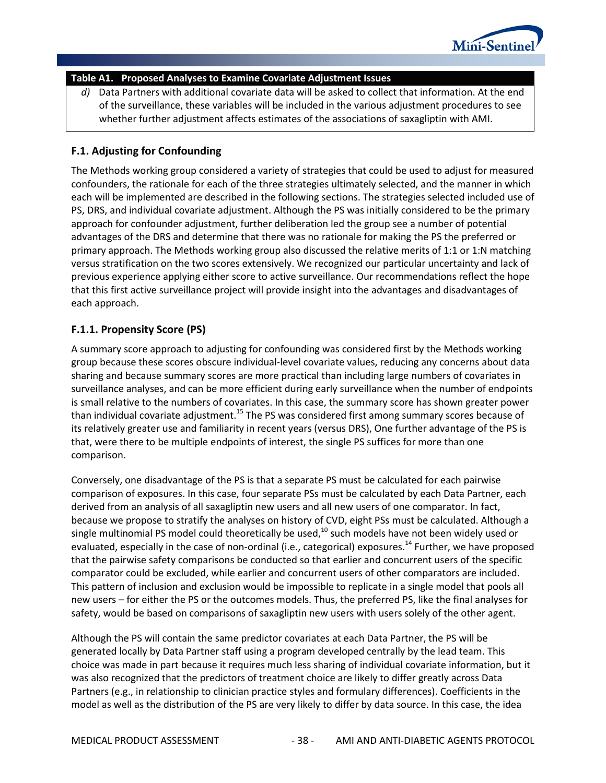

### **Table A1. 1Proposed Analyses to Examine Covariate Adjustment Issues**

*d)* Data Partners with additional covariate data will be asked to collect that information. At the end of the surveillance, these variables will be included in the various adjustment procedures to see whether further adjustment affects estimates of the associations of saxagliptin with AMI.

### **F.1. Adjusting for Confounding**

The Methods working group considered a variety of strategies that could be used to adjust for measured confounders, the rationale for each of the three strategies ultimately selected, and the manner in which each will be implemented are described in the following sections. The strategies selected included use of PS, DRS, and individual covariate adjustment. Although the PS was initially considered to be the primary approach for confounder adjustment, further deliberation led the group see a number of potential advantages of the DRS and determine that there was no rationale for making the PS the preferred or primary approach. The Methods working group also discussed the relative merits of 1:1 or 1:N matching versus stratification on the two scores extensively. We recognized our particular uncertainty and lack of previous experience applying either score to active surveillance. Our recommendations reflect the hope that this first active surveillance project will provide insight into the advantages and disadvantages of each approach.

## **F.1.1. Propensity Score (PS)**

A summary score approach to adjusting for confounding was considered first by the Methods working group because these scores obscure individual-level covariate values, reducing any concerns about data sharing and because summary scores are more practical than including large numbers of covariates in surveillance analyses, and can be more efficient during early surveillance when the number of endpoints is small relative to the numbers of covariates. In this case, the summary score has shown greater power than individual covariate adjustment.<sup>15</sup> The PS was considered first among summary scores because of its relatively greater use and familiarity in recent years (versus DRS), One further advantage of the PS is that, were there to be multiple endpoints of interest, the single PS suffices for more than one comparison.

Conversely, one disadvantage of the PS is that a separate PS must be calculated for each pairwise comparison of exposures. In this case, four separate PSs must be calculated by each Data Partner, each derived from an analysis of all saxagliptin new users and all new users of one comparator. In fact, because we propose to stratify the analyses on history of CVD, eight PSs must be calculated. Although a single multinomial PS model could theoretically be used,<sup>10</sup> such models have not been widely used or evaluated, especially in the case of non-ordinal (i.e., categorical) exposures.<sup>14</sup> Further, we have proposed that the pairwise safety comparisons be conducted so that earlier and concurrent users of the specific comparator could be excluded, while earlier and concurrent users of other comparators are included. This pattern of inclusion and exclusion would be impossible to replicate in a single model that pools all new users – for either the PS or the outcomes models. Thus, the preferred PS, like the final analyses for safety, would be based on comparisons of saxagliptin new users with users solely of the other agent.

Although the PS will contain the same predictor covariates at each Data Partner, the PS will be generated locally by Data Partner staff using a program developed centrally by the lead team. This choice was made in part because it requires much less sharing of individual covariate information, but it was also recognized that the predictors of treatment choice are likely to differ greatly across Data Partners (e.g., in relationship to clinician practice styles and formulary differences). Coefficients in the model as well as the distribution of the PS are very likely to differ by data source. In this case, the idea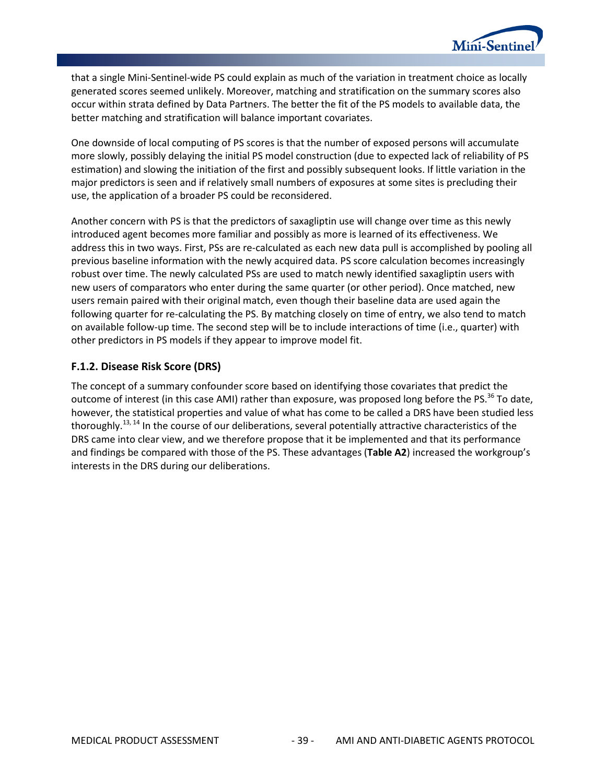

that a single Mini-Sentinel-wide PS could explain as much of the variation in treatment choice as locally generated scores seemed unlikely. Moreover, matching and stratification on the summary scores also occur within strata defined by Data Partners. The better the fit of the PS models to available data, the better matching and stratification will balance important covariates.

One downside of local computing of PS scores is that the number of exposed persons will accumulate more slowly, possibly delaying the initial PS model construction (due to expected lack of reliability of PS estimation) and slowing the initiation of the first and possibly subsequent looks. If little variation in the major predictors is seen and if relatively small numbers of exposures at some sites is precluding their use, the application of a broader PS could be reconsidered.

Another concern with PS is that the predictors of saxagliptin use will change over time as this newly introduced agent becomes more familiar and possibly as more is learned of its effectiveness. We address this in two ways. First, PSs are re-calculated as each new data pull is accomplished by pooling all previous baseline information with the newly acquired data. PS score calculation becomes increasingly robust over time. The newly calculated PSs are used to match newly identified saxagliptin users with new users of comparators who enter during the same quarter (or other period). Once matched, new users remain paired with their original match, even though their baseline data are used again the following quarter for re-calculating the PS. By matching closely on time of entry, we also tend to match on available follow-up time. The second step will be to include interactions of time (i.e., quarter) with other predictors in PS models if they appear to improve model fit.

## **F.1.2. Disease Risk Score (DRS)**

The concept of a summary confounder score based on identifying those covariates that predict the outcome of interest (in this case AMI) rather than exposure, was proposed long before the PS.<sup>36</sup> To date, however, the statistical properties and value of what has come to be called a DRS have been studied less thoroughly.<sup>13, 14</sup> In the course of our deliberations, several potentially attractive characteristics of the DRS came into clear view, and we therefore propose that it be implemented and that its performance and findings be compared with those of the PS. These advantages (**[Table A2](#page-43-0)**) increased the workgroup's interests in the DRS during our deliberations.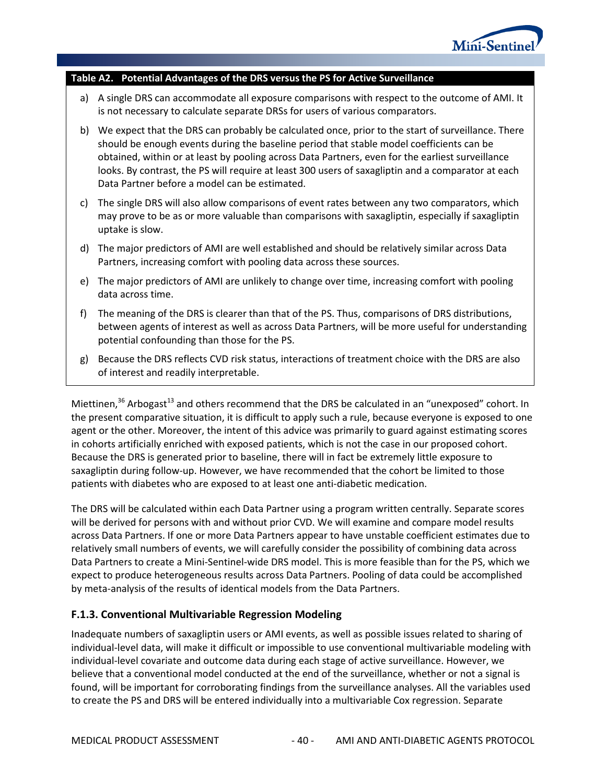

#### <span id="page-43-0"></span>**Table A2. 1Potential Advantages of the DRS versus the PS for Active Surveillance**

- a) A single DRS can accommodate all exposure comparisons with respect to the outcome of AMI. It is not necessary to calculate separate DRSs for users of various comparators.
- b) We expect that the DRS can probably be calculated once, prior to the start of surveillance. There should be enough events during the baseline period that stable model coefficients can be obtained, within or at least by pooling across Data Partners, even for the earliest surveillance looks. By contrast, the PS will require at least 300 users of saxagliptin and a comparator at each Data Partner before a model can be estimated.
- c) The single DRS will also allow comparisons of event rates between any two comparators, which may prove to be as or more valuable than comparisons with saxagliptin, especially if saxagliptin uptake is slow.
- d) The major predictors of AMI are well established and should be relatively similar across Data Partners, increasing comfort with pooling data across these sources.
- e) The major predictors of AMI are unlikely to change over time, increasing comfort with pooling data across time.
- f) The meaning of the DRS is clearer than that of the PS. Thus, comparisons of DRS distributions, between agents of interest as well as across Data Partners, will be more useful for understanding potential confounding than those for the PS.
- g) Because the DRS reflects CVD risk status, interactions of treatment choice with the DRS are also of interest and readily interpretable.

Miettinen, $36$  Arbogast<sup>13</sup> and others recommend that the DRS be calculated in an "unexposed" cohort. In the present comparative situation, it is difficult to apply such a rule, because everyone is exposed to one agent or the other. Moreover, the intent of this advice was primarily to guard against estimating scores in cohorts artificially enriched with exposed patients, which is not the case in our proposed cohort. Because the DRS is generated prior to baseline, there will in fact be extremely little exposure to saxagliptin during follow-up. However, we have recommended that the cohort be limited to those patients with diabetes who are exposed to at least one anti-diabetic medication.

The DRS will be calculated within each Data Partner using a program written centrally. Separate scores will be derived for persons with and without prior CVD. We will examine and compare model results across Data Partners. If one or more Data Partners appear to have unstable coefficient estimates due to relatively small numbers of events, we will carefully consider the possibility of combining data across Data Partners to create a Mini-Sentinel-wide DRS model. This is more feasible than for the PS, which we expect to produce heterogeneous results across Data Partners. Pooling of data could be accomplished by meta-analysis of the results of identical models from the Data Partners.

#### **F.1.3. Conventional Multivariable Regression Modeling**

Inadequate numbers of saxagliptin users or AMI events, as well as possible issues related to sharing of individual-level data, will make it difficult or impossible to use conventional multivariable modeling with individual-level covariate and outcome data during each stage of active surveillance. However, we believe that a conventional model conducted at the end of the surveillance, whether or not a signal is found, will be important for corroborating findings from the surveillance analyses. All the variables used to create the PS and DRS will be entered individually into a multivariable Cox regression. Separate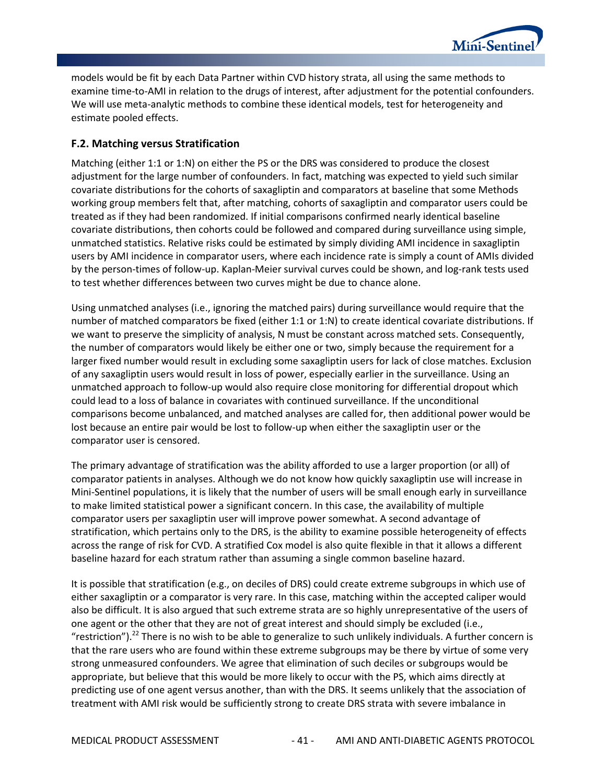

models would be fit by each Data Partner within CVD history strata, all using the same methods to examine time-to-AMI in relation to the drugs of interest, after adjustment for the potential confounders. We will use meta-analytic methods to combine these identical models, test for heterogeneity and estimate pooled effects.

## **F.2. Matching versus Stratification**

Matching (either 1:1 or 1:N) on either the PS or the DRS was considered to produce the closest adjustment for the large number of confounders. In fact, matching was expected to yield such similar covariate distributions for the cohorts of saxagliptin and comparators at baseline that some Methods working group members felt that, after matching, cohorts of saxagliptin and comparator users could be treated as if they had been randomized. If initial comparisons confirmed nearly identical baseline covariate distributions, then cohorts could be followed and compared during surveillance using simple, unmatched statistics. Relative risks could be estimated by simply dividing AMI incidence in saxagliptin users by AMI incidence in comparator users, where each incidence rate is simply a count of AMIs divided by the person-times of follow-up. Kaplan-Meier survival curves could be shown, and log-rank tests used to test whether differences between two curves might be due to chance alone.

Using unmatched analyses (i.e., ignoring the matched pairs) during surveillance would require that the number of matched comparators be fixed (either 1:1 or 1:N) to create identical covariate distributions. If we want to preserve the simplicity of analysis, N must be constant across matched sets. Consequently, the number of comparators would likely be either one or two, simply because the requirement for a larger fixed number would result in excluding some saxagliptin users for lack of close matches. Exclusion of any saxagliptin users would result in loss of power, especially earlier in the surveillance. Using an unmatched approach to follow-up would also require close monitoring for differential dropout which could lead to a loss of balance in covariates with continued surveillance. If the unconditional comparisons become unbalanced, and matched analyses are called for, then additional power would be lost because an entire pair would be lost to follow-up when either the saxagliptin user or the comparator user is censored.

The primary advantage of stratification was the ability afforded to use a larger proportion (or all) of comparator patients in analyses. Although we do not know how quickly saxagliptin use will increase in Mini-Sentinel populations, it is likely that the number of users will be small enough early in surveillance to make limited statistical power a significant concern. In this case, the availability of multiple comparator users per saxagliptin user will improve power somewhat. A second advantage of stratification, which pertains only to the DRS, is the ability to examine possible heterogeneity of effects across the range of risk for CVD. A stratified Cox model is also quite flexible in that it allows a different baseline hazard for each stratum rather than assuming a single common baseline hazard.

It is possible that stratification (e.g., on deciles of DRS) could create extreme subgroups in which use of either saxagliptin or a comparator is very rare. In this case, matching within the accepted caliper would also be difficult. It is also argued that such extreme strata are so highly unrepresentative of the users of one agent or the other that they are not of great interest and should simply be excluded (i.e., "restriction").<sup>22</sup> There is no wish to be able to generalize to such unlikely individuals. A further concern is that the rare users who are found within these extreme subgroups may be there by virtue of some very strong unmeasured confounders. We agree that elimination of such deciles or subgroups would be appropriate, but believe that this would be more likely to occur with the PS, which aims directly at predicting use of one agent versus another, than with the DRS. It seems unlikely that the association of treatment with AMI risk would be sufficiently strong to create DRS strata with severe imbalance in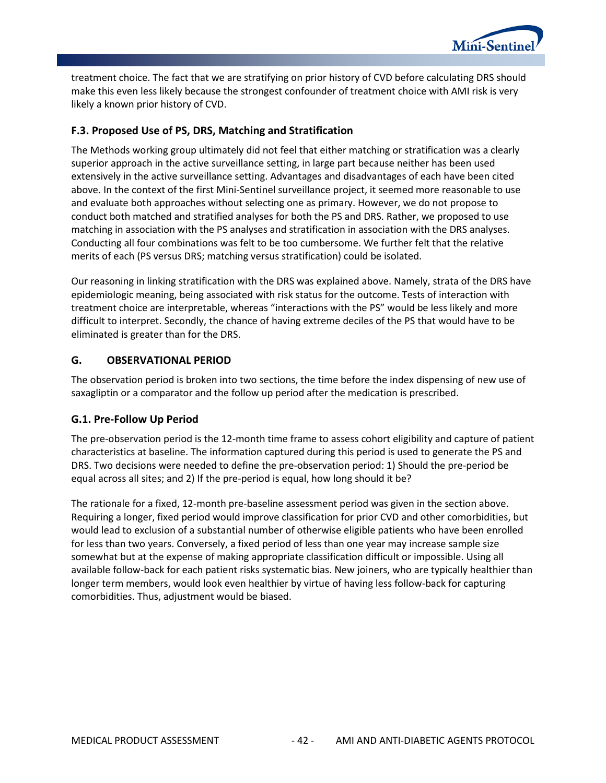

treatment choice. The fact that we are stratifying on prior history of CVD before calculating DRS should make this even less likely because the strongest confounder of treatment choice with AMI risk is very likely a known prior history of CVD.

## **F.3. Proposed Use of PS, DRS, Matching and Stratification**

The Methods working group ultimately did not feel that either matching or stratification was a clearly superior approach in the active surveillance setting, in large part because neither has been used extensively in the active surveillance setting. Advantages and disadvantages of each have been cited above. In the context of the first Mini-Sentinel surveillance project, it seemed more reasonable to use and evaluate both approaches without selecting one as primary. However, we do not propose to conduct both matched and stratified analyses for both the PS and DRS. Rather, we proposed to use matching in association with the PS analyses and stratification in association with the DRS analyses. Conducting all four combinations was felt to be too cumbersome. We further felt that the relative merits of each (PS versus DRS; matching versus stratification) could be isolated.

Our reasoning in linking stratification with the DRS was explained above. Namely, strata of the DRS have epidemiologic meaning, being associated with risk status for the outcome. Tests of interaction with treatment choice are interpretable, whereas "interactions with the PS" would be less likely and more difficult to interpret. Secondly, the chance of having extreme deciles of the PS that would have to be eliminated is greater than for the DRS.

## **G. OBSERVATIONAL PERIOD**

The observation period is broken into two sections, the time before the index dispensing of new use of saxagliptin or a comparator and the follow up period after the medication is prescribed.

# **G.1. Pre-Follow Up Period**

The pre-observation period is the 12-month time frame to assess cohort eligibility and capture of patient characteristics at baseline. The information captured during this period is used to generate the PS and DRS. Two decisions were needed to define the pre-observation period: 1) Should the pre-period be equal across all sites; and 2) If the pre-period is equal, how long should it be?

The rationale for a fixed, 12-month pre-baseline assessment period was given in the section above. Requiring a longer, fixed period would improve classification for prior CVD and other comorbidities, but would lead to exclusion of a substantial number of otherwise eligible patients who have been enrolled for less than two years. Conversely, a fixed period of less than one year may increase sample size somewhat but at the expense of making appropriate classification difficult or impossible. Using all available follow-back for each patient risks systematic bias. New joiners, who are typically healthier than longer term members, would look even healthier by virtue of having less follow-back for capturing comorbidities. Thus, adjustment would be biased.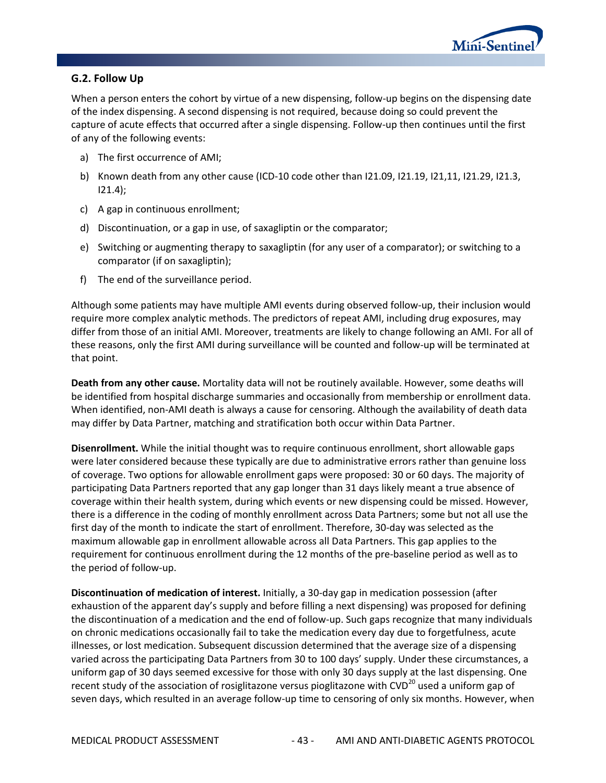

## **G.2. Follow Up**

When a person enters the cohort by virtue of a new dispensing, follow-up begins on the dispensing date of the index dispensing. A second dispensing is not required, because doing so could prevent the capture of acute effects that occurred after a single dispensing. Follow-up then continues until the first of any of the following events:

- a) The first occurrence of AMI;
- b) Known death from any other cause (ICD-10 code other than I21.09, I21.19, I21,11, I21.29, I21.3,  $121.4$ ;
- c) A gap in continuous enrollment;
- d) Discontinuation, or a gap in use, of saxagliptin or the comparator;
- e) Switching or augmenting therapy to saxagliptin (for any user of a comparator); or switching to a comparator (if on saxagliptin);
- f) The end of the surveillance period.

Although some patients may have multiple AMI events during observed follow-up, their inclusion would require more complex analytic methods. The predictors of repeat AMI, including drug exposures, may differ from those of an initial AMI. Moreover, treatments are likely to change following an AMI. For all of these reasons, only the first AMI during surveillance will be counted and follow-up will be terminated at that point.

**Death from any other cause.** Mortality data will not be routinely available. However, some deaths will be identified from hospital discharge summaries and occasionally from membership or enrollment data. When identified, non-AMI death is always a cause for censoring. Although the availability of death data may differ by Data Partner, matching and stratification both occur within Data Partner.

**Disenrollment.** While the initial thought was to require continuous enrollment, short allowable gaps were later considered because these typically are due to administrative errors rather than genuine loss of coverage. Two options for allowable enrollment gaps were proposed: 30 or 60 days. The majority of participating Data Partners reported that any gap longer than 31 days likely meant a true absence of coverage within their health system, during which events or new dispensing could be missed. However, there is a difference in the coding of monthly enrollment across Data Partners; some but not all use the first day of the month to indicate the start of enrollment. Therefore, 30-day was selected as the maximum allowable gap in enrollment allowable across all Data Partners. This gap applies to the requirement for continuous enrollment during the 12 months of the pre-baseline period as well as to the period of follow-up.

**Discontinuation of medication of interest.** Initially, a 30-day gap in medication possession (after exhaustion of the apparent day's supply and before filling a next dispensing) was proposed for defining the discontinuation of a medication and the end of follow-up. Such gaps recognize that many individuals on chronic medications occasionally fail to take the medication every day due to forgetfulness, acute illnesses, or lost medication. Subsequent discussion determined that the average size of a dispensing varied across the participating Data Partners from 30 to 100 days' supply. Under these circumstances, a uniform gap of 30 days seemed excessive for those with only 30 days supply at the last dispensing. One recent study of the association of rosiglitazone versus pioglitazone with CVD<sup>20</sup> used a uniform gap of seven days, which resulted in an average follow-up time to censoring of only six months. However, when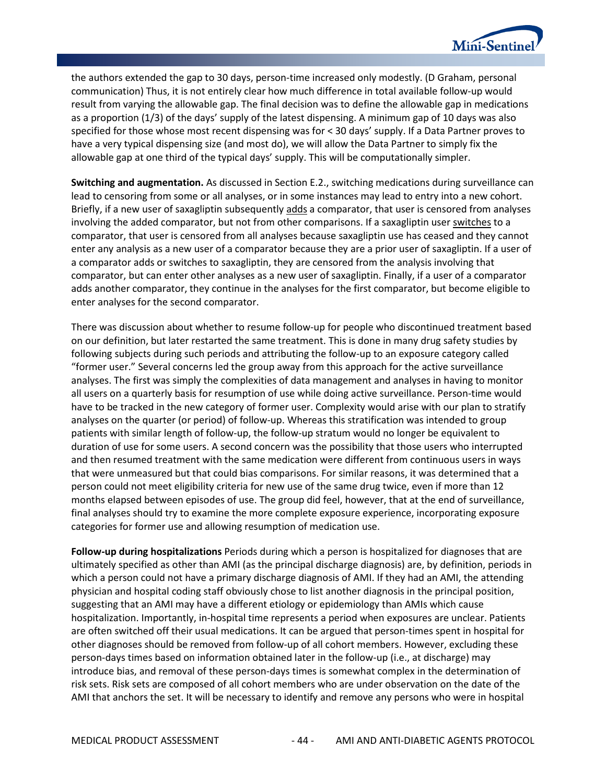

the authors extended the gap to 30 days, person-time increased only modestly. (D Graham, personal communication) Thus, it is not entirely clear how much difference in total available follow-up would result from varying the allowable gap. The final decision was to define the allowable gap in medications as a proportion (1/3) of the days' supply of the latest dispensing. A minimum gap of 10 days was also specified for those whose most recent dispensing was for < 30 days' supply. If a Data Partner proves to have a very typical dispensing size (and most do), we will allow the Data Partner to simply fix the allowable gap at one third of the typical days' supply. This will be computationally simpler.

**Switching and augmentation.** As discussed in Section E.2., switching medications during surveillance can lead to censoring from some or all analyses, or in some instances may lead to entry into a new cohort. Briefly, if a new user of saxagliptin subsequently adds a comparator, that user is censored from analyses involving the added comparator, but not from other comparisons. If a saxagliptin user switches to a comparator, that user is censored from all analyses because saxagliptin use has ceased and they cannot enter any analysis as a new user of a comparator because they are a prior user of saxagliptin. If a user of a comparator adds or switches to saxagliptin, they are censored from the analysis involving that comparator, but can enter other analyses as a new user of saxagliptin. Finally, if a user of a comparator adds another comparator, they continue in the analyses for the first comparator, but become eligible to enter analyses for the second comparator.

There was discussion about whether to resume follow-up for people who discontinued treatment based on our definition, but later restarted the same treatment. This is done in many drug safety studies by following subjects during such periods and attributing the follow-up to an exposure category called "former user." Several concerns led the group away from this approach for the active surveillance analyses. The first was simply the complexities of data management and analyses in having to monitor all users on a quarterly basis for resumption of use while doing active surveillance. Person-time would have to be tracked in the new category of former user. Complexity would arise with our plan to stratify analyses on the quarter (or period) of follow-up. Whereas this stratification was intended to group patients with similar length of follow-up, the follow-up stratum would no longer be equivalent to duration of use for some users. A second concern was the possibility that those users who interrupted and then resumed treatment with the same medication were different from continuous users in ways that were unmeasured but that could bias comparisons. For similar reasons, it was determined that a person could not meet eligibility criteria for new use of the same drug twice, even if more than 12 months elapsed between episodes of use. The group did feel, however, that at the end of surveillance, final analyses should try to examine the more complete exposure experience, incorporating exposure categories for former use and allowing resumption of medication use.

**Follow-up during hospitalizations** Periods during which a person is hospitalized for diagnoses that are ultimately specified as other than AMI (as the principal discharge diagnosis) are, by definition, periods in which a person could not have a primary discharge diagnosis of AMI. If they had an AMI, the attending physician and hospital coding staff obviously chose to list another diagnosis in the principal position, suggesting that an AMI may have a different etiology or epidemiology than AMIs which cause hospitalization. Importantly, in-hospital time represents a period when exposures are unclear. Patients are often switched off their usual medications. It can be argued that person-times spent in hospital for other diagnoses should be removed from follow-up of all cohort members. However, excluding these person-days times based on information obtained later in the follow-up (i.e., at discharge) may introduce bias, and removal of these person-days times is somewhat complex in the determination of risk sets. Risk sets are composed of all cohort members who are under observation on the date of the AMI that anchors the set. It will be necessary to identify and remove any persons who were in hospital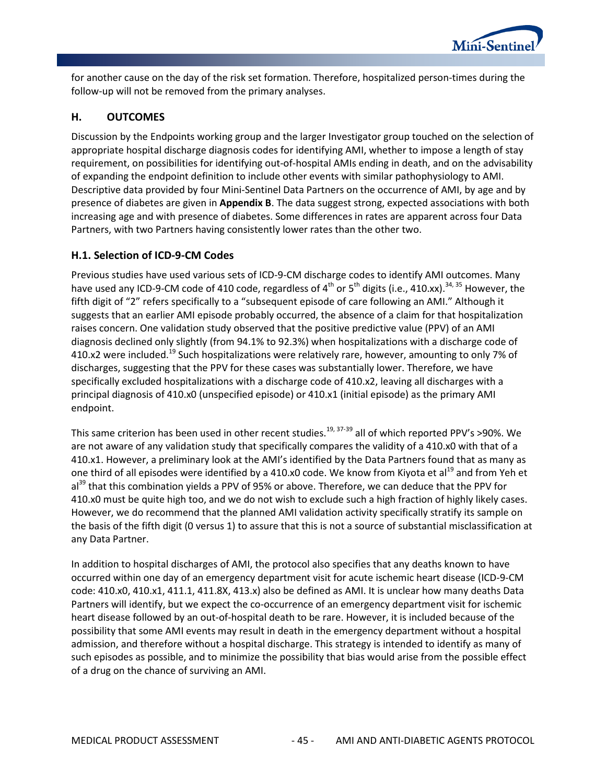

for another cause on the day of the risk set formation. Therefore, hospitalized person-times during the follow-up will not be removed from the primary analyses.

## **H. OUTCOMES**

Discussion by the Endpoints working group and the larger Investigator group touched on the selection of appropriate hospital discharge diagnosis codes for identifying AMI, whether to impose a length of stay requirement, on possibilities for identifying out-of-hospital AMIs ending in death, and on the advisability of expanding the endpoint definition to include other events with similar pathophysiology to AMI. Descriptive data provided by four Mini-Sentinel Data Partners on the occurrence of AMI, by age and by presence of diabetes are given in **[Appendix B](#page-57-0)**. The data suggest strong, expected associations with both increasing age and with presence of diabetes. Some differences in rates are apparent across four Data Partners, with two Partners having consistently lower rates than the other two.

## **H.1. Selection of ICD-9-CM Codes**

Previous studies have used various sets of ICD-9-CM discharge codes to identify AMI outcomes. Many have used any ICD-9-CM code of 410 code, regardless of  $4^{th}$  or  $5^{th}$  digits (i.e., 410.xx).<sup>34, 35</sup> However, the fifth digit of "2" refers specifically to a "subsequent episode of care following an AMI." Although it suggests that an earlier AMI episode probably occurred, the absence of a claim for that hospitalization raises concern. One validation study observed that the positive predictive value (PPV) of an AMI diagnosis declined only slightly (from 94.1% to 92.3%) when hospitalizations with a discharge code of 410.x2 were included.<sup>19</sup> Such hospitalizations were relatively rare, however, amounting to only 7% of discharges, suggesting that the PPV for these cases was substantially lower. Therefore, we have specifically excluded hospitalizations with a discharge code of 410.x2, leaving all discharges with a principal diagnosis of 410.x0 (unspecified episode) or 410.x1 (initial episode) as the primary AMI endpoint.

This same criterion has been used in other recent studies.<sup>19, 37-39</sup> all of which reported PPV's >90%. We are not aware of any validation study that specifically compares the validity of a 410.x0 with that of a 410.x1. However, a preliminary look at the AMI's identified by the Data Partners found that as many as one third of all episodes were identified by a 410.x0 code. We know from Kiyota et al<sup>19</sup> and from Yeh et al<sup>39</sup> that this combination yields a PPV of 95% or above. Therefore, we can deduce that the PPV for 410.x0 must be quite high too, and we do not wish to exclude such a high fraction of highly likely cases. However, we do recommend that the planned AMI validation activity specifically stratify its sample on the basis of the fifth digit (0 versus 1) to assure that this is not a source of substantial misclassification at any Data Partner.

In addition to hospital discharges of AMI, the protocol also specifies that any deaths known to have occurred within one day of an emergency department visit for acute ischemic heart disease (ICD-9-CM code: 410.x0, 410.x1, 411.1, 411.8X, 413.x) also be defined as AMI. It is unclear how many deaths Data Partners will identify, but we expect the co-occurrence of an emergency department visit for ischemic heart disease followed by an out-of-hospital death to be rare. However, it is included because of the possibility that some AMI events may result in death in the emergency department without a hospital admission, and therefore without a hospital discharge. This strategy is intended to identify as many of such episodes as possible, and to minimize the possibility that bias would arise from the possible effect of a drug on the chance of surviving an AMI.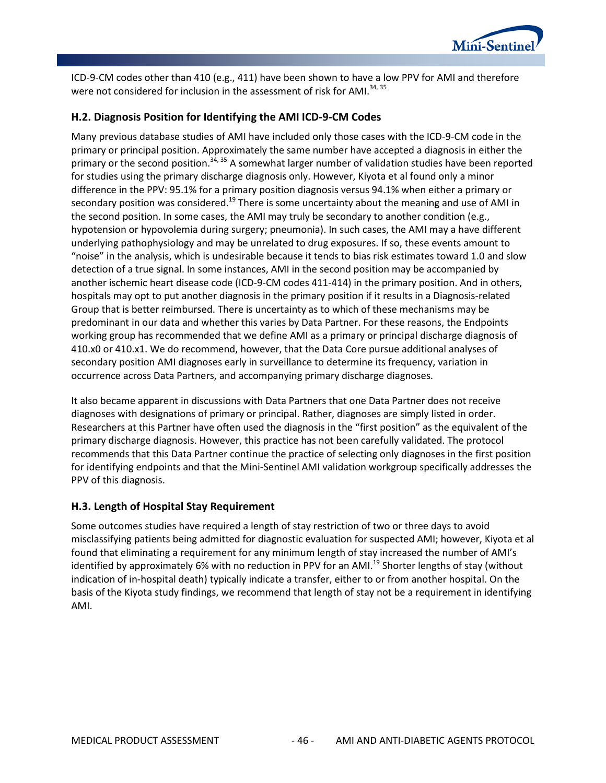

ICD-9-CM codes other than 410 (e.g., 411) have been shown to have a low PPV for AMI and therefore were not considered for inclusion in the assessment of risk for AMI.<sup>34, 35</sup>

## **H.2. Diagnosis Position for Identifying the AMI ICD-9-CM Codes**

Many previous database studies of AMI have included only those cases with the ICD-9-CM code in the primary or principal position. Approximately the same number have accepted a diagnosis in either the primary or the second position.<sup>34, 35</sup> A somewhat larger number of validation studies have been reported for studies using the primary discharge diagnosis only. However, Kiyota et al found only a minor difference in the PPV: 95.1% for a primary position diagnosis versus 94.1% when either a primary or secondary position was considered.<sup>19</sup> There is some uncertainty about the meaning and use of AMI in the second position. In some cases, the AMI may truly be secondary to another condition (e.g., hypotension or hypovolemia during surgery; pneumonia). In such cases, the AMI may a have different underlying pathophysiology and may be unrelated to drug exposures. If so, these events amount to "noise" in the analysis, which is undesirable because it tends to bias risk estimates toward 1.0 and slow detection of a true signal. In some instances, AMI in the second position may be accompanied by another ischemic heart disease code (ICD-9-CM codes 411-414) in the primary position. And in others, hospitals may opt to put another diagnosis in the primary position if it results in a Diagnosis-related Group that is better reimbursed. There is uncertainty as to which of these mechanisms may be predominant in our data and whether this varies by Data Partner. For these reasons, the Endpoints working group has recommended that we define AMI as a primary or principal discharge diagnosis of 410.x0 or 410.x1. We do recommend, however, that the Data Core pursue additional analyses of secondary position AMI diagnoses early in surveillance to determine its frequency, variation in occurrence across Data Partners, and accompanying primary discharge diagnoses.

It also became apparent in discussions with Data Partners that one Data Partner does not receive diagnoses with designations of primary or principal. Rather, diagnoses are simply listed in order. Researchers at this Partner have often used the diagnosis in the "first position" as the equivalent of the primary discharge diagnosis. However, this practice has not been carefully validated. The protocol recommends that this Data Partner continue the practice of selecting only diagnoses in the first position for identifying endpoints and that the Mini-Sentinel AMI validation workgroup specifically addresses the PPV of this diagnosis.

## **H.3. Length of Hospital Stay Requirement**

Some outcomes studies have required a length of stay restriction of two or three days to avoid misclassifying patients being admitted for diagnostic evaluation for suspected AMI; however, Kiyota et al found that eliminating a requirement for any minimum length of stay increased the number of AMI's identified by approximately 6% with no reduction in PPV for an AMI.<sup>19</sup> Shorter lengths of stay (without indication of in-hospital death) typically indicate a transfer, either to or from another hospital. On the basis of the Kiyota study findings, we recommend that length of stay not be a requirement in identifying AMI.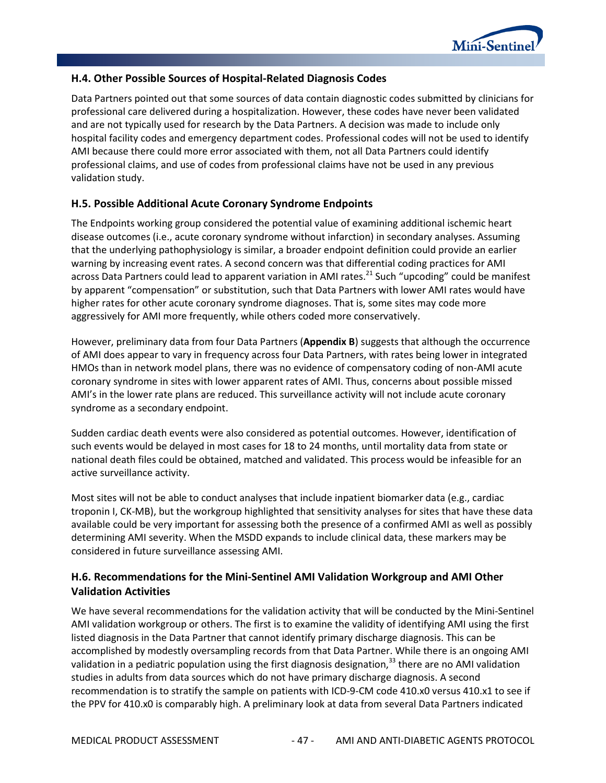

### **H.4. Other Possible Sources of Hospital-Related Diagnosis Codes**

Data Partners pointed out that some sources of data contain diagnostic codes submitted by clinicians for professional care delivered during a hospitalization. However, these codes have never been validated and are not typically used for research by the Data Partners. A decision was made to include only hospital facility codes and emergency department codes. Professional codes will not be used to identify AMI because there could more error associated with them, not all Data Partners could identify professional claims, and use of codes from professional claims have not be used in any previous validation study.

### **H.5. Possible Additional Acute Coronary Syndrome Endpoints**

The Endpoints working group considered the potential value of examining additional ischemic heart disease outcomes (i.e., acute coronary syndrome without infarction) in secondary analyses. Assuming that the underlying pathophysiology is similar, a broader endpoint definition could provide an earlier warning by increasing event rates. A second concern was that differential coding practices for AMI across Data Partners could lead to apparent variation in AMI rates.<sup>21</sup> Such "upcoding" could be manifest by apparent "compensation" or substitution, such that Data Partners with lower AMI rates would have higher rates for other acute coronary syndrome diagnoses. That is, some sites may code more aggressively for AMI more frequently, while others coded more conservatively.

However, preliminary data from four Data Partners (**[Appendix B](#page-57-0)**) suggests that although the occurrence of AMI does appear to vary in frequency across four Data Partners, with rates being lower in integrated HMOs than in network model plans, there was no evidence of compensatory coding of non-AMI acute coronary syndrome in sites with lower apparent rates of AMI. Thus, concerns about possible missed AMI's in the lower rate plans are reduced. This surveillance activity will not include acute coronary syndrome as a secondary endpoint.

Sudden cardiac death events were also considered as potential outcomes. However, identification of such events would be delayed in most cases for 18 to 24 months, until mortality data from state or national death files could be obtained, matched and validated. This process would be infeasible for an active surveillance activity.

Most sites will not be able to conduct analyses that include inpatient biomarker data (e.g., cardiac troponin I, CK-MB), but the workgroup highlighted that sensitivity analyses for sites that have these data available could be very important for assessing both the presence of a confirmed AMI as well as possibly determining AMI severity. When the MSDD expands to include clinical data, these markers may be considered in future surveillance assessing AMI.

## **H.6. Recommendations for the Mini-Sentinel AMI Validation Workgroup and AMI Other Validation Activities**

We have several recommendations for the validation activity that will be conducted by the Mini-Sentinel AMI validation workgroup or others. The first is to examine the validity of identifying AMI using the first listed diagnosis in the Data Partner that cannot identify primary discharge diagnosis. This can be accomplished by modestly oversampling records from that Data Partner. While there is an ongoing AMI validation in a pediatric population using the first diagnosis designation,  $33$  there are no AMI validation studies in adults from data sources which do not have primary discharge diagnosis. A second recommendation is to stratify the sample on patients with ICD-9-CM code 410.x0 versus 410.x1 to see if the PPV for 410.x0 is comparably high. A preliminary look at data from several Data Partners indicated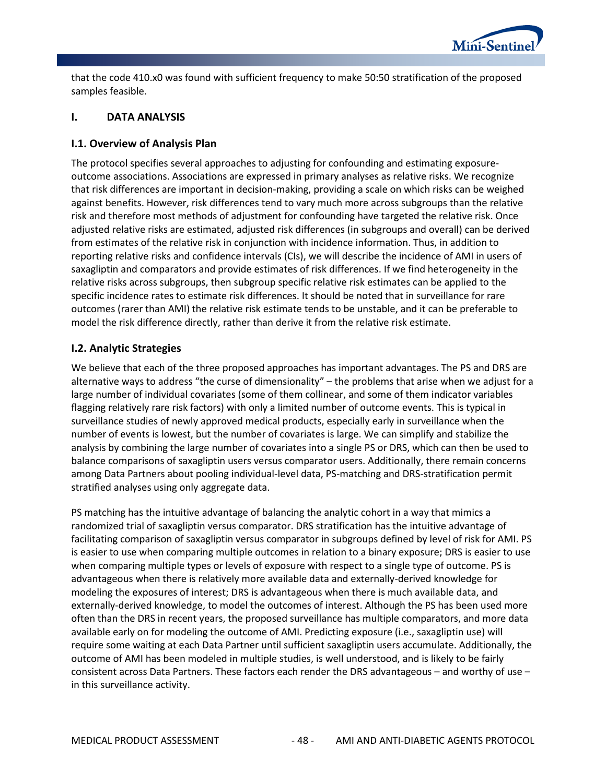

that the code 410.x0 was found with sufficient frequency to make 50:50 stratification of the proposed samples feasible.

### **I. DATA ANALYSIS**

### **I.1. Overview of Analysis Plan**

The protocol specifies several approaches to adjusting for confounding and estimating exposureoutcome associations. Associations are expressed in primary analyses as relative risks. We recognize that risk differences are important in decision-making, providing a scale on which risks can be weighed against benefits. However, risk differences tend to vary much more across subgroups than the relative risk and therefore most methods of adjustment for confounding have targeted the relative risk. Once adjusted relative risks are estimated, adjusted risk differences (in subgroups and overall) can be derived from estimates of the relative risk in conjunction with incidence information. Thus, in addition to reporting relative risks and confidence intervals (CIs), we will describe the incidence of AMI in users of saxagliptin and comparators and provide estimates of risk differences. If we find heterogeneity in the relative risks across subgroups, then subgroup specific relative risk estimates can be applied to the specific incidence rates to estimate risk differences. It should be noted that in surveillance for rare outcomes (rarer than AMI) the relative risk estimate tends to be unstable, and it can be preferable to model the risk difference directly, rather than derive it from the relative risk estimate.

## **I.2. Analytic Strategies**

We believe that each of the three proposed approaches has important advantages. The PS and DRS are alternative ways to address "the curse of dimensionality" – the problems that arise when we adjust for a large number of individual covariates (some of them collinear, and some of them indicator variables flagging relatively rare risk factors) with only a limited number of outcome events. This is typical in surveillance studies of newly approved medical products, especially early in surveillance when the number of events is lowest, but the number of covariates is large. We can simplify and stabilize the analysis by combining the large number of covariates into a single PS or DRS, which can then be used to balance comparisons of saxagliptin users versus comparator users. Additionally, there remain concerns among Data Partners about pooling individual-level data, PS-matching and DRS-stratification permit stratified analyses using only aggregate data.

PS matching has the intuitive advantage of balancing the analytic cohort in a way that mimics a randomized trial of saxagliptin versus comparator. DRS stratification has the intuitive advantage of facilitating comparison of saxagliptin versus comparator in subgroups defined by level of risk for AMI. PS is easier to use when comparing multiple outcomes in relation to a binary exposure; DRS is easier to use when comparing multiple types or levels of exposure with respect to a single type of outcome. PS is advantageous when there is relatively more available data and externally-derived knowledge for modeling the exposures of interest; DRS is advantageous when there is much available data, and externally-derived knowledge, to model the outcomes of interest. Although the PS has been used more often than the DRS in recent years, the proposed surveillance has multiple comparators, and more data available early on for modeling the outcome of AMI. Predicting exposure (i.e., saxagliptin use) will require some waiting at each Data Partner until sufficient saxagliptin users accumulate. Additionally, the outcome of AMI has been modeled in multiple studies, is well understood, and is likely to be fairly consistent across Data Partners. These factors each render the DRS advantageous – and worthy of use – in this surveillance activity.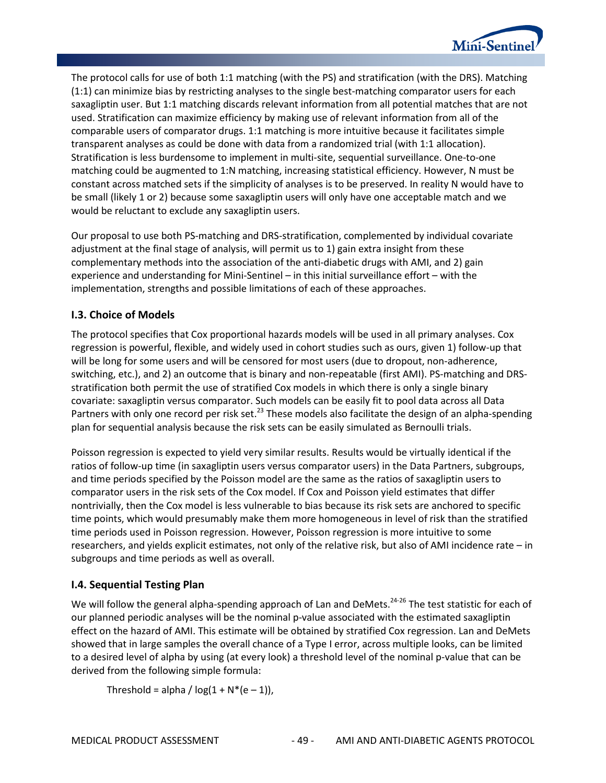

The protocol calls for use of both 1:1 matching (with the PS) and stratification (with the DRS). Matching (1:1) can minimize bias by restricting analyses to the single best-matching comparator users for each saxagliptin user. But 1:1 matching discards relevant information from all potential matches that are not used. Stratification can maximize efficiency by making use of relevant information from all of the comparable users of comparator drugs. 1:1 matching is more intuitive because it facilitates simple transparent analyses as could be done with data from a randomized trial (with 1:1 allocation). Stratification is less burdensome to implement in multi-site, sequential surveillance. One-to-one matching could be augmented to 1:N matching, increasing statistical efficiency. However, N must be constant across matched sets if the simplicity of analyses is to be preserved. In reality N would have to be small (likely 1 or 2) because some saxagliptin users will only have one acceptable match and we would be reluctant to exclude any saxagliptin users.

Our proposal to use both PS-matching and DRS-stratification, complemented by individual covariate adjustment at the final stage of analysis, will permit us to 1) gain extra insight from these complementary methods into the association of the anti-diabetic drugs with AMI, and 2) gain experience and understanding for Mini-Sentinel – in this initial surveillance effort – with the implementation, strengths and possible limitations of each of these approaches.

## **I.3. Choice of Models**

The protocol specifies that Cox proportional hazards models will be used in all primary analyses. Cox regression is powerful, flexible, and widely used in cohort studies such as ours, given 1) follow-up that will be long for some users and will be censored for most users (due to dropout, non-adherence, switching, etc.), and 2) an outcome that is binary and non-repeatable (first AMI). PS-matching and DRSstratification both permit the use of stratified Cox models in which there is only a single binary covariate: saxagliptin versus comparator. Such models can be easily fit to pool data across all Data Partners with only one record per risk set.<sup>23</sup> These models also facilitate the design of an alpha-spending plan for sequential analysis because the risk sets can be easily simulated as Bernoulli trials.

Poisson regression is expected to yield very similar results. Results would be virtually identical if the ratios of follow-up time (in saxagliptin users versus comparator users) in the Data Partners, subgroups, and time periods specified by the Poisson model are the same as the ratios of saxagliptin users to comparator users in the risk sets of the Cox model. If Cox and Poisson yield estimates that differ nontrivially, then the Cox model is less vulnerable to bias because its risk sets are anchored to specific time points, which would presumably make them more homogeneous in level of risk than the stratified time periods used in Poisson regression. However, Poisson regression is more intuitive to some researchers, and yields explicit estimates, not only of the relative risk, but also of AMI incidence rate – in subgroups and time periods as well as overall.

## **I.4. Sequential Testing Plan**

We will follow the general alpha-spending approach of Lan and DeMets.<sup>24-26</sup> The test statistic for each of our planned periodic analyses will be the nominal p-value associated with the estimated saxagliptin effect on the hazard of AMI. This estimate will be obtained by stratified Cox regression. Lan and DeMets showed that in large samples the overall chance of a Type I error, across multiple looks, can be limited to a desired level of alpha by using (at every look) a threshold level of the nominal p-value that can be derived from the following simple formula:

Threshold = alpha /  $log(1 + N*(e-1))$ ,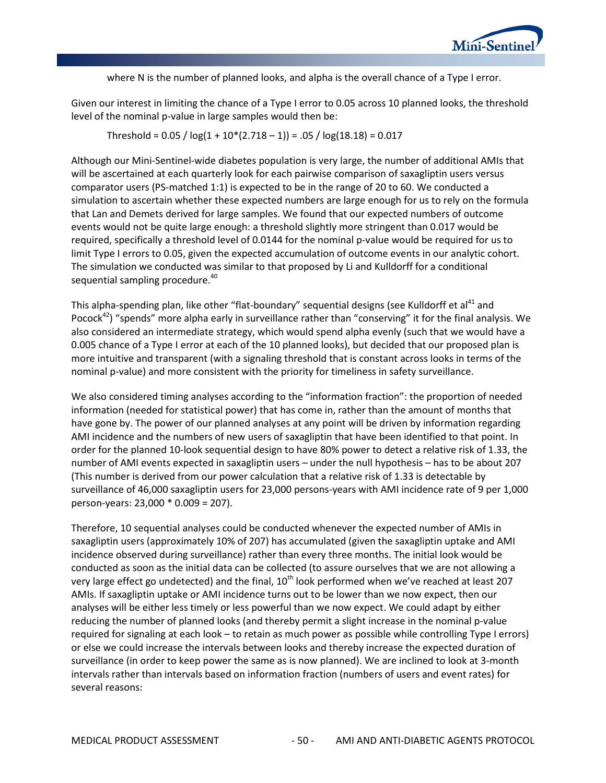

where N is the number of planned looks, and alpha is the overall chance of a Type I error.

Given our interest in limiting the chance of a Type I error to 0.05 across 10 planned looks, the threshold level of the nominal p-value in large samples would then be:

Threshold =  $0.05 / log(1 + 10*(2.718 - 1)) = .05 / log(18.18) = 0.017$ 

Although our Mini-Sentinel-wide diabetes population is very large, the number of additional AMIs that will be ascertained at each quarterly look for each pairwise comparison of saxagliptin users versus comparator users (PS-matched 1:1) is expected to be in the range of 20 to 60. We conducted a simulation to ascertain whether these expected numbers are large enough for us to rely on the formula that Lan and Demets derived for large samples. We found that our expected numbers of outcome events would not be quite large enough: a threshold slightly more stringent than 0.017 would be required, specifically a threshold level of 0.0144 for the nominal p-value would be required for us to limit Type I errors to 0.05, given the expected accumulation of outcome events in our analytic cohort. The simulation we conducted was similar to that proposed by Li and Kulldorff for a conditional sequential sampling procedure.<sup>40</sup>

This alpha-spending plan, like other "flat-boundary" sequential designs (see Kulldorff et al<sup>41</sup> and Pocock<sup>42</sup>) "spends" more alpha early in surveillance rather than "conserving" it for the final analysis. We also considered an intermediate strategy, which would spend alpha evenly (such that we would have a 0.005 chance of a Type I error at each of the 10 planned looks), but decided that our proposed plan is more intuitive and transparent (with a signaling threshold that is constant across looks in terms of the nominal p-value) and more consistent with the priority for timeliness in safety surveillance.

We also considered timing analyses according to the "information fraction": the proportion of needed information (needed for statistical power) that has come in, rather than the amount of months that have gone by. The power of our planned analyses at any point will be driven by information regarding AMI incidence and the numbers of new users of saxagliptin that have been identified to that point. In order for the planned 10-look sequential design to have 80% power to detect a relative risk of 1.33, the number of AMI events expected in saxagliptin users – under the null hypothesis – has to be about 207 (This number is derived from our power calculation that a relative risk of 1.33 is detectable by surveillance of 46,000 saxagliptin users for 23,000 persons-years with AMI incidence rate of 9 per 1,000 person-years: 23,000 \* 0.009 = 207).

Therefore, 10 sequential analyses could be conducted whenever the expected number of AMIs in saxagliptin users (approximately 10% of 207) has accumulated (given the saxagliptin uptake and AMI incidence observed during surveillance) rather than every three months. The initial look would be conducted as soon as the initial data can be collected (to assure ourselves that we are not allowing a very large effect go undetected) and the final,  $10<sup>th</sup>$  look performed when we've reached at least 207 AMIs. If saxagliptin uptake or AMI incidence turns out to be lower than we now expect, then our analyses will be either less timely or less powerful than we now expect. We could adapt by either reducing the number of planned looks (and thereby permit a slight increase in the nominal p-value required for signaling at each look – to retain as much power as possible while controlling Type I errors) or else we could increase the intervals between looks and thereby increase the expected duration of surveillance (in order to keep power the same as is now planned). We are inclined to look at 3-month intervals rather than intervals based on information fraction (numbers of users and event rates) for several reasons: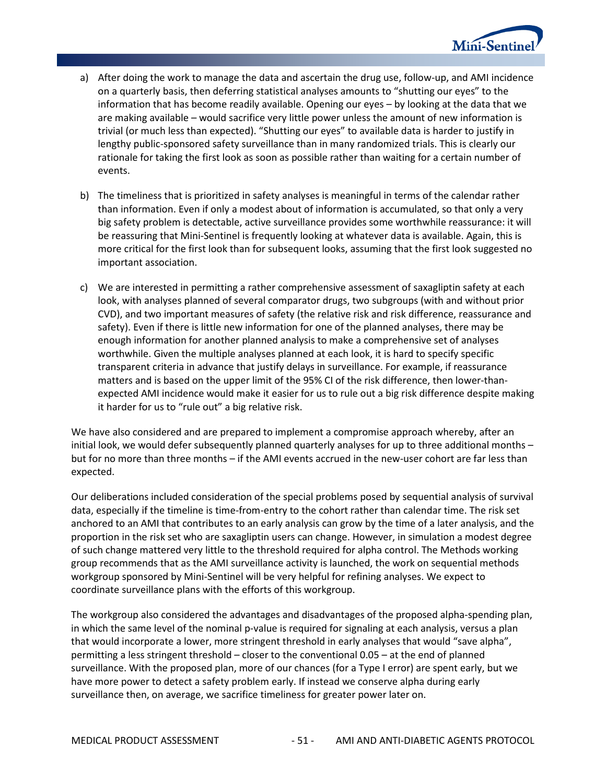

- a) After doing the work to manage the data and ascertain the drug use, follow-up, and AMI incidence on a quarterly basis, then deferring statistical analyses amounts to "shutting our eyes" to the information that has become readily available. Opening our eyes – by looking at the data that we are making available – would sacrifice very little power unless the amount of new information is trivial (or much less than expected). "Shutting our eyes" to available data is harder to justify in lengthy public-sponsored safety surveillance than in many randomized trials. This is clearly our rationale for taking the first look as soon as possible rather than waiting for a certain number of events.
- b) The timeliness that is prioritized in safety analyses is meaningful in terms of the calendar rather than information. Even if only a modest about of information is accumulated, so that only a very big safety problem is detectable, active surveillance provides some worthwhile reassurance: it will be reassuring that Mini-Sentinel is frequently looking at whatever data is available. Again, this is more critical for the first look than for subsequent looks, assuming that the first look suggested no important association.
- c) We are interested in permitting a rather comprehensive assessment of saxagliptin safety at each look, with analyses planned of several comparator drugs, two subgroups (with and without prior CVD), and two important measures of safety (the relative risk and risk difference, reassurance and safety). Even if there is little new information for one of the planned analyses, there may be enough information for another planned analysis to make a comprehensive set of analyses worthwhile. Given the multiple analyses planned at each look, it is hard to specify specific transparent criteria in advance that justify delays in surveillance. For example, if reassurance matters and is based on the upper limit of the 95% CI of the risk difference, then lower-thanexpected AMI incidence would make it easier for us to rule out a big risk difference despite making it harder for us to "rule out" a big relative risk.

We have also considered and are prepared to implement a compromise approach whereby, after an initial look, we would defer subsequently planned quarterly analyses for up to three additional months – but for no more than three months – if the AMI events accrued in the new-user cohort are far less than expected.

Our deliberations included consideration of the special problems posed by sequential analysis of survival data, especially if the timeline is time-from-entry to the cohort rather than calendar time. The risk set anchored to an AMI that contributes to an early analysis can grow by the time of a later analysis, and the proportion in the risk set who are saxagliptin users can change. However, in simulation a modest degree of such change mattered very little to the threshold required for alpha control. The Methods working group recommends that as the AMI surveillance activity is launched, the work on sequential methods workgroup sponsored by Mini-Sentinel will be very helpful for refining analyses. We expect to coordinate surveillance plans with the efforts of this workgroup.

The workgroup also considered the advantages and disadvantages of the proposed alpha-spending plan, in which the same level of the nominal p-value is required for signaling at each analysis, versus a plan that would incorporate a lower, more stringent threshold in early analyses that would "save alpha", permitting a less stringent threshold – closer to the conventional 0.05 – at the end of planned surveillance. With the proposed plan, more of our chances (for a Type I error) are spent early, but we have more power to detect a safety problem early. If instead we conserve alpha during early surveillance then, on average, we sacrifice timeliness for greater power later on.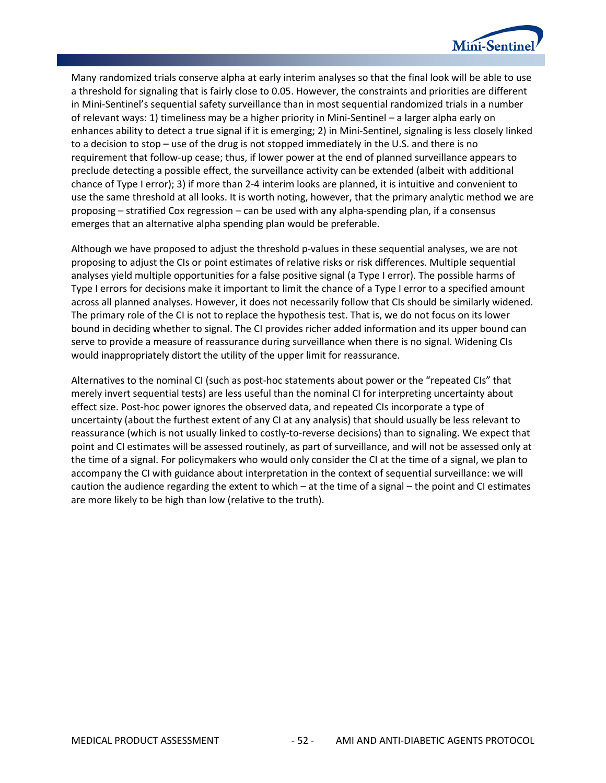

Many randomized trials conserve alpha at early interim analyses so that the final look will be able to use a threshold for signaling that is fairly close to 0.05. However, the constraints and priorities are different in Mini-Sentinel's sequential safety surveillance than in most sequential randomized trials in a number of relevant ways: 1) timeliness may be a higher priority in Mini-Sentinel – a larger alpha early on enhances ability to detect a true signal if it is emerging; 2) in Mini-Sentinel, signaling is less closely linked to a decision to stop – use of the drug is not stopped immediately in the U.S. and there is no requirement that follow-up cease; thus, if lower power at the end of planned surveillance appears to preclude detecting a possible effect, the surveillance activity can be extended (albeit with additional chance of Type I error); 3) if more than 2-4 interim looks are planned, it is intuitive and convenient to use the same threshold at all looks. It is worth noting, however, that the primary analytic method we are proposing – stratified Cox regression – can be used with any alpha-spending plan, if a consensus emerges that an alternative alpha spending plan would be preferable.

Although we have proposed to adjust the threshold p-values in these sequential analyses, we are not proposing to adjust the CIs or point estimates of relative risks or risk differences. Multiple sequential analyses yield multiple opportunities for a false positive signal (a Type I error). The possible harms of Type I errors for decisions make it important to limit the chance of a Type I error to a specified amount across all planned analyses. However, it does not necessarily follow that CIs should be similarly widened. The primary role of the CI is not to replace the hypothesis test. That is, we do not focus on its lower bound in deciding whether to signal. The CI provides richer added information and its upper bound can serve to provide a measure of reassurance during surveillance when there is no signal. Widening CIs would inappropriately distort the utility of the upper limit for reassurance.

Alternatives to the nominal CI (such as post-hoc statements about power or the "repeated CIs" that merely invert sequential tests) are less useful than the nominal CI for interpreting uncertainty about effect size. Post-hoc power ignores the observed data, and repeated CIs incorporate a type of uncertainty (about the furthest extent of any CI at any analysis) that should usually be less relevant to reassurance (which is not usually linked to costly-to-reverse decisions) than to signaling. We expect that point and CI estimates will be assessed routinely, as part of surveillance, and will not be assessed only at the time of a signal. For policymakers who would only consider the CI at the time of a signal, we plan to accompany the CI with guidance about interpretation in the context of sequential surveillance: we will caution the audience regarding the extent to which – at the time of a signal – the point and CI estimates are more likely to be high than low (relative to the truth).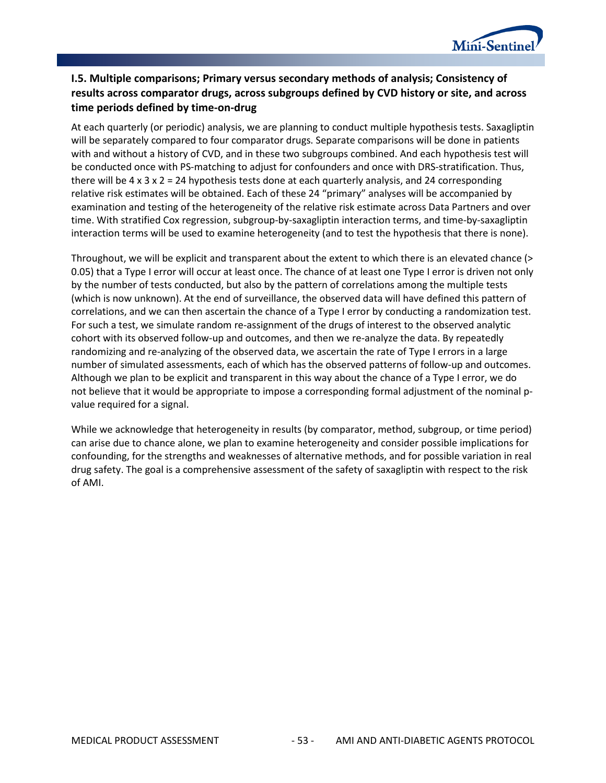

## **I.5. Multiple comparisons; Primary versus secondary methods of analysis; Consistency of results across comparator drugs, across subgroups defined by CVD history or site, and across time periods defined by time-on-drug**

At each quarterly (or periodic) analysis, we are planning to conduct multiple hypothesis tests. Saxagliptin will be separately compared to four comparator drugs. Separate comparisons will be done in patients with and without a history of CVD, and in these two subgroups combined. And each hypothesis test will be conducted once with PS-matching to adjust for confounders and once with DRS-stratification. Thus, there will be  $4 \times 3 \times 2 = 24$  hypothesis tests done at each quarterly analysis, and 24 corresponding relative risk estimates will be obtained. Each of these 24 "primary" analyses will be accompanied by examination and testing of the heterogeneity of the relative risk estimate across Data Partners and over time. With stratified Cox regression, subgroup-by-saxagliptin interaction terms, and time-by-saxagliptin interaction terms will be used to examine heterogeneity (and to test the hypothesis that there is none).

Throughout, we will be explicit and transparent about the extent to which there is an elevated chance (> 0.05) that a Type I error will occur at least once. The chance of at least one Type I error is driven not only by the number of tests conducted, but also by the pattern of correlations among the multiple tests (which is now unknown). At the end of surveillance, the observed data will have defined this pattern of correlations, and we can then ascertain the chance of a Type I error by conducting a randomization test. For such a test, we simulate random re-assignment of the drugs of interest to the observed analytic cohort with its observed follow-up and outcomes, and then we re-analyze the data. By repeatedly randomizing and re-analyzing of the observed data, we ascertain the rate of Type I errors in a large number of simulated assessments, each of which has the observed patterns of follow-up and outcomes. Although we plan to be explicit and transparent in this way about the chance of a Type I error, we do not believe that it would be appropriate to impose a corresponding formal adjustment of the nominal pvalue required for a signal.

While we acknowledge that heterogeneity in results (by comparator, method, subgroup, or time period) can arise due to chance alone, we plan to examine heterogeneity and consider possible implications for confounding, for the strengths and weaknesses of alternative methods, and for possible variation in real drug safety. The goal is a comprehensive assessment of the safety of saxagliptin with respect to the risk of AMI.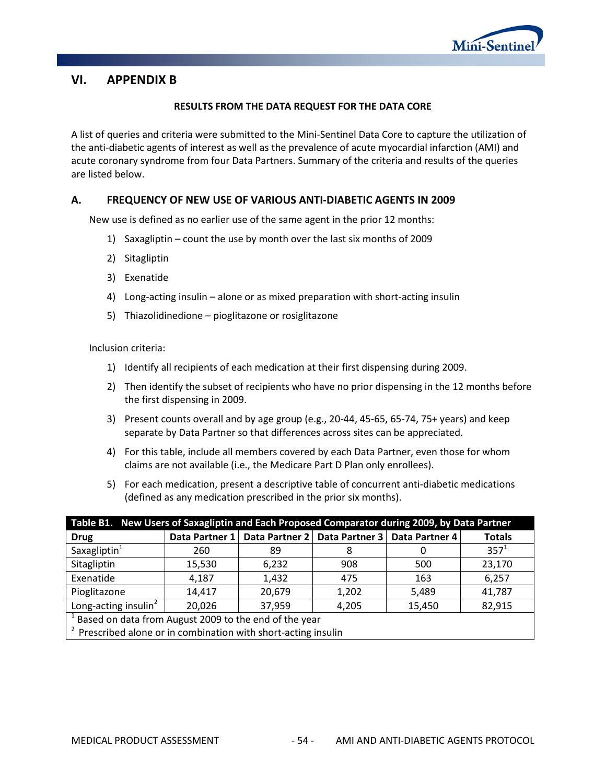

# <span id="page-57-0"></span>**VI. APPENDIX B**

#### **RESULTS FROM THE DATA REQUEST FOR THE DATA CORE**

A list of queries and criteria were submitted to the Mini-Sentinel Data Core to capture the utilization of the anti-diabetic agents of interest as well as the prevalence of acute myocardial infarction (AMI) and acute coronary syndrome from four Data Partners. Summary of the criteria and results of the queries are listed below.

#### **A. FREQUENCY OF NEW USE OF VARIOUS ANTI-DIABETIC AGENTS IN 2009**

New use is defined as no earlier use of the same agent in the prior 12 months:

- 1) Saxagliptin count the use by month over the last six months of 2009
- 2) Sitagliptin
- 3) Exenatide
- 4) Long-acting insulin alone or as mixed preparation with short-acting insulin
- 5) Thiazolidinedione pioglitazone or rosiglitazone

Inclusion criteria:

- 1) Identify all recipients of each medication at their first dispensing during 2009.
- 2) Then identify the subset of recipients who have no prior dispensing in the 12 months before the first dispensing in 2009.
- 3) Present counts overall and by age group (e.g., 20-44, 45-65, 65-74, 75+ years) and keep separate by Data Partner so that differences across sites can be appreciated.
- 4) For this table, include all members covered by each Data Partner, even those for whom claims are not available (i.e., the Medicare Part D Plan only enrollees).
- 5) For each medication, present a descriptive table of concurrent anti-diabetic medications (defined as any medication prescribed in the prior six months).

| Table B1. New Users of Saxagliptin and Each Proposed Comparator during 2009, by Data Partner |                                                                                      |        |       |       |         |  |  |  |  |
|----------------------------------------------------------------------------------------------|--------------------------------------------------------------------------------------|--------|-------|-------|---------|--|--|--|--|
| <b>Drug</b>                                                                                  | Data Partner 1   Data Partner 2   Data Partner 3   Data Partner 4  <br><b>Totals</b> |        |       |       |         |  |  |  |  |
| Saxagliptin <sup>1</sup>                                                                     | 260                                                                                  | 89     |       |       | $357^1$ |  |  |  |  |
| Sitagliptin                                                                                  | 15,530                                                                               | 6,232  | 908   | 500   | 23,170  |  |  |  |  |
| Exenatide                                                                                    | 4,187                                                                                | 1,432  | 475   | 163   | 6,257   |  |  |  |  |
| Pioglitazone                                                                                 | 14,417                                                                               | 20,679 | 1,202 | 5,489 | 41,787  |  |  |  |  |
| Long-acting insulin <sup>2</sup><br>20,026<br>82,915<br>37,959<br>15,450<br>4,205            |                                                                                      |        |       |       |         |  |  |  |  |
| <sup>1</sup> Based on data from August 2009 to the end of the year                           |                                                                                      |        |       |       |         |  |  |  |  |
| <sup>2</sup> Prescribed alone or in combination with short-acting insulin                    |                                                                                      |        |       |       |         |  |  |  |  |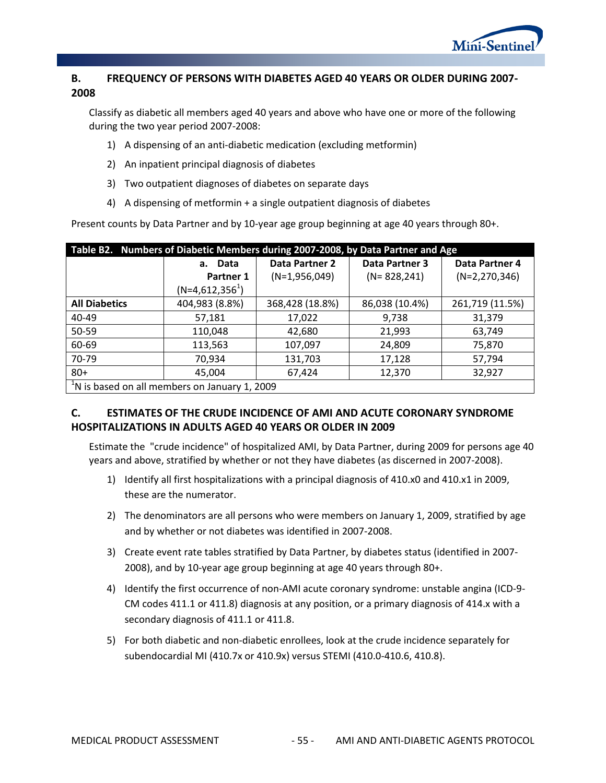

# **B. FREQUENCY OF PERSONS WITH DIABETES AGED 40 YEARS OR OLDER DURING 2007- 2008**

Classify as diabetic all members aged 40 years and above who have one or more of the following during the two year period 2007-2008:

- 1) A dispensing of an anti-diabetic medication (excluding metformin)
- 2) An inpatient principal diagnosis of diabetes
- 3) Two outpatient diagnoses of diabetes on separate days
- 4) A dispensing of metformin + a single outpatient diagnosis of diabetes

Present counts by Data Partner and by 10-year age group beginning at age 40 years through 80+.

| Table B2. Numbers of Diabetic Members during 2007-2008, by Data Partner and Age |                   |                                                |                  |                 |  |  |  |  |  |
|---------------------------------------------------------------------------------|-------------------|------------------------------------------------|------------------|-----------------|--|--|--|--|--|
|                                                                                 | a. Data           | <b>Data Partner 3</b><br><b>Data Partner 2</b> |                  | Data Partner 4  |  |  |  |  |  |
|                                                                                 | Partner 1         | $(N=1,956,049)$                                | $(N = 828, 241)$ | $(N=2,270,346)$ |  |  |  |  |  |
|                                                                                 | $(N=4,612,356^1)$ |                                                |                  |                 |  |  |  |  |  |
| <b>All Diabetics</b>                                                            | 404,983 (8.8%)    | 368,428 (18.8%)                                | 86,038 (10.4%)   | 261,719 (11.5%) |  |  |  |  |  |
| 40-49                                                                           | 57,181            | 17,022                                         | 9,738            | 31,379          |  |  |  |  |  |
| 50-59                                                                           | 110,048           | 42,680                                         | 21,993           | 63,749          |  |  |  |  |  |
| 60-69                                                                           | 113,563           | 107,097                                        | 24,809           | 75,870          |  |  |  |  |  |
| 70-79                                                                           | 70,934            | 131,703                                        | 17,128           | 57,794          |  |  |  |  |  |
| $80+$                                                                           | 45,004            | 67,424                                         | 12,370           | 32,927          |  |  |  |  |  |
| <sup>1</sup> N is based on all members on January 1, 2009                       |                   |                                                |                  |                 |  |  |  |  |  |

# **C. ESTIMATES OF THE CRUDE INCIDENCE OF AMI AND ACUTE CORONARY SYNDROME HOSPITALIZATIONS IN ADULTS AGED 40 YEARS OR OLDER IN 2009**

Estimate the "crude incidence" of hospitalized AMI, by Data Partner, during 2009 for persons age 40 years and above, stratified by whether or not they have diabetes (as discerned in 2007-2008).

- 1) Identify all first hospitalizations with a principal diagnosis of 410.x0 and 410.x1 in 2009, these are the numerator.
- 2) The denominators are all persons who were members on January 1, 2009, stratified by age and by whether or not diabetes was identified in 2007-2008.
- 3) Create event rate tables stratified by Data Partner, by diabetes status (identified in 2007- 2008), and by 10-year age group beginning at age 40 years through 80+.
- 4) Identify the first occurrence of non-AMI acute coronary syndrome: unstable angina (ICD-9- CM codes 411.1 or 411.8) diagnosis at any position, or a primary diagnosis of 414.x with a secondary diagnosis of 411.1 or 411.8.
- 5) For both diabetic and non-diabetic enrollees, look at the crude incidence separately for subendocardial MI (410.7x or 410.9x) versus STEMI (410.0-410.6, 410.8).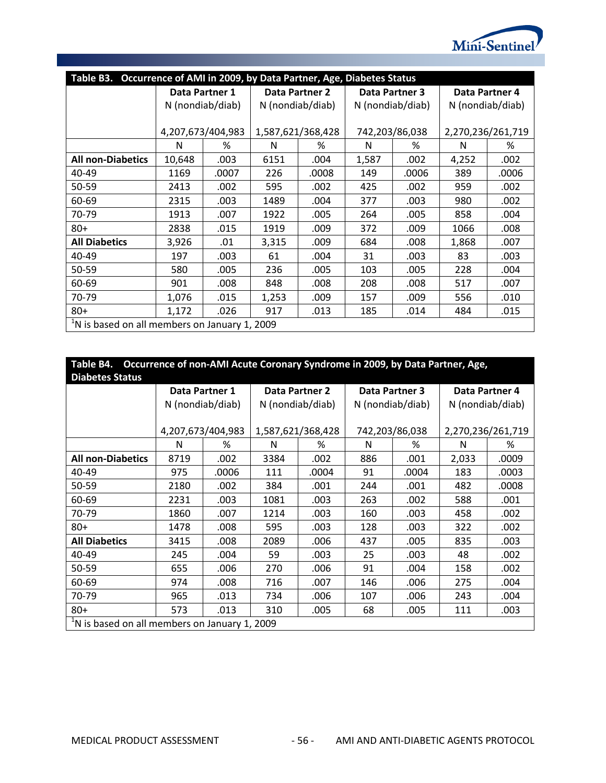

| Table B3.<br>Occurrence of AMI in 2009, by Data Partner, Age, Diabetes Status |                   |       |                   |                       |                  |                |                   |       |  |
|-------------------------------------------------------------------------------|-------------------|-------|-------------------|-----------------------|------------------|----------------|-------------------|-------|--|
|                                                                               | Data Partner 1    |       |                   | <b>Data Partner 2</b> |                  | Data Partner 3 | Data Partner 4    |       |  |
|                                                                               | N (nondiab/diab)  |       | N (nondiab/diab)  |                       | N (nondiab/diab) |                | N (nondiab/diab)  |       |  |
|                                                                               |                   |       |                   |                       |                  |                |                   |       |  |
|                                                                               | 4,207,673/404,983 |       | 1,587,621/368,428 |                       | 742,203/86,038   |                | 2,270,236/261,719 |       |  |
|                                                                               | N                 | %     | N                 | %                     | N                | %              | N                 | %     |  |
| <b>All non-Diabetics</b>                                                      | 10,648            | .003  | 6151              | .004                  | 1,587            | .002           | 4,252             | .002  |  |
| 40-49                                                                         | 1169              | .0007 | 226               | .0008                 | 149              | .0006          | 389               | .0006 |  |
| 50-59                                                                         | 2413              | .002  | 595               | .002                  | 425              | .002           | 959               | .002  |  |
| 60-69                                                                         | 2315              | .003  | 1489              | .004                  | 377              | .003           | 980               | .002  |  |
| 70-79                                                                         | 1913              | .007  | 1922              | .005                  | 264              | .005           | 858               | .004  |  |
| $80+$                                                                         | 2838              | .015  | 1919              | .009                  | 372              | .009           | 1066              | .008  |  |
| <b>All Diabetics</b>                                                          | 3,926             | .01   | 3,315             | .009                  | 684              | .008           | 1,868             | .007  |  |
| 40-49                                                                         | 197               | .003  | 61                | .004                  | 31               | .003           | 83                | .003  |  |
| 50-59                                                                         | 580               | .005  | 236               | .005                  | 103              | .005           | 228               | .004  |  |
| 60-69                                                                         | 901               | .008  | 848               | .008                  | 208              | .008           | 517               | .007  |  |
| 70-79                                                                         | 1,076             | .015  | 1,253             | .009                  | 157              | .009           | 556               | .010  |  |
| $80+$                                                                         | 1,172             | .026  | 917               | .013                  | 185              | .014           | 484               | .015  |  |
| <sup>1</sup> N is based on all members on January 1, 2009                     |                   |       |                   |                       |                  |                |                   |       |  |

|                 | Table B4. Occurrence of non-AMI Acute Coronary Syndrome in 2009, by Data Partner, Age, |
|-----------------|----------------------------------------------------------------------------------------|
| Diahatac Status |                                                                                        |

| <b>Diabetes Status</b>                                    |                   |       |                   |                       |                  |                       |                   |       |  |
|-----------------------------------------------------------|-------------------|-------|-------------------|-----------------------|------------------|-----------------------|-------------------|-------|--|
|                                                           | Data Partner 1    |       |                   | <b>Data Partner 2</b> |                  | <b>Data Partner 3</b> | Data Partner 4    |       |  |
|                                                           | N (nondiab/diab)  |       | N (nondiab/diab)  |                       | N (nondiab/diab) |                       | N (nondiab/diab)  |       |  |
|                                                           |                   |       |                   |                       |                  |                       |                   |       |  |
|                                                           | 4,207,673/404,983 |       | 1,587,621/368,428 |                       |                  | 742,203/86,038        | 2,270,236/261,719 |       |  |
|                                                           | N                 | ℅     | N                 | ℅                     | N                | ℅                     | N                 | ℅     |  |
| <b>All non-Diabetics</b>                                  | 8719              | .002  | 3384              | .002                  | 886              | .001                  | 2,033             | .0009 |  |
| 40-49                                                     | 975               | .0006 | 111               | .0004                 | 91               | .0004                 | 183               | .0003 |  |
| 50-59                                                     | 2180              | .002  | 384               | .001                  | 244              | .001                  | 482               | .0008 |  |
| 60-69                                                     | 2231              | .003  | 1081              | .003                  | 263              | .002                  | 588               | .001  |  |
| 70-79                                                     | 1860              | .007  | 1214              | .003                  | 160              | .003                  | 458               | .002  |  |
| $80 +$                                                    | 1478              | .008  | 595               | .003                  | 128              | .003                  | 322               | .002  |  |
| <b>All Diabetics</b>                                      | 3415              | .008  | 2089              | .006                  | 437              | .005                  | 835               | .003  |  |
| 40-49                                                     | 245               | .004  | 59                | .003                  | 25               | .003                  | 48                | .002  |  |
| 50-59                                                     | 655               | .006  | 270               | .006                  | 91               | .004                  | 158               | .002  |  |
| 60-69                                                     | 974               | .008  | 716               | .007                  | 146              | .006                  | 275               | .004  |  |
| 70-79                                                     | 965               | .013  | 734               | .006                  | 107              | .006                  | 243               | .004  |  |
| $80+$                                                     | 573               | .013  | 310               | .005                  | 68               | .005                  | 111               | .003  |  |
| <sup>1</sup> N is based on all members on January 1, 2009 |                   |       |                   |                       |                  |                       |                   |       |  |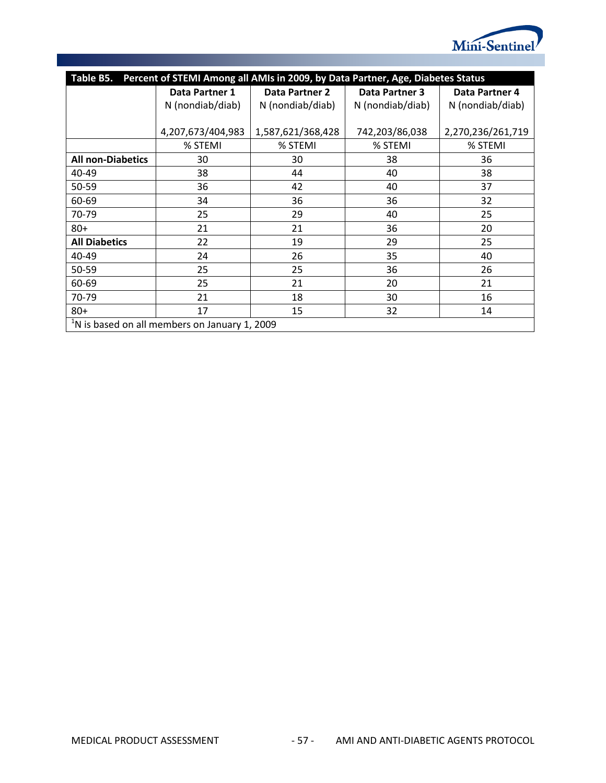

| Percent of STEMI Among all AMIs in 2009, by Data Partner, Age, Diabetes Status<br>Table B5. |                   |                                      |                |                   |  |  |  |  |  |
|---------------------------------------------------------------------------------------------|-------------------|--------------------------------------|----------------|-------------------|--|--|--|--|--|
|                                                                                             | Data Partner 1    | Data Partner 2                       | Data Partner 3 | Data Partner 4    |  |  |  |  |  |
|                                                                                             | N (nondiab/diab)  | N (nondiab/diab)<br>N (nondiab/diab) |                | N (nondiab/diab)  |  |  |  |  |  |
|                                                                                             |                   |                                      |                |                   |  |  |  |  |  |
|                                                                                             | 4,207,673/404,983 | 1,587,621/368,428                    | 742,203/86,038 | 2,270,236/261,719 |  |  |  |  |  |
|                                                                                             | % STEMI           | % STEMI                              | % STEMI        | % STEMI           |  |  |  |  |  |
| <b>All non-Diabetics</b>                                                                    | 30                | 30                                   | 38             | 36                |  |  |  |  |  |
| 40-49                                                                                       | 38                | 44                                   | 40             | 38                |  |  |  |  |  |
| 50-59                                                                                       | 36                | 42                                   | 40             | 37                |  |  |  |  |  |
| 60-69                                                                                       | 34                | 36                                   | 36             | 32                |  |  |  |  |  |
| 70-79                                                                                       | 25                | 29                                   | 40             | 25                |  |  |  |  |  |
| $80+$                                                                                       | 21                | 21                                   | 36             | 20                |  |  |  |  |  |
| <b>All Diabetics</b>                                                                        | 22                | 19                                   | 29             | 25                |  |  |  |  |  |
| 40-49                                                                                       | 24                | 26                                   | 35             | 40                |  |  |  |  |  |
| 50-59                                                                                       | 25                | 25                                   | 36             | 26                |  |  |  |  |  |
| 60-69                                                                                       | 25                | 21                                   | 20             | 21                |  |  |  |  |  |
| 70-79                                                                                       | 21                | 18                                   | 30             | 16                |  |  |  |  |  |
| $80 +$                                                                                      | 17                | 15                                   | 32             | 14                |  |  |  |  |  |
| <sup>1</sup> N is based on all members on January 1, 2009                                   |                   |                                      |                |                   |  |  |  |  |  |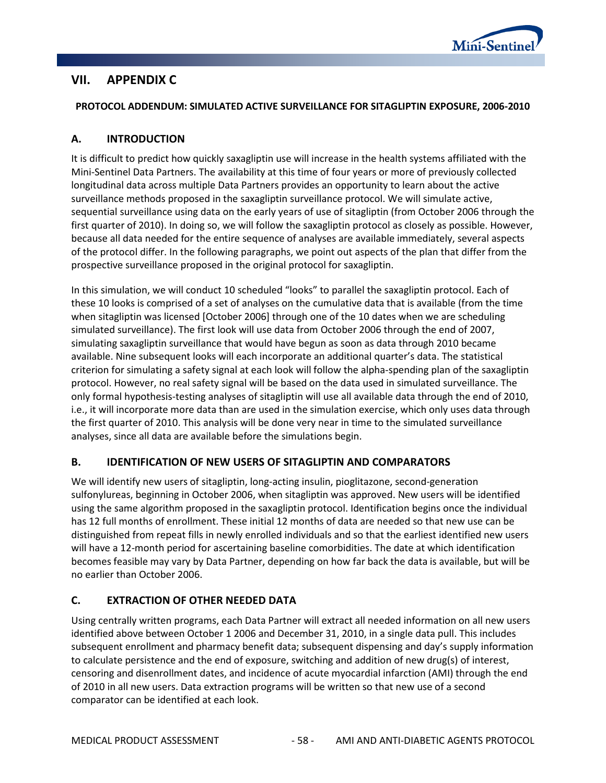

# **VII. APPENDIX C**

### **PROTOCOL ADDENDUM: SIMULATED ACTIVE SURVEILLANCE FOR SITAGLIPTIN EXPOSURE, 2006-2010**

## **A. INTRODUCTION**

It is difficult to predict how quickly saxagliptin use will increase in the health systems affiliated with the Mini-Sentinel Data Partners. The availability at this time of four years or more of previously collected longitudinal data across multiple Data Partners provides an opportunity to learn about the active surveillance methods proposed in the saxagliptin surveillance protocol. We will simulate active, sequential surveillance using data on the early years of use of sitagliptin (from October 2006 through the first quarter of 2010). In doing so, we will follow the saxagliptin protocol as closely as possible. However, because all data needed for the entire sequence of analyses are available immediately, several aspects of the protocol differ. In the following paragraphs, we point out aspects of the plan that differ from the prospective surveillance proposed in the original protocol for saxagliptin.

In this simulation, we will conduct 10 scheduled "looks" to parallel the saxagliptin protocol. Each of these 10 looks is comprised of a set of analyses on the cumulative data that is available (from the time when sitagliptin was licensed [October 2006] through one of the 10 dates when we are scheduling simulated surveillance). The first look will use data from October 2006 through the end of 2007, simulating saxagliptin surveillance that would have begun as soon as data through 2010 became available. Nine subsequent looks will each incorporate an additional quarter's data. The statistical criterion for simulating a safety signal at each look will follow the alpha-spending plan of the saxagliptin protocol. However, no real safety signal will be based on the data used in simulated surveillance. The only formal hypothesis-testing analyses of sitagliptin will use all available data through the end of 2010, i.e., it will incorporate more data than are used in the simulation exercise, which only uses data through the first quarter of 2010. This analysis will be done very near in time to the simulated surveillance analyses, since all data are available before the simulations begin.

## **B. IDENTIFICATION OF NEW USERS OF SITAGLIPTIN AND COMPARATORS**

We will identify new users of sitagliptin, long-acting insulin, pioglitazone, second-generation sulfonylureas, beginning in October 2006, when sitagliptin was approved. New users will be identified using the same algorithm proposed in the saxagliptin protocol. Identification begins once the individual has 12 full months of enrollment. These initial 12 months of data are needed so that new use can be distinguished from repeat fills in newly enrolled individuals and so that the earliest identified new users will have a 12-month period for ascertaining baseline comorbidities. The date at which identification becomes feasible may vary by Data Partner, depending on how far back the data is available, but will be no earlier than October 2006.

# **C. EXTRACTION OF OTHER NEEDED DATA**

Using centrally written programs, each Data Partner will extract all needed information on all new users identified above between October 1 2006 and December 31, 2010, in a single data pull. This includes subsequent enrollment and pharmacy benefit data; subsequent dispensing and day's supply information to calculate persistence and the end of exposure, switching and addition of new drug(s) of interest, censoring and disenrollment dates, and incidence of acute myocardial infarction (AMI) through the end of 2010 in all new users. Data extraction programs will be written so that new use of a second comparator can be identified at each look.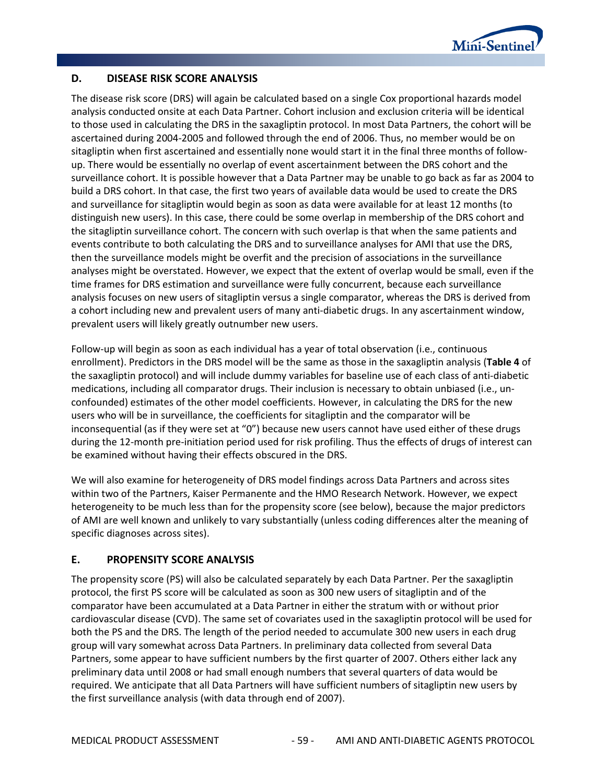

## **D. DISEASE RISK SCORE ANALYSIS**

The disease risk score (DRS) will again be calculated based on a single Cox proportional hazards model analysis conducted onsite at each Data Partner. Cohort inclusion and exclusion criteria will be identical to those used in calculating the DRS in the saxagliptin protocol. In most Data Partners, the cohort will be ascertained during 2004-2005 and followed through the end of 2006. Thus, no member would be on sitagliptin when first ascertained and essentially none would start it in the final three months of followup. There would be essentially no overlap of event ascertainment between the DRS cohort and the surveillance cohort. It is possible however that a Data Partner may be unable to go back as far as 2004 to build a DRS cohort. In that case, the first two years of available data would be used to create the DRS and surveillance for sitagliptin would begin as soon as data were available for at least 12 months (to distinguish new users). In this case, there could be some overlap in membership of the DRS cohort and the sitagliptin surveillance cohort. The concern with such overlap is that when the same patients and events contribute to both calculating the DRS and to surveillance analyses for AMI that use the DRS, then the surveillance models might be overfit and the precision of associations in the surveillance analyses might be overstated. However, we expect that the extent of overlap would be small, even if the time frames for DRS estimation and surveillance were fully concurrent, because each surveillance analysis focuses on new users of sitagliptin versus a single comparator, whereas the DRS is derived from a cohort including new and prevalent users of many anti-diabetic drugs. In any ascertainment window, prevalent users will likely greatly outnumber new users.

Follow-up will begin as soon as each individual has a year of total observation (i.e., continuous enrollment). Predictors in the DRS model will be the same as those in the saxagliptin analysis (**[Table 4](#page-12-0)** of the saxagliptin protocol) and will include dummy variables for baseline use of each class of anti-diabetic medications, including all comparator drugs. Their inclusion is necessary to obtain unbiased (i.e., unconfounded) estimates of the other model coefficients. However, in calculating the DRS for the new users who will be in surveillance, the coefficients for sitagliptin and the comparator will be inconsequential (as if they were set at "0") because new users cannot have used either of these drugs during the 12-month pre-initiation period used for risk profiling. Thus the effects of drugs of interest can be examined without having their effects obscured in the DRS.

We will also examine for heterogeneity of DRS model findings across Data Partners and across sites within two of the Partners, Kaiser Permanente and the HMO Research Network. However, we expect heterogeneity to be much less than for the propensity score (see below), because the major predictors of AMI are well known and unlikely to vary substantially (unless coding differences alter the meaning of specific diagnoses across sites).

## **E. PROPENSITY SCORE ANALYSIS**

The propensity score (PS) will also be calculated separately by each Data Partner. Per the saxagliptin protocol, the first PS score will be calculated as soon as 300 new users of sitagliptin and of the comparator have been accumulated at a Data Partner in either the stratum with or without prior cardiovascular disease (CVD). The same set of covariates used in the saxagliptin protocol will be used for both the PS and the DRS. The length of the period needed to accumulate 300 new users in each drug group will vary somewhat across Data Partners. In preliminary data collected from several Data Partners, some appear to have sufficient numbers by the first quarter of 2007. Others either lack any preliminary data until 2008 or had small enough numbers that several quarters of data would be required. We anticipate that all Data Partners will have sufficient numbers of sitagliptin new users by the first surveillance analysis (with data through end of 2007).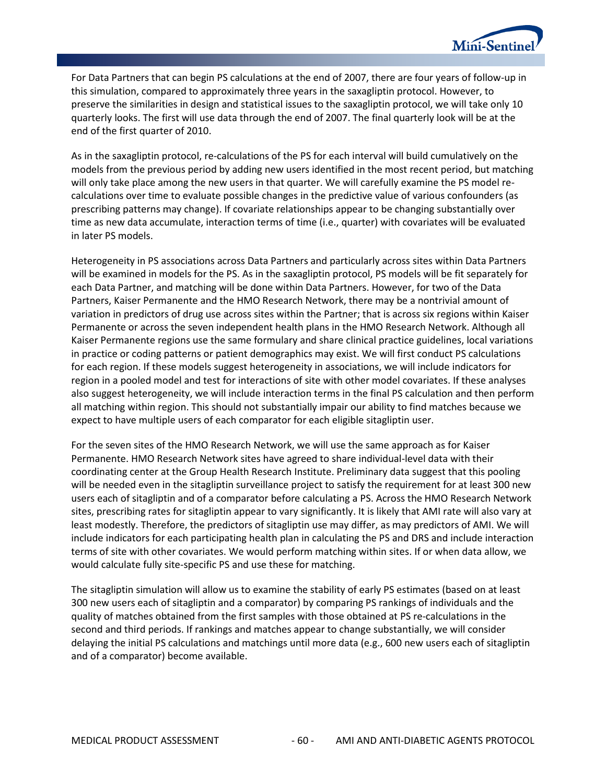

For Data Partners that can begin PS calculations at the end of 2007, there are four years of follow-up in this simulation, compared to approximately three years in the saxagliptin protocol. However, to preserve the similarities in design and statistical issues to the saxagliptin protocol, we will take only 10 quarterly looks. The first will use data through the end of 2007. The final quarterly look will be at the end of the first quarter of 2010.

As in the saxagliptin protocol, re-calculations of the PS for each interval will build cumulatively on the models from the previous period by adding new users identified in the most recent period, but matching will only take place among the new users in that quarter. We will carefully examine the PS model recalculations over time to evaluate possible changes in the predictive value of various confounders (as prescribing patterns may change). If covariate relationships appear to be changing substantially over time as new data accumulate, interaction terms of time (i.e., quarter) with covariates will be evaluated in later PS models.

Heterogeneity in PS associations across Data Partners and particularly across sites within Data Partners will be examined in models for the PS. As in the saxagliptin protocol, PS models will be fit separately for each Data Partner, and matching will be done within Data Partners. However, for two of the Data Partners, Kaiser Permanente and the HMO Research Network, there may be a nontrivial amount of variation in predictors of drug use across sites within the Partner; that is across six regions within Kaiser Permanente or across the seven independent health plans in the HMO Research Network. Although all Kaiser Permanente regions use the same formulary and share clinical practice guidelines, local variations in practice or coding patterns or patient demographics may exist. We will first conduct PS calculations for each region. If these models suggest heterogeneity in associations, we will include indicators for region in a pooled model and test for interactions of site with other model covariates. If these analyses also suggest heterogeneity, we will include interaction terms in the final PS calculation and then perform all matching within region. This should not substantially impair our ability to find matches because we expect to have multiple users of each comparator for each eligible sitagliptin user.

For the seven sites of the HMO Research Network, we will use the same approach as for Kaiser Permanente. HMO Research Network sites have agreed to share individual-level data with their coordinating center at the Group Health Research Institute. Preliminary data suggest that this pooling will be needed even in the sitagliptin surveillance project to satisfy the requirement for at least 300 new users each of sitagliptin and of a comparator before calculating a PS. Across the HMO Research Network sites, prescribing rates for sitagliptin appear to vary significantly. It is likely that AMI rate will also vary at least modestly. Therefore, the predictors of sitagliptin use may differ, as may predictors of AMI. We will include indicators for each participating health plan in calculating the PS and DRS and include interaction terms of site with other covariates. We would perform matching within sites. If or when data allow, we would calculate fully site-specific PS and use these for matching.

The sitagliptin simulation will allow us to examine the stability of early PS estimates (based on at least 300 new users each of sitagliptin and a comparator) by comparing PS rankings of individuals and the quality of matches obtained from the first samples with those obtained at PS re-calculations in the second and third periods. If rankings and matches appear to change substantially, we will consider delaying the initial PS calculations and matchings until more data (e.g., 600 new users each of sitagliptin and of a comparator) become available.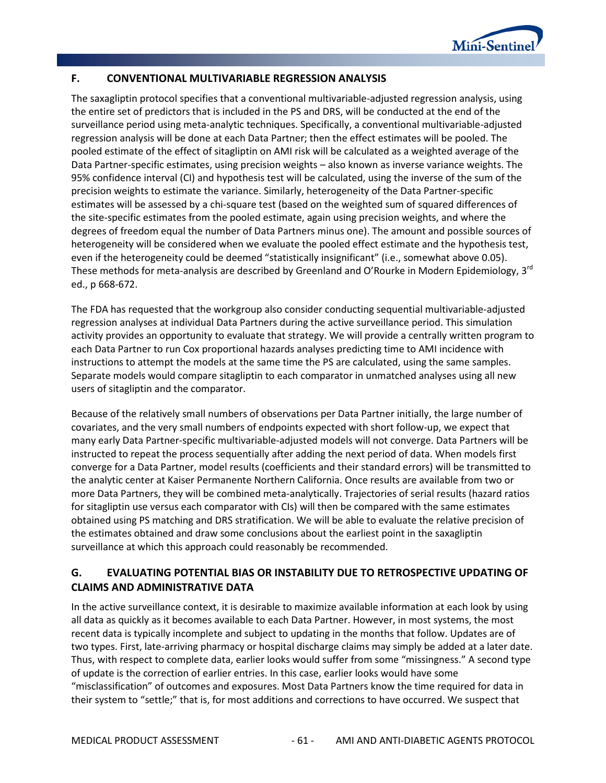

### **F. CONVENTIONAL MULTIVARIABLE REGRESSION ANALYSIS**

The saxagliptin protocol specifies that a conventional multivariable-adjusted regression analysis, using the entire set of predictors that is included in the PS and DRS, will be conducted at the end of the surveillance period using meta-analytic techniques. Specifically, a conventional multivariable-adjusted regression analysis will be done at each Data Partner; then the effect estimates will be pooled. The pooled estimate of the effect of sitagliptin on AMI risk will be calculated as a weighted average of the Data Partner-specific estimates, using precision weights – also known as inverse variance weights. The 95% confidence interval (CI) and hypothesis test will be calculated, using the inverse of the sum of the precision weights to estimate the variance. Similarly, heterogeneity of the Data Partner-specific estimates will be assessed by a chi-square test (based on the weighted sum of squared differences of the site-specific estimates from the pooled estimate, again using precision weights, and where the degrees of freedom equal the number of Data Partners minus one). The amount and possible sources of heterogeneity will be considered when we evaluate the pooled effect estimate and the hypothesis test, even if the heterogeneity could be deemed "statistically insignificant" (i.e., somewhat above 0.05). These methods for meta-analysis are described by Greenland and O'Rourke in Modern Epidemiology, 3<sup>rd</sup> ed., p 668-672.

The FDA has requested that the workgroup also consider conducting sequential multivariable-adjusted regression analyses at individual Data Partners during the active surveillance period. This simulation activity provides an opportunity to evaluate that strategy. We will provide a centrally written program to each Data Partner to run Cox proportional hazards analyses predicting time to AMI incidence with instructions to attempt the models at the same time the PS are calculated, using the same samples. Separate models would compare sitagliptin to each comparator in unmatched analyses using all new users of sitagliptin and the comparator.

Because of the relatively small numbers of observations per Data Partner initially, the large number of covariates, and the very small numbers of endpoints expected with short follow-up, we expect that many early Data Partner-specific multivariable-adjusted models will not converge. Data Partners will be instructed to repeat the process sequentially after adding the next period of data. When models first converge for a Data Partner, model results (coefficients and their standard errors) will be transmitted to the analytic center at Kaiser Permanente Northern California. Once results are available from two or more Data Partners, they will be combined meta-analytically. Trajectories of serial results (hazard ratios for sitagliptin use versus each comparator with CIs) will then be compared with the same estimates obtained using PS matching and DRS stratification. We will be able to evaluate the relative precision of the estimates obtained and draw some conclusions about the earliest point in the saxagliptin surveillance at which this approach could reasonably be recommended.

## **G. EVALUATING POTENTIAL BIAS OR INSTABILITY DUE TO RETROSPECTIVE UPDATING OF CLAIMS AND ADMINISTRATIVE DATA**

In the active surveillance context, it is desirable to maximize available information at each look by using all data as quickly as it becomes available to each Data Partner. However, in most systems, the most recent data is typically incomplete and subject to updating in the months that follow. Updates are of two types. First, late-arriving pharmacy or hospital discharge claims may simply be added at a later date. Thus, with respect to complete data, earlier looks would suffer from some "missingness." A second type of update is the correction of earlier entries. In this case, earlier looks would have some "misclassification" of outcomes and exposures. Most Data Partners know the time required for data in their system to "settle;" that is, for most additions and corrections to have occurred. We suspect that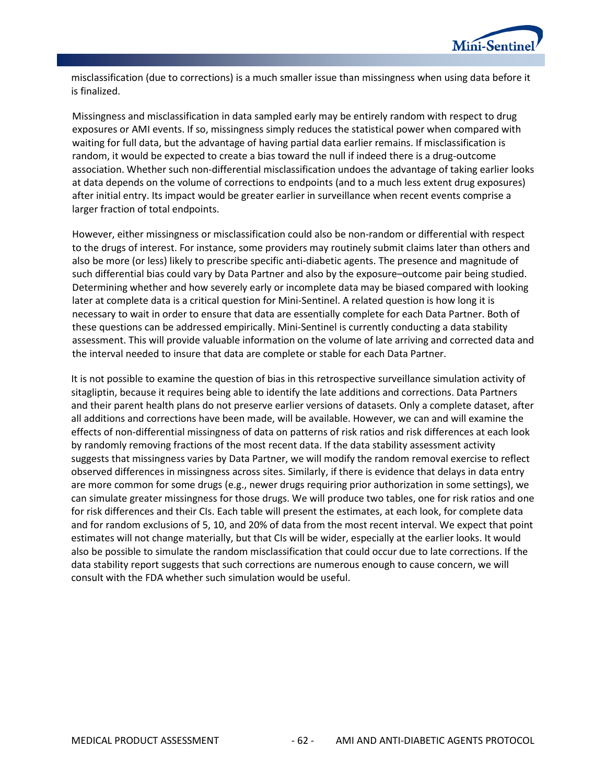

misclassification (due to corrections) is a much smaller issue than missingness when using data before it is finalized.

Missingness and misclassification in data sampled early may be entirely random with respect to drug exposures or AMI events. If so, missingness simply reduces the statistical power when compared with waiting for full data, but the advantage of having partial data earlier remains. If misclassification is random, it would be expected to create a bias toward the null if indeed there is a drug-outcome association. Whether such non-differential misclassification undoes the advantage of taking earlier looks at data depends on the volume of corrections to endpoints (and to a much less extent drug exposures) after initial entry. Its impact would be greater earlier in surveillance when recent events comprise a larger fraction of total endpoints.

However, either missingness or misclassification could also be non-random or differential with respect to the drugs of interest. For instance, some providers may routinely submit claims later than others and also be more (or less) likely to prescribe specific anti-diabetic agents. The presence and magnitude of such differential bias could vary by Data Partner and also by the exposure–outcome pair being studied. Determining whether and how severely early or incomplete data may be biased compared with looking later at complete data is a critical question for Mini-Sentinel. A related question is how long it is necessary to wait in order to ensure that data are essentially complete for each Data Partner. Both of these questions can be addressed empirically. Mini-Sentinel is currently conducting a data stability assessment. This will provide valuable information on the volume of late arriving and corrected data and the interval needed to insure that data are complete or stable for each Data Partner.

It is not possible to examine the question of bias in this retrospective surveillance simulation activity of sitagliptin, because it requires being able to identify the late additions and corrections. Data Partners and their parent health plans do not preserve earlier versions of datasets. Only a complete dataset, after all additions and corrections have been made, will be available. However, we can and will examine the effects of non-differential missingness of data on patterns of risk ratios and risk differences at each look by randomly removing fractions of the most recent data. If the data stability assessment activity suggests that missingness varies by Data Partner, we will modify the random removal exercise to reflect observed differences in missingness across sites. Similarly, if there is evidence that delays in data entry are more common for some drugs (e.g., newer drugs requiring prior authorization in some settings), we can simulate greater missingness for those drugs. We will produce two tables, one for risk ratios and one for risk differences and their CIs. Each table will present the estimates, at each look, for complete data and for random exclusions of 5, 10, and 20% of data from the most recent interval. We expect that point estimates will not change materially, but that CIs will be wider, especially at the earlier looks. It would also be possible to simulate the random misclassification that could occur due to late corrections. If the data stability report suggests that such corrections are numerous enough to cause concern, we will consult with the FDA whether such simulation would be useful.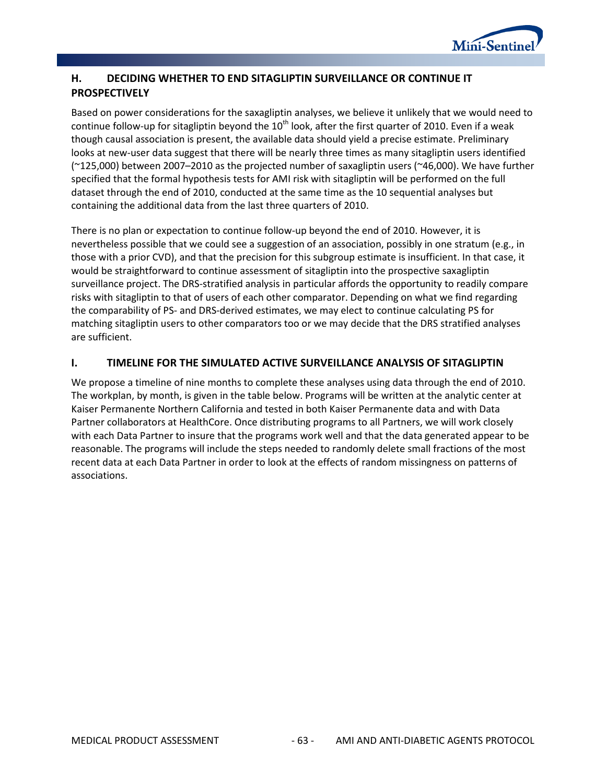

# **H. DECIDING WHETHER TO END SITAGLIPTIN SURVEILLANCE OR CONTINUE IT PROSPECTIVELY**

Based on power considerations for the saxagliptin analyses, we believe it unlikely that we would need to continue follow-up for sitagliptin beyond the  $10^{th}$  look, after the first quarter of 2010. Even if a weak though causal association is present, the available data should yield a precise estimate. Preliminary looks at new-user data suggest that there will be nearly three times as many sitagliptin users identified (~125,000) between 2007–2010 as the projected number of saxagliptin users (~46,000). We have further specified that the formal hypothesis tests for AMI risk with sitagliptin will be performed on the full dataset through the end of 2010, conducted at the same time as the 10 sequential analyses but containing the additional data from the last three quarters of 2010.

There is no plan or expectation to continue follow-up beyond the end of 2010. However, it is nevertheless possible that we could see a suggestion of an association, possibly in one stratum (e.g., in those with a prior CVD), and that the precision for this subgroup estimate is insufficient. In that case, it would be straightforward to continue assessment of sitagliptin into the prospective saxagliptin surveillance project. The DRS-stratified analysis in particular affords the opportunity to readily compare risks with sitagliptin to that of users of each other comparator. Depending on what we find regarding the comparability of PS- and DRS-derived estimates, we may elect to continue calculating PS for matching sitagliptin users to other comparators too or we may decide that the DRS stratified analyses are sufficient.

## **I. TIMELINE FOR THE SIMULATED ACTIVE SURVEILLANCE ANALYSIS OF SITAGLIPTIN**

We propose a timeline of nine months to complete these analyses using data through the end of 2010. The workplan, by month, is given in the table below. Programs will be written at the analytic center at Kaiser Permanente Northern California and tested in both Kaiser Permanente data and with Data Partner collaborators at HealthCore. Once distributing programs to all Partners, we will work closely with each Data Partner to insure that the programs work well and that the data generated appear to be reasonable. The programs will include the steps needed to randomly delete small fractions of the most recent data at each Data Partner in order to look at the effects of random missingness on patterns of associations.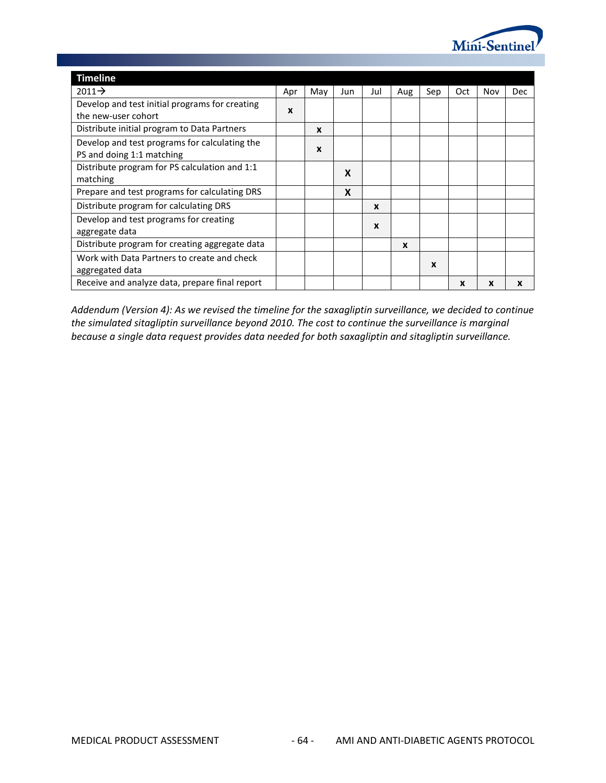

| <b>Timeline</b>                                                            |     |             |     |     |                  |     |             |     |     |
|----------------------------------------------------------------------------|-----|-------------|-----|-----|------------------|-----|-------------|-----|-----|
| $2011 \rightarrow$                                                         | Apr | May         | Jun | Jul | Aug              | Sep | Oct         | Nov | Dec |
| Develop and test initial programs for creating<br>the new-user cohort      | X   |             |     |     |                  |     |             |     |     |
| Distribute initial program to Data Partners                                |     | $\mathbf x$ |     |     |                  |     |             |     |     |
| Develop and test programs for calculating the<br>PS and doing 1:1 matching |     | $\mathbf x$ |     |     |                  |     |             |     |     |
| Distribute program for PS calculation and 1:1<br>matching                  |     |             | X   |     |                  |     |             |     |     |
| Prepare and test programs for calculating DRS                              |     |             | X   |     |                  |     |             |     |     |
| Distribute program for calculating DRS                                     |     |             |     | X   |                  |     |             |     |     |
| Develop and test programs for creating<br>aggregate data                   |     |             |     | X   |                  |     |             |     |     |
| Distribute program for creating aggregate data                             |     |             |     |     | $\boldsymbol{x}$ |     |             |     |     |
| Work with Data Partners to create and check<br>aggregated data             |     |             |     |     |                  | X   |             |     |     |
| Receive and analyze data, prepare final report                             |     |             |     |     |                  |     | $\mathbf x$ | X   | X   |

*Addendum (Version 4): As we revised the timeline for the saxagliptin surveillance, we decided to continue the simulated sitagliptin surveillance beyond 2010. The cost to continue the surveillance is marginal because a single data request provides data needed for both saxagliptin and sitagliptin surveillance.*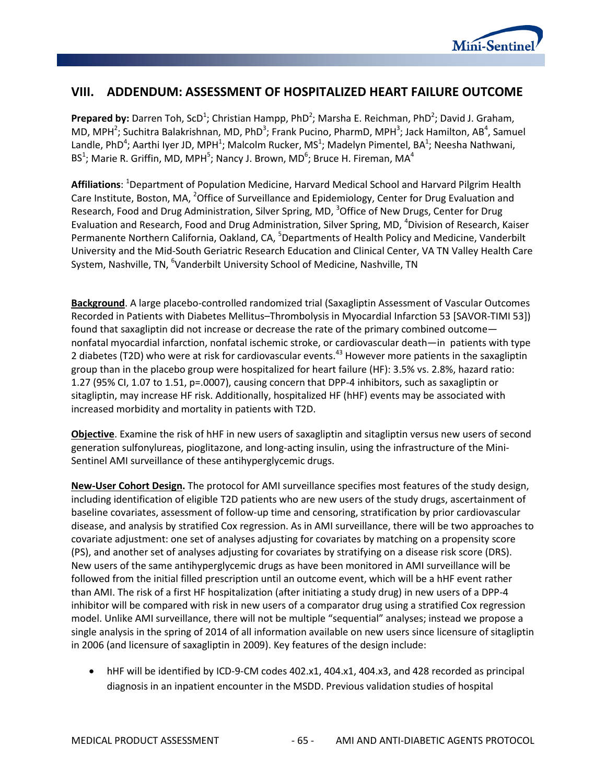

# **VIII. ADDENDUM: ASSESSMENT OF HOSPITALIZED HEART FAILURE OUTCOME**

Prepared by: Darren Toh, ScD<sup>1</sup>; Christian Hampp, PhD<sup>2</sup>; Marsha E. Reichman, PhD<sup>2</sup>; David J. Graham, MD, MPH<sup>2</sup>; Suchitra Balakrishnan, MD, PhD<sup>3</sup>; Frank Pucino, PharmD, MPH<sup>3</sup>; Jack Hamilton, AB<sup>4</sup>, Samuel Landle, PhD<sup>4</sup>; Aarthi Iyer JD, MPH<sup>1</sup>; Malcolm Rucker, MS<sup>1</sup>; Madelyn Pimentel, BA<sup>1</sup>; Neesha Nathwani, BS<sup>1</sup>; Marie R. Griffin, MD, MPH<sup>5</sup>; Nancy J. Brown, MD<sup>6</sup>; Bruce H. Fireman, MA<sup>4</sup>

**Affiliations**: <sup>1</sup> Department of Population Medicine, Harvard Medical School and Harvard Pilgrim Health Care Institute, Boston, MA, <sup>2</sup>Office of Surveillance and Epidemiology, Center for Drug Evaluation and Research, Food and Drug Administration, Silver Spring, MD, <sup>3</sup>Office of New Drugs, Center for Drug Evaluation and Research, Food and Drug Administration, Silver Spring, MD, <sup>4</sup>Division of Research, Kaiser Permanente Northern California, Oakland, CA, <sup>5</sup>Departments of Health Policy and Medicine, Vanderbilt University and the Mid-South Geriatric Research Education and Clinical Center, VA TN Valley Health Care System, Nashville, TN, <sup>6</sup>Vanderbilt University School of Medicine, Nashville, TN

**Background**. A large placebo-controlled randomized trial (Saxagliptin Assessment of Vascular Outcomes Recorded in Patients with Diabetes Mellitus–Thrombolysis in Myocardial Infarction 53 [SAVOR-TIMI 53]) found that saxagliptin did not increase or decrease the rate of the primary combined outcome nonfatal myocardial infarction, nonfatal ischemic stroke, or cardiovascular death—in patients with type 2 diabetes (T2D) who were at risk for cardiovascular events.<sup>43</sup> However more patients in the saxagliptin group than in the placebo group were hospitalized for heart failure (HF): 3.5% vs. 2.8%, hazard ratio: 1.27 (95% CI, 1.07 to 1.51, p=.0007), causing concern that DPP-4 inhibitors, such as saxagliptin or sitagliptin, may increase HF risk. Additionally, hospitalized HF (hHF) events may be associated with increased morbidity and mortality in patients with T2D.

**Objective**. Examine the risk of hHF in new users of saxagliptin and sitagliptin versus new users of second generation sulfonylureas, pioglitazone, and long-acting insulin, using the infrastructure of the Mini-Sentinel AMI surveillance of these antihyperglycemic drugs.

**New-User Cohort Design.** The protocol for AMI surveillance specifies most features of the study design, including identification of eligible T2D patients who are new users of the study drugs, ascertainment of baseline covariates, assessment of follow-up time and censoring, stratification by prior cardiovascular disease, and analysis by stratified Cox regression. As in AMI surveillance, there will be two approaches to covariate adjustment: one set of analyses adjusting for covariates by matching on a propensity score (PS), and another set of analyses adjusting for covariates by stratifying on a disease risk score (DRS). New users of the same antihyperglycemic drugs as have been monitored in AMI surveillance will be followed from the initial filled prescription until an outcome event, which will be a hHF event rather than AMI. The risk of a first HF hospitalization (after initiating a study drug) in new users of a DPP-4 inhibitor will be compared with risk in new users of a comparator drug using a stratified Cox regression model. Unlike AMI surveillance, there will not be multiple "sequential" analyses; instead we propose a single analysis in the spring of 2014 of all information available on new users since licensure of sitagliptin in 2006 (and licensure of saxagliptin in 2009). Key features of the design include:

• hHF will be identified by ICD-9-CM codes 402.x1, 404.x1, 404.x3, and 428 recorded as principal diagnosis in an inpatient encounter in the MSDD. Previous validation studies of hospital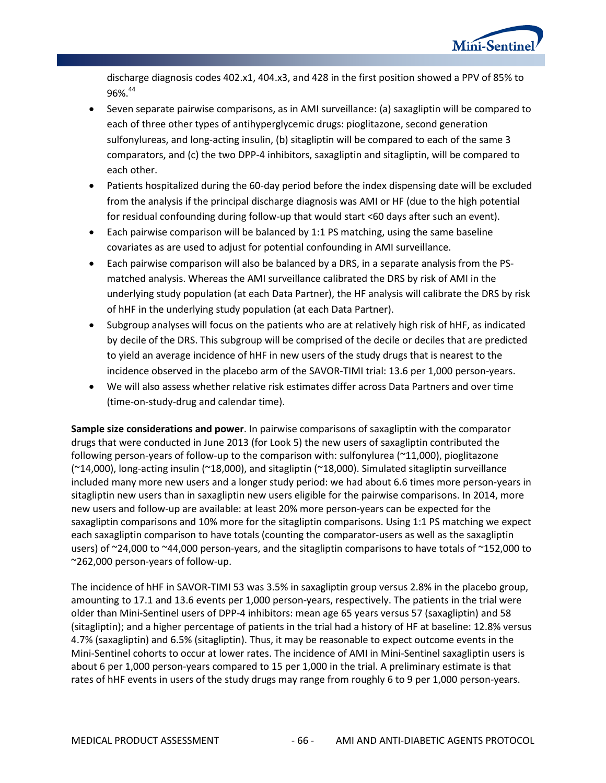

discharge diagnosis codes 402.x1, 404.x3, and 428 in the first position showed a PPV of 85% to 96%.44

- Seven separate pairwise comparisons, as in AMI surveillance: (a) saxagliptin will be compared to each of three other types of antihyperglycemic drugs: pioglitazone, second generation sulfonylureas, and long-acting insulin, (b) sitagliptin will be compared to each of the same 3 comparators, and (c) the two DPP-4 inhibitors, saxagliptin and sitagliptin, will be compared to each other.
- Patients hospitalized during the 60-day period before the index dispensing date will be excluded from the analysis if the principal discharge diagnosis was AMI or HF (due to the high potential for residual confounding during follow-up that would start <60 days after such an event).
- Each pairwise comparison will be balanced by 1:1 PS matching, using the same baseline covariates as are used to adjust for potential confounding in AMI surveillance.
- Each pairwise comparison will also be balanced by a DRS, in a separate analysis from the PSmatched analysis. Whereas the AMI surveillance calibrated the DRS by risk of AMI in the underlying study population (at each Data Partner), the HF analysis will calibrate the DRS by risk of hHF in the underlying study population (at each Data Partner).
- Subgroup analyses will focus on the patients who are at relatively high risk of hHF, as indicated by decile of the DRS. This subgroup will be comprised of the decile or deciles that are predicted to yield an average incidence of hHF in new users of the study drugs that is nearest to the incidence observed in the placebo arm of the SAVOR-TIMI trial: 13.6 per 1,000 person-years.
- We will also assess whether relative risk estimates differ across Data Partners and over time (time-on-study-drug and calendar time).

**Sample size considerations and power**. In pairwise comparisons of saxagliptin with the comparator drugs that were conducted in June 2013 (for Look 5) the new users of saxagliptin contributed the following person-years of follow-up to the comparison with: sulfonylurea (~11,000), pioglitazone (~14,000), long-acting insulin (~18,000), and sitagliptin (~18,000). Simulated sitagliptin surveillance included many more new users and a longer study period: we had about 6.6 times more person-years in sitagliptin new users than in saxagliptin new users eligible for the pairwise comparisons. In 2014, more new users and follow-up are available: at least 20% more person-years can be expected for the saxagliptin comparisons and 10% more for the sitagliptin comparisons. Using 1:1 PS matching we expect each saxagliptin comparison to have totals (counting the comparator-users as well as the saxagliptin users) of ~24,000 to ~44,000 person-years, and the sitagliptin comparisons to have totals of ~152,000 to ~262,000 person-years of follow-up.

The incidence of hHF in SAVOR-TIMI 53 was 3.5% in saxagliptin group versus 2.8% in the placebo group, amounting to 17.1 and 13.6 events per 1,000 person-years, respectively. The patients in the trial were older than Mini-Sentinel users of DPP-4 inhibitors: mean age 65 years versus 57 (saxagliptin) and 58 (sitagliptin); and a higher percentage of patients in the trial had a history of HF at baseline: 12.8% versus 4.7% (saxagliptin) and 6.5% (sitagliptin). Thus, it may be reasonable to expect outcome events in the Mini-Sentinel cohorts to occur at lower rates. The incidence of AMI in Mini-Sentinel saxagliptin users is about 6 per 1,000 person-years compared to 15 per 1,000 in the trial. A preliminary estimate is that rates of hHF events in users of the study drugs may range from roughly 6 to 9 per 1,000 person-years.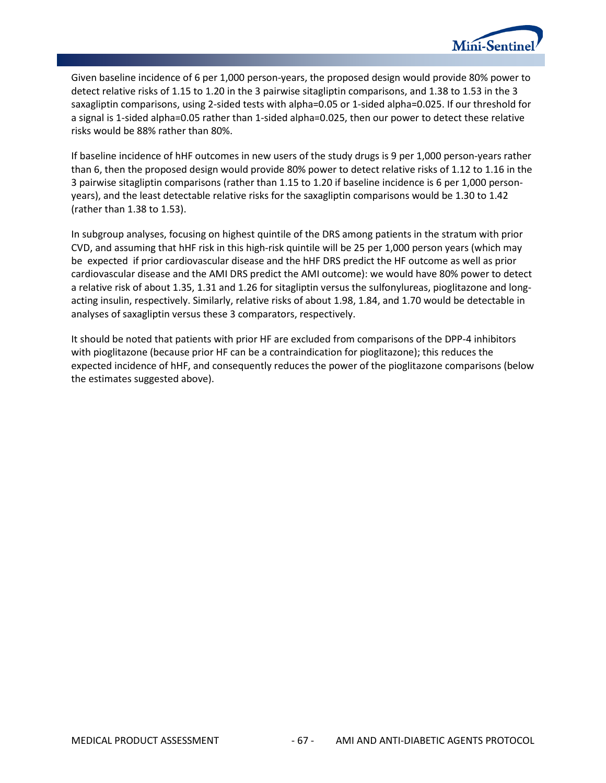

Given baseline incidence of 6 per 1,000 person-years, the proposed design would provide 80% power to detect relative risks of 1.15 to 1.20 in the 3 pairwise sitagliptin comparisons, and 1.38 to 1.53 in the 3 saxagliptin comparisons, using 2-sided tests with alpha=0.05 or 1-sided alpha=0.025. If our threshold for a signal is 1-sided alpha=0.05 rather than 1-sided alpha=0.025, then our power to detect these relative risks would be 88% rather than 80%.

If baseline incidence of hHF outcomes in new users of the study drugs is 9 per 1,000 person-years rather than 6, then the proposed design would provide 80% power to detect relative risks of 1.12 to 1.16 in the 3 pairwise sitagliptin comparisons (rather than 1.15 to 1.20 if baseline incidence is 6 per 1,000 personyears), and the least detectable relative risks for the saxagliptin comparisons would be 1.30 to 1.42 (rather than 1.38 to 1.53).

In subgroup analyses, focusing on highest quintile of the DRS among patients in the stratum with prior CVD, and assuming that hHF risk in this high-risk quintile will be 25 per 1,000 person years (which may be expected if prior cardiovascular disease and the hHF DRS predict the HF outcome as well as prior cardiovascular disease and the AMI DRS predict the AMI outcome): we would have 80% power to detect a relative risk of about 1.35, 1.31 and 1.26 for sitagliptin versus the sulfonylureas, pioglitazone and longacting insulin, respectively. Similarly, relative risks of about 1.98, 1.84, and 1.70 would be detectable in analyses of saxagliptin versus these 3 comparators, respectively.

It should be noted that patients with prior HF are excluded from comparisons of the DPP-4 inhibitors with pioglitazone (because prior HF can be a contraindication for pioglitazone); this reduces the expected incidence of hHF, and consequently reduces the power of the pioglitazone comparisons (below the estimates suggested above).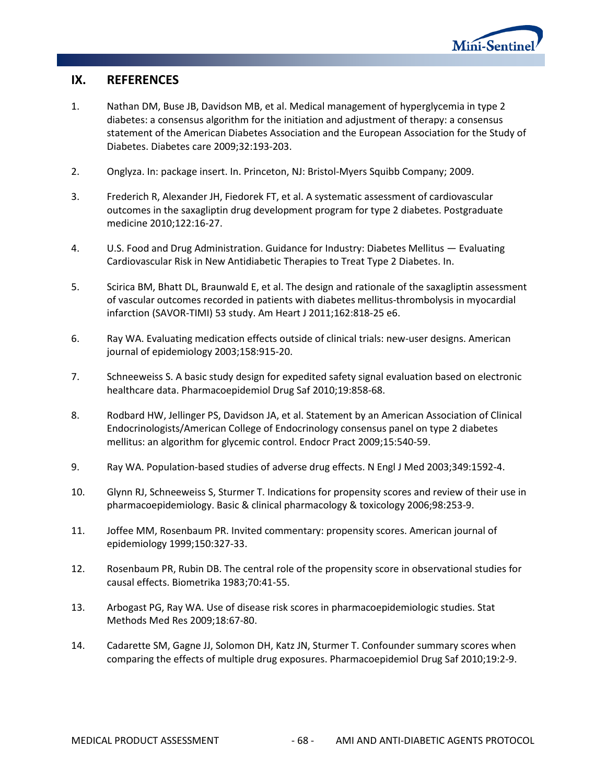

# **IX. REFERENCES**

- 1. Nathan DM, Buse JB, Davidson MB, et al. Medical management of hyperglycemia in type 2 diabetes: a consensus algorithm for the initiation and adjustment of therapy: a consensus statement of the American Diabetes Association and the European Association for the Study of Diabetes. Diabetes care 2009;32:193-203.
- 2. Onglyza. In: package insert. In. Princeton, NJ: Bristol-Myers Squibb Company; 2009.
- 3. Frederich R, Alexander JH, Fiedorek FT, et al. A systematic assessment of cardiovascular outcomes in the saxagliptin drug development program for type 2 diabetes. Postgraduate medicine 2010;122:16-27.
- 4. U.S. Food and Drug Administration. Guidance for Industry: Diabetes Mellitus Evaluating Cardiovascular Risk in New Antidiabetic Therapies to Treat Type 2 Diabetes. In.
- 5. Scirica BM, Bhatt DL, Braunwald E, et al. The design and rationale of the saxagliptin assessment of vascular outcomes recorded in patients with diabetes mellitus-thrombolysis in myocardial infarction (SAVOR-TIMI) 53 study. Am Heart J 2011;162:818-25 e6.
- 6. Ray WA. Evaluating medication effects outside of clinical trials: new-user designs. American journal of epidemiology 2003;158:915-20.
- 7. Schneeweiss S. A basic study design for expedited safety signal evaluation based on electronic healthcare data. Pharmacoepidemiol Drug Saf 2010;19:858-68.
- 8. Rodbard HW, Jellinger PS, Davidson JA, et al. Statement by an American Association of Clinical Endocrinologists/American College of Endocrinology consensus panel on type 2 diabetes mellitus: an algorithm for glycemic control. Endocr Pract 2009;15:540-59.
- 9. Ray WA. Population-based studies of adverse drug effects. N Engl J Med 2003;349:1592-4.
- 10. Glynn RJ, Schneeweiss S, Sturmer T. Indications for propensity scores and review of their use in pharmacoepidemiology. Basic & clinical pharmacology & toxicology 2006;98:253-9.
- 11. Joffee MM, Rosenbaum PR. Invited commentary: propensity scores. American journal of epidemiology 1999;150:327-33.
- 12. Rosenbaum PR, Rubin DB. The central role of the propensity score in observational studies for causal effects. Biometrika 1983;70:41-55.
- 13. Arbogast PG, Ray WA. Use of disease risk scores in pharmacoepidemiologic studies. Stat Methods Med Res 2009;18:67-80.
- 14. Cadarette SM, Gagne JJ, Solomon DH, Katz JN, Sturmer T. Confounder summary scores when comparing the effects of multiple drug exposures. Pharmacoepidemiol Drug Saf 2010;19:2-9.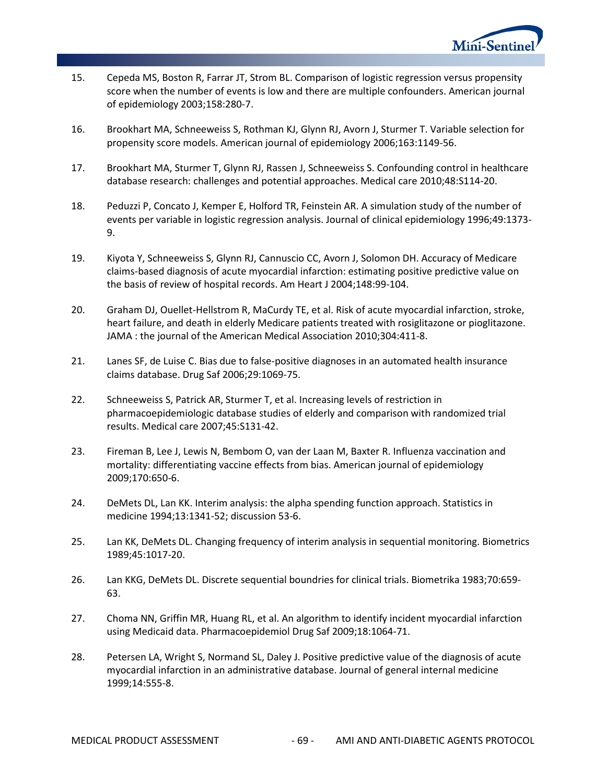

- 15. Cepeda MS, Boston R, Farrar JT, Strom BL. Comparison of logistic regression versus propensity score when the number of events is low and there are multiple confounders. American journal of epidemiology 2003;158:280-7.
- 16. Brookhart MA, Schneeweiss S, Rothman KJ, Glynn RJ, Avorn J, Sturmer T. Variable selection for propensity score models. American journal of epidemiology 2006;163:1149-56.
- 17. Brookhart MA, Sturmer T, Glynn RJ, Rassen J, Schneeweiss S. Confounding control in healthcare database research: challenges and potential approaches. Medical care 2010;48:S114-20.
- 18. Peduzzi P, Concato J, Kemper E, Holford TR, Feinstein AR. A simulation study of the number of events per variable in logistic regression analysis. Journal of clinical epidemiology 1996;49:1373- 9.
- 19. Kiyota Y, Schneeweiss S, Glynn RJ, Cannuscio CC, Avorn J, Solomon DH. Accuracy of Medicare claims-based diagnosis of acute myocardial infarction: estimating positive predictive value on the basis of review of hospital records. Am Heart J 2004;148:99-104.
- 20. Graham DJ, Ouellet-Hellstrom R, MaCurdy TE, et al. Risk of acute myocardial infarction, stroke, heart failure, and death in elderly Medicare patients treated with rosiglitazone or pioglitazone. JAMA : the journal of the American Medical Association 2010;304:411-8.
- 21. Lanes SF, de Luise C. Bias due to false-positive diagnoses in an automated health insurance claims database. Drug Saf 2006;29:1069-75.
- 22. Schneeweiss S, Patrick AR, Sturmer T, et al. Increasing levels of restriction in pharmacoepidemiologic database studies of elderly and comparison with randomized trial results. Medical care 2007;45:S131-42.
- 23. Fireman B, Lee J, Lewis N, Bembom O, van der Laan M, Baxter R. Influenza vaccination and mortality: differentiating vaccine effects from bias. American journal of epidemiology 2009;170:650-6.
- 24. DeMets DL, Lan KK. Interim analysis: the alpha spending function approach. Statistics in medicine 1994;13:1341-52; discussion 53-6.
- 25. Lan KK, DeMets DL. Changing frequency of interim analysis in sequential monitoring. Biometrics 1989;45:1017-20.
- 26. Lan KKG, DeMets DL. Discrete sequential boundries for clinical trials. Biometrika 1983;70:659- 63.
- 27. Choma NN, Griffin MR, Huang RL, et al. An algorithm to identify incident myocardial infarction using Medicaid data. Pharmacoepidemiol Drug Saf 2009;18:1064-71.
- 28. Petersen LA, Wright S, Normand SL, Daley J. Positive predictive value of the diagnosis of acute myocardial infarction in an administrative database. Journal of general internal medicine 1999;14:555-8.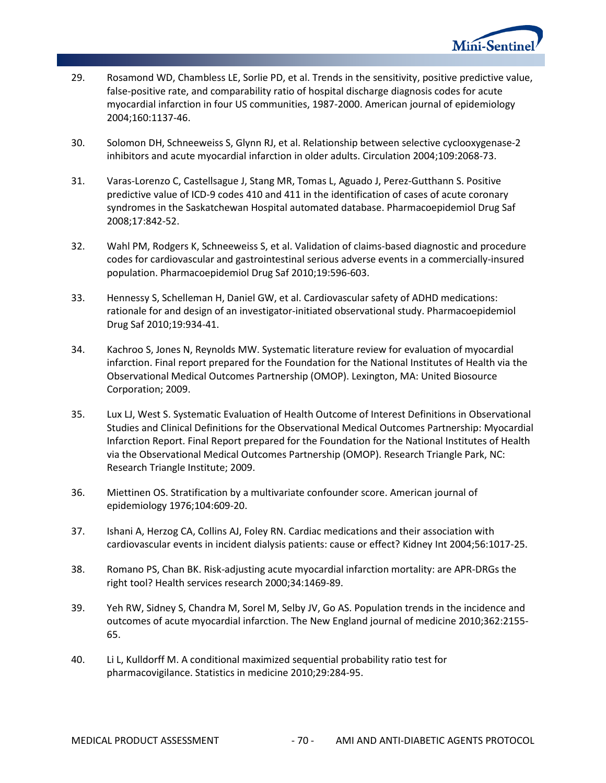

- 29. Rosamond WD, Chambless LE, Sorlie PD, et al. Trends in the sensitivity, positive predictive value, false-positive rate, and comparability ratio of hospital discharge diagnosis codes for acute myocardial infarction in four US communities, 1987-2000. American journal of epidemiology 2004;160:1137-46.
- 30. Solomon DH, Schneeweiss S, Glynn RJ, et al. Relationship between selective cyclooxygenase-2 inhibitors and acute myocardial infarction in older adults. Circulation 2004;109:2068-73.
- 31. Varas-Lorenzo C, Castellsague J, Stang MR, Tomas L, Aguado J, Perez-Gutthann S. Positive predictive value of ICD-9 codes 410 and 411 in the identification of cases of acute coronary syndromes in the Saskatchewan Hospital automated database. Pharmacoepidemiol Drug Saf 2008;17:842-52.
- 32. Wahl PM, Rodgers K, Schneeweiss S, et al. Validation of claims-based diagnostic and procedure codes for cardiovascular and gastrointestinal serious adverse events in a commercially-insured population. Pharmacoepidemiol Drug Saf 2010;19:596-603.
- 33. Hennessy S, Schelleman H, Daniel GW, et al. Cardiovascular safety of ADHD medications: rationale for and design of an investigator-initiated observational study. Pharmacoepidemiol Drug Saf 2010;19:934-41.
- 34. Kachroo S, Jones N, Reynolds MW. Systematic literature review for evaluation of myocardial infarction. Final report prepared for the Foundation for the National Institutes of Health via the Observational Medical Outcomes Partnership (OMOP). Lexington, MA: United Biosource Corporation; 2009.
- 35. Lux LJ, West S. Systematic Evaluation of Health Outcome of Interest Definitions in Observational Studies and Clinical Definitions for the Observational Medical Outcomes Partnership: Myocardial Infarction Report. Final Report prepared for the Foundation for the National Institutes of Health via the Observational Medical Outcomes Partnership (OMOP). Research Triangle Park, NC: Research Triangle Institute; 2009.
- 36. Miettinen OS. Stratification by a multivariate confounder score. American journal of epidemiology 1976;104:609-20.
- 37. Ishani A, Herzog CA, Collins AJ, Foley RN. Cardiac medications and their association with cardiovascular events in incident dialysis patients: cause or effect? Kidney Int 2004;56:1017-25.
- 38. Romano PS, Chan BK. Risk-adjusting acute myocardial infarction mortality: are APR-DRGs the right tool? Health services research 2000;34:1469-89.
- 39. Yeh RW, Sidney S, Chandra M, Sorel M, Selby JV, Go AS. Population trends in the incidence and outcomes of acute myocardial infarction. The New England journal of medicine 2010;362:2155- 65.
- 40. Li L, Kulldorff M. A conditional maximized sequential probability ratio test for pharmacovigilance. Statistics in medicine 2010;29:284-95.